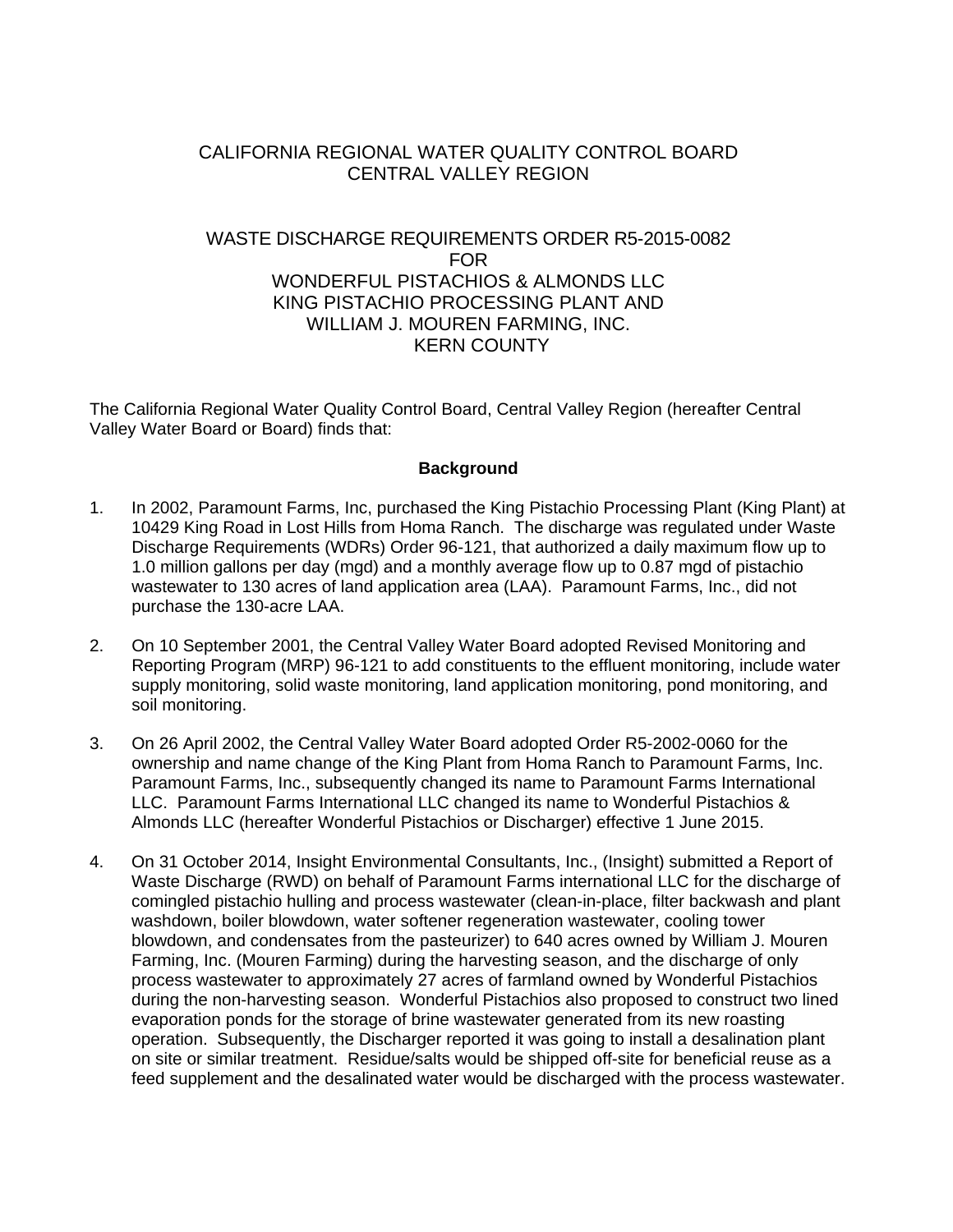# CALIFORNIA REGIONAL WATER QUALITY CONTROL BOARD CENTRAL VALLEY REGION

# WASTE DISCHARGE REQUIREMENTS ORDER R5-2015-0082 FOR WONDERFUL PISTACHIOS & ALMONDS LLC KING PISTACHIO PROCESSING PLANT AND WILLIAM J. MOUREN FARMING, INC. KERN COUNTY

The California Regional Water Quality Control Board, Central Valley Region (hereafter Central Valley Water Board or Board) finds that:

#### **Background**

- 1. In 2002, Paramount Farms, Inc, purchased the King Pistachio Processing Plant (King Plant) at 10429 King Road in Lost Hills from Homa Ranch. The discharge was regulated under Waste Discharge Requirements (WDRs) Order 96-121, that authorized a daily maximum flow up to 1.0 million gallons per day (mgd) and a monthly average flow up to 0.87 mgd of pistachio wastewater to 130 acres of land application area (LAA). Paramount Farms, Inc., did not purchase the 130-acre LAA.
- 2. On 10 September 2001, the Central Valley Water Board adopted Revised Monitoring and Reporting Program (MRP) 96-121 to add constituents to the effluent monitoring, include water supply monitoring, solid waste monitoring, land application monitoring, pond monitoring, and soil monitoring.
- 3. On 26 April 2002, the Central Valley Water Board adopted Order R5-2002-0060 for the ownership and name change of the King Plant from Homa Ranch to Paramount Farms, Inc. Paramount Farms, Inc., subsequently changed its name to Paramount Farms International LLC. Paramount Farms International LLC changed its name to Wonderful Pistachios & Almonds LLC (hereafter Wonderful Pistachios or Discharger) effective 1 June 2015.
- 4. On 31 October 2014, Insight Environmental Consultants, Inc., (Insight) submitted a Report of Waste Discharge (RWD) on behalf of Paramount Farms international LLC for the discharge of comingled pistachio hulling and process wastewater (clean-in-place, filter backwash and plant washdown, boiler blowdown, water softener regeneration wastewater, cooling tower blowdown, and condensates from the pasteurizer) to 640 acres owned by William J. Mouren Farming, Inc. (Mouren Farming) during the harvesting season, and the discharge of only process wastewater to approximately 27 acres of farmland owned by Wonderful Pistachios during the non-harvesting season. Wonderful Pistachios also proposed to construct two lined evaporation ponds for the storage of brine wastewater generated from its new roasting operation. Subsequently, the Discharger reported it was going to install a desalination plant on site or similar treatment. Residue/salts would be shipped off-site for beneficial reuse as a feed supplement and the desalinated water would be discharged with the process wastewater.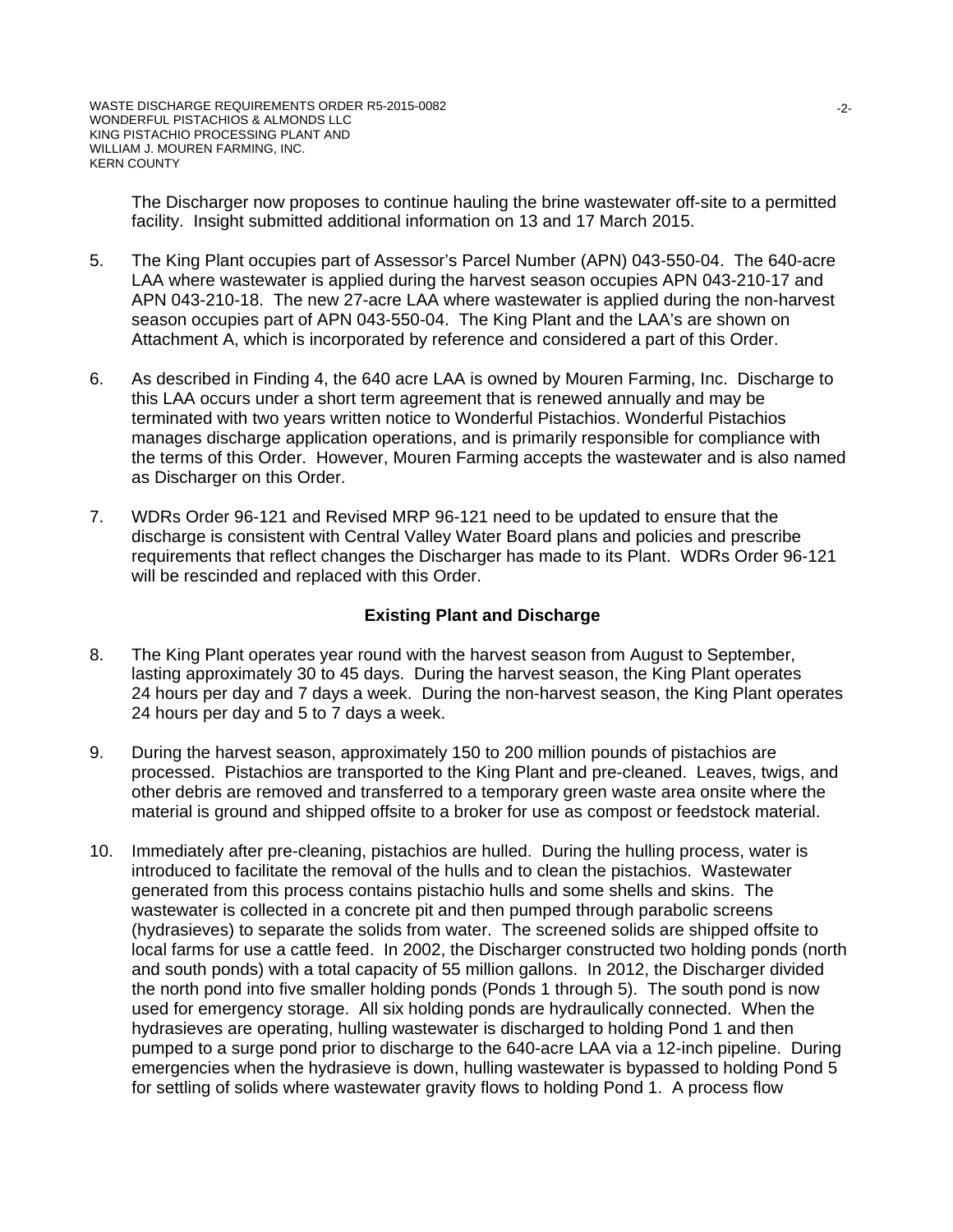The Discharger now proposes to continue hauling the brine wastewater off-site to a permitted facility. Insight submitted additional information on 13 and 17 March 2015.

- 5. The King Plant occupies part of Assessor's Parcel Number (APN) 043-550-04. The 640-acre LAA where wastewater is applied during the harvest season occupies APN 043-210-17 and APN 043-210-18. The new 27-acre LAA where wastewater is applied during the non-harvest season occupies part of APN 043-550-04. The King Plant and the LAA's are shown on Attachment A, which is incorporated by reference and considered a part of this Order.
- 6. As described in Finding 4, the 640 acre LAA is owned by Mouren Farming, Inc. Discharge to this LAA occurs under a short term agreement that is renewed annually and may be terminated with two years written notice to Wonderful Pistachios. Wonderful Pistachios manages discharge application operations, and is primarily responsible for compliance with the terms of this Order. However, Mouren Farming accepts the wastewater and is also named as Discharger on this Order.
- 7. WDRs Order 96-121 and Revised MRP 96-121 need to be updated to ensure that the discharge is consistent with Central Valley Water Board plans and policies and prescribe requirements that reflect changes the Discharger has made to its Plant. WDRs Order 96-121 will be rescinded and replaced with this Order.

#### **Existing Plant and Discharge**

- 8. The King Plant operates year round with the harvest season from August to September, lasting approximately 30 to 45 days. During the harvest season, the King Plant operates 24 hours per day and 7 days a week. During the non-harvest season, the King Plant operates 24 hours per day and 5 to 7 days a week.
- 9. During the harvest season, approximately 150 to 200 million pounds of pistachios are processed. Pistachios are transported to the King Plant and pre-cleaned. Leaves, twigs, and other debris are removed and transferred to a temporary green waste area onsite where the material is ground and shipped offsite to a broker for use as compost or feedstock material.
- 10. Immediately after pre-cleaning, pistachios are hulled. During the hulling process, water is introduced to facilitate the removal of the hulls and to clean the pistachios. Wastewater generated from this process contains pistachio hulls and some shells and skins. The wastewater is collected in a concrete pit and then pumped through parabolic screens (hydrasieves) to separate the solids from water. The screened solids are shipped offsite to local farms for use a cattle feed. In 2002, the Discharger constructed two holding ponds (north and south ponds) with a total capacity of 55 million gallons. In 2012, the Discharger divided the north pond into five smaller holding ponds (Ponds 1 through 5). The south pond is now used for emergency storage. All six holding ponds are hydraulically connected. When the hydrasieves are operating, hulling wastewater is discharged to holding Pond 1 and then pumped to a surge pond prior to discharge to the 640-acre LAA via a 12-inch pipeline. During emergencies when the hydrasieve is down, hulling wastewater is bypassed to holding Pond 5 for settling of solids where wastewater gravity flows to holding Pond 1. A process flow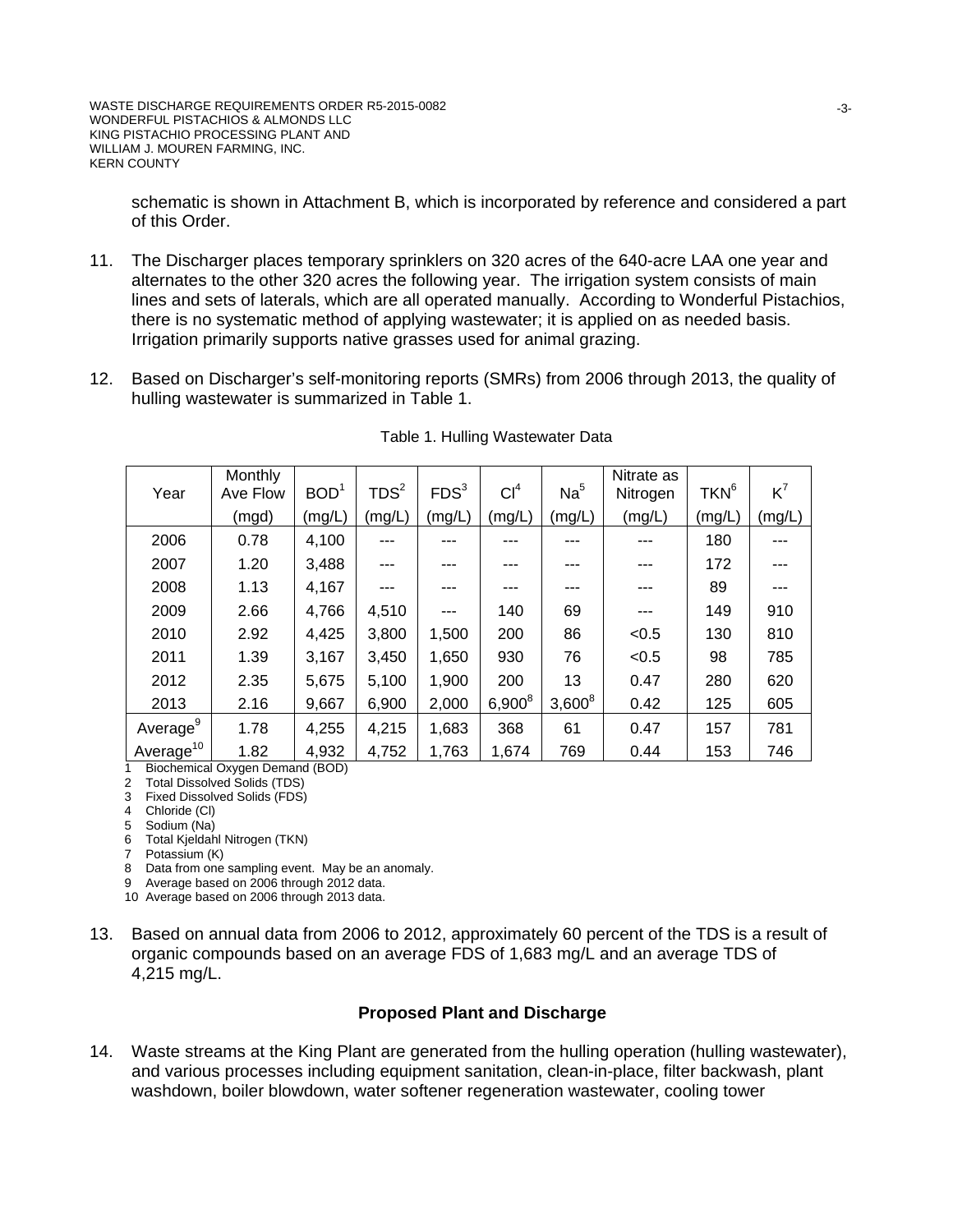schematic is shown in Attachment B, which is incorporated by reference and considered a part of this Order.

- 11. The Discharger places temporary sprinklers on 320 acres of the 640-acre LAA one year and alternates to the other 320 acres the following year. The irrigation system consists of main lines and sets of laterals, which are all operated manually. According to Wonderful Pistachios, there is no systematic method of applying wastewater; it is applied on as needed basis. Irrigation primarily supports native grasses used for animal grazing.
- 12. Based on Discharger's self-monitoring reports (SMRs) from 2006 through 2013, the quality of hulling wastewater is summarized in Table 1.

| Year                 | Monthly<br>Ave Flow | BOD <sup>1</sup> | TDS <sup>2</sup> | FDS <sup>3</sup> | Cl <sup>4</sup> | Na <sup>5</sup> | Nitrate as<br>Nitrogen | TKN <sup>6</sup> | $K^7$  |
|----------------------|---------------------|------------------|------------------|------------------|-----------------|-----------------|------------------------|------------------|--------|
|                      | (mgd)               | (mg/L)           | (mg/L)           | (mg/L)           | (mg/L)          | (mg/L)          | (mg/L)                 | (mg/L)           | (mg/L) |
| 2006                 | 0.78                | 4,100            | ---              | ---              | ---             | ---             |                        | 180              | ---    |
| 2007                 | 1.20                | 3,488            | ---              | ---              | ---             | ---             | ---                    | 172              | ---    |
| 2008                 | 1.13                | 4,167            | ---              |                  | ---             | ---             | ---                    | 89               |        |
| 2009                 | 2.66                | 4,766            | 4,510            | $---$            | 140             | 69              | ---                    | 149              | 910    |
| 2010                 | 2.92                | 4,425            | 3,800            | 1,500            | 200             | 86              | < 0.5                  | 130              | 810    |
| 2011                 | 1.39                | 3,167            | 3,450            | 1,650            | 930             | 76              | < 0.5                  | 98               | 785    |
| 2012                 | 2.35                | 5,675            | 5,100            | 1,900            | 200             | 13              | 0.47                   | 280              | 620    |
| 2013                 | 2.16                | 9,667            | 6,900            | 2,000            | $6,900^8$       | $3,600^8$       | 0.42                   | 125              | 605    |
| Average <sup>9</sup> | 1.78                | 4,255            | 4,215            | 1,683            | 368             | 61              | 0.47                   | 157              | 781    |
| $A$ verage $^{10}$   | 1.82                | 4,932            | 4,752            | 1,763            | 1,674           | 769             | 0.44                   | 153              | 746    |

1 Biochemical Oxygen Demand (BOD)

2 Total Dissolved Solids (TDS)

3 Fixed Dissolved Solids (FDS) 4 Chloride (Cl)

5 Sodium (Na)

- 6 Total Kjeldahl Nitrogen (TKN)
- 7 Potassium (K)

8 Data from one sampling event. May be an anomaly.

9 Average based on 2006 through 2012 data.

10 Average based on 2006 through 2013 data.

13. Based on annual data from 2006 to 2012, approximately 60 percent of the TDS is a result of organic compounds based on an average FDS of 1,683 mg/L and an average TDS of 4,215 mg/L.

#### **Proposed Plant and Discharge**

14. Waste streams at the King Plant are generated from the hulling operation (hulling wastewater), and various processes including equipment sanitation, clean-in-place, filter backwash, plant washdown, boiler blowdown, water softener regeneration wastewater, cooling tower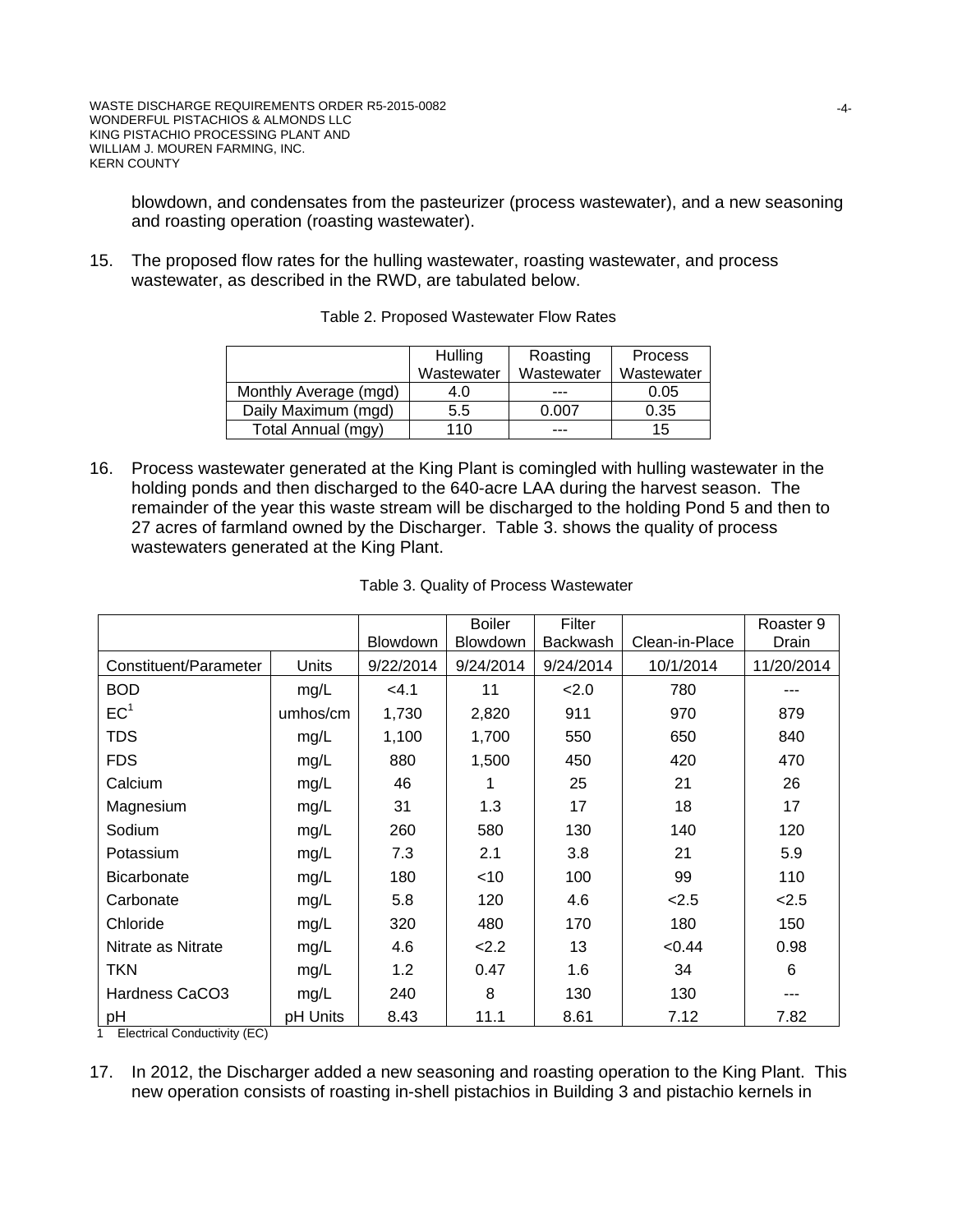blowdown, and condensates from the pasteurizer (process wastewater), and a new seasoning and roasting operation (roasting wastewater).

15. The proposed flow rates for the hulling wastewater, roasting wastewater, and process wastewater, as described in the RWD, are tabulated below.

|                       | Hulling<br>Wastewater | Roasting<br>Wastewater | <b>Process</b><br>Wastewater |
|-----------------------|-----------------------|------------------------|------------------------------|
| Monthly Average (mgd) | 4.0                   | ---                    | 0.05                         |
| Daily Maximum (mgd)   | 5.5                   | 0.007                  | 0.35                         |
| Total Annual (mgy)    | 110                   | ---                    | 15                           |

Table 2. Proposed Wastewater Flow Rates

16. Process wastewater generated at the King Plant is comingled with hulling wastewater in the holding ponds and then discharged to the 640-acre LAA during the harvest season. The remainder of the year this waste stream will be discharged to the holding Pond 5 and then to 27 acres of farmland owned by the Discharger. Table 3. shows the quality of process wastewaters generated at the King Plant.

|                       |          |                 | <b>Boiler</b>   | Filter          |                | Roaster 9  |
|-----------------------|----------|-----------------|-----------------|-----------------|----------------|------------|
|                       |          | <b>Blowdown</b> | <b>Blowdown</b> | <b>Backwash</b> | Clean-in-Place | Drain      |
| Constituent/Parameter | Units    | 9/22/2014       | 9/24/2014       | 9/24/2014       | 10/1/2014      | 11/20/2014 |
| <b>BOD</b>            | mg/L     | < 4.1           | 11              | 2.0             | 780            |            |
| EC <sup>1</sup>       | umhos/cm | 1,730           | 2,820           | 911             | 970            | 879        |
| <b>TDS</b>            | mg/L     | 1,100           | 1,700           | 550             | 650            | 840        |
| <b>FDS</b>            | mg/L     | 880             | 1,500           | 450             | 420            | 470        |
| Calcium               | mg/L     | 46              | 1               | 25              | 21             | 26         |
| Magnesium             | mg/L     | 31              | 1.3             | 17              | 18             | 17         |
| Sodium                | mg/L     | 260             | 580             | 130             | 140            | 120        |
| Potassium             | mg/L     | 7.3             | 2.1             | 3.8             | 21             | 5.9        |
| <b>Bicarbonate</b>    | mg/L     | 180             | $<$ 10          | 100             | 99             | 110        |
| Carbonate             | mg/L     | 5.8             | 120             | 4.6             | 2.5            | 2.5        |
| Chloride              | mg/L     | 320             | 480             | 170             | 180            | 150        |
| Nitrate as Nitrate    | mg/L     | 4.6             | 2.2             | 13              | < 0.44         | 0.98       |
| <b>TKN</b>            | mg/L     | 1.2             | 0.47            | 1.6             | 34             | 6          |
| Hardness CaCO3        | mg/L     | 240             | 8               | 130             | 130            | ---        |
| pH                    | pH Units | 8.43            | 11.1            | 8.61            | 7.12           | 7.82       |

1 Electrical Conductivity (EC)

17. In 2012, the Discharger added a new seasoning and roasting operation to the King Plant. This new operation consists of roasting in-shell pistachios in Building 3 and pistachio kernels in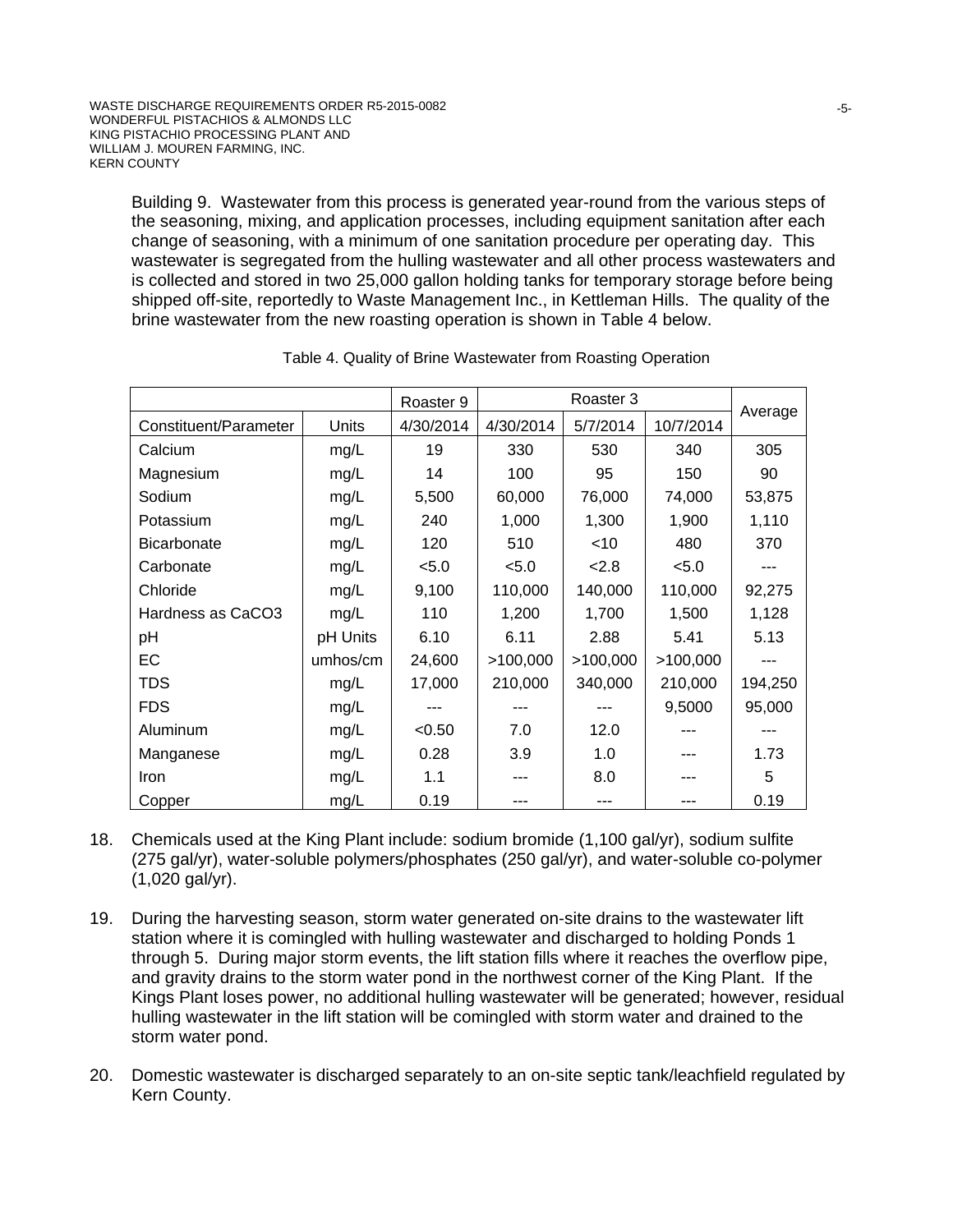Building 9. Wastewater from this process is generated year-round from the various steps of the seasoning, mixing, and application processes, including equipment sanitation after each change of seasoning, with a minimum of one sanitation procedure per operating day. This wastewater is segregated from the hulling wastewater and all other process wastewaters and is collected and stored in two 25,000 gallon holding tanks for temporary storage before being shipped off-site, reportedly to Waste Management Inc., in Kettleman Hills. The quality of the brine wastewater from the new roasting operation is shown in Table 4 below.

|                       |          | Roaster 9 | Roaster 3 |          |           | Average |
|-----------------------|----------|-----------|-----------|----------|-----------|---------|
| Constituent/Parameter | Units    | 4/30/2014 | 4/30/2014 | 5/7/2014 | 10/7/2014 |         |
| Calcium               | mg/L     | 19        | 330       | 530      | 340       | 305     |
| Magnesium             | mg/L     | 14        | 100       | 95       | 150       | 90      |
| Sodium                | mg/L     | 5,500     | 60,000    | 76,000   | 74,000    | 53,875  |
| Potassium             | mg/L     | 240       | 1,000     | 1,300    | 1,900     | 1,110   |
| <b>Bicarbonate</b>    | mg/L     | 120       | 510       | $<$ 10   | 480       | 370     |
| Carbonate             | mg/L     | < 5.0     | < 5.0     | 2.8      | < 5.0     | ---     |
| Chloride              | mg/L     | 9,100     | 110,000   | 140,000  | 110,000   | 92,275  |
| Hardness as CaCO3     | mg/L     | 110       | 1,200     | 1,700    | 1,500     | 1,128   |
| pH                    | pH Units | 6.10      | 6.11      | 2.88     | 5.41      | 5.13    |
| EC                    | umhos/cm | 24,600    | >100,000  | >100,000 | >100,000  | ---     |
| <b>TDS</b>            | mg/L     | 17,000    | 210,000   | 340,000  | 210,000   | 194,250 |
| <b>FDS</b>            | mg/L     | ---       | $- - -$   | ---      | 9,5000    | 95,000  |
| Aluminum              | mg/L     | < 0.50    | 7.0       | 12.0     |           | ---     |
| Manganese             | mg/L     | 0.28      | 3.9       | 1.0      | ---       | 1.73    |
| Iron                  | mg/L     | 1.1       |           | 8.0      |           | 5       |
| Copper                | mg/L     | 0.19      |           | ---      |           | 0.19    |

- 18. Chemicals used at the King Plant include: sodium bromide (1,100 gal/yr), sodium sulfite (275 gal/yr), water-soluble polymers/phosphates (250 gal/yr), and water-soluble co-polymer (1,020 gal/yr).
- 19. During the harvesting season, storm water generated on-site drains to the wastewater lift station where it is comingled with hulling wastewater and discharged to holding Ponds 1 through 5. During major storm events, the lift station fills where it reaches the overflow pipe, and gravity drains to the storm water pond in the northwest corner of the King Plant. If the Kings Plant loses power, no additional hulling wastewater will be generated; however, residual hulling wastewater in the lift station will be comingled with storm water and drained to the storm water pond.
- 20. Domestic wastewater is discharged separately to an on-site septic tank/leachfield regulated by Kern County.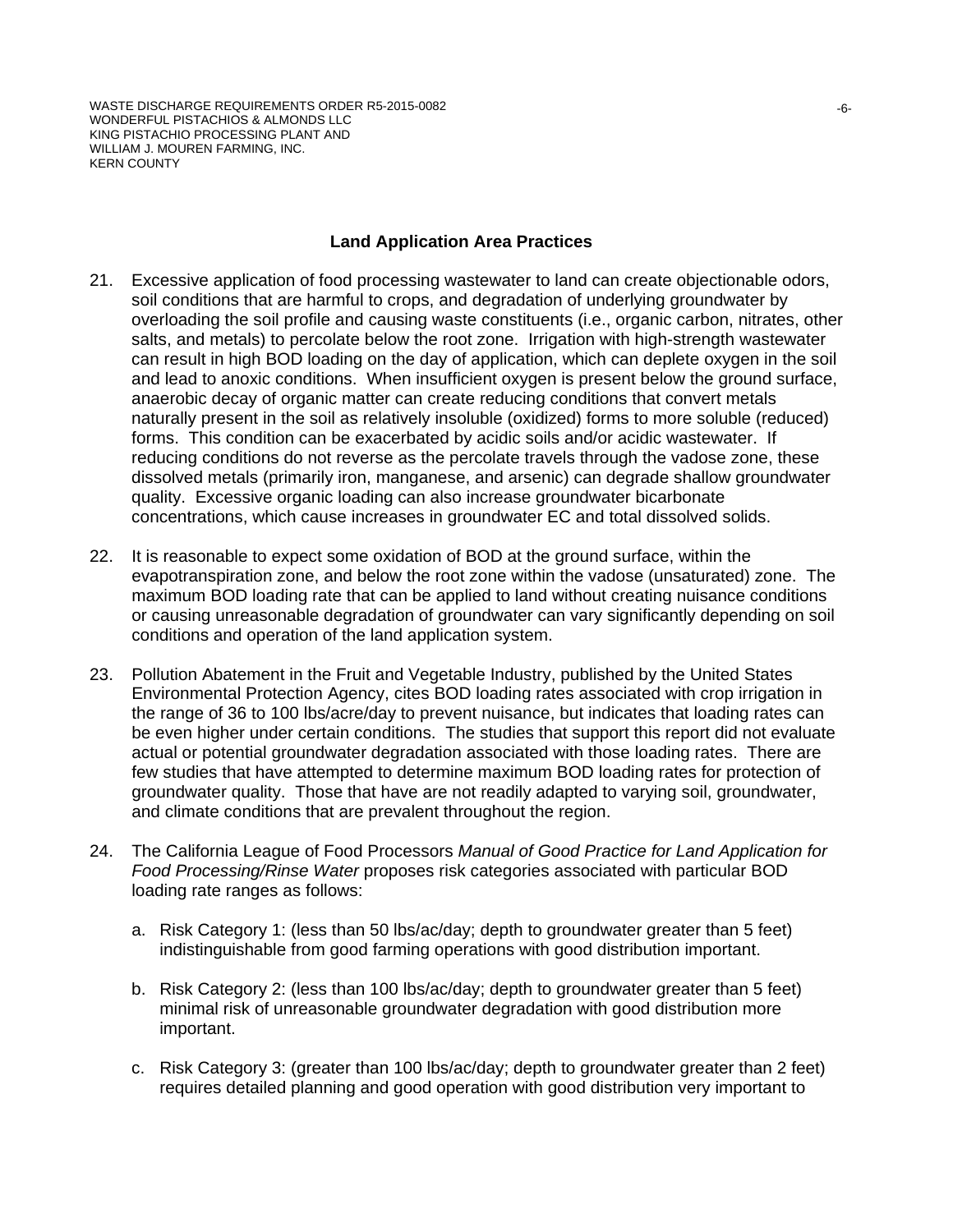WASTE DISCHARGE REQUIREMENTS ORDER R5-2015-0082 WONDERFUL PISTACHIOS & ALMONDS LLC KING PISTACHIO PROCESSING PLANT AND WILLIAM J. MOUREN FARMING, INC. KERN COUNTY

#### **Land Application Area Practices**

- 21. Excessive application of food processing wastewater to land can create objectionable odors, soil conditions that are harmful to crops, and degradation of underlying groundwater by overloading the soil profile and causing waste constituents (i.e., organic carbon, nitrates, other salts, and metals) to percolate below the root zone. Irrigation with high-strength wastewater can result in high BOD loading on the day of application, which can deplete oxygen in the soil and lead to anoxic conditions. When insufficient oxygen is present below the ground surface, anaerobic decay of organic matter can create reducing conditions that convert metals naturally present in the soil as relatively insoluble (oxidized) forms to more soluble (reduced) forms. This condition can be exacerbated by acidic soils and/or acidic wastewater. If reducing conditions do not reverse as the percolate travels through the vadose zone, these dissolved metals (primarily iron, manganese, and arsenic) can degrade shallow groundwater quality. Excessive organic loading can also increase groundwater bicarbonate concentrations, which cause increases in groundwater EC and total dissolved solids.
- 22. It is reasonable to expect some oxidation of BOD at the ground surface, within the evapotranspiration zone, and below the root zone within the vadose (unsaturated) zone. The maximum BOD loading rate that can be applied to land without creating nuisance conditions or causing unreasonable degradation of groundwater can vary significantly depending on soil conditions and operation of the land application system.
- 23. Pollution Abatement in the Fruit and Vegetable Industry, published by the United States Environmental Protection Agency, cites BOD loading rates associated with crop irrigation in the range of 36 to 100 lbs/acre/day to prevent nuisance, but indicates that loading rates can be even higher under certain conditions. The studies that support this report did not evaluate actual or potential groundwater degradation associated with those loading rates. There are few studies that have attempted to determine maximum BOD loading rates for protection of groundwater quality. Those that have are not readily adapted to varying soil, groundwater, and climate conditions that are prevalent throughout the region.
- 24. The California League of Food Processors *Manual of Good Practice for Land Application for Food Processing/Rinse Water* proposes risk categories associated with particular BOD loading rate ranges as follows:
	- a. Risk Category 1: (less than 50 lbs/ac/day; depth to groundwater greater than 5 feet) indistinguishable from good farming operations with good distribution important.
	- b. Risk Category 2: (less than 100 lbs/ac/day; depth to groundwater greater than 5 feet) minimal risk of unreasonable groundwater degradation with good distribution more important.
	- c. Risk Category 3: (greater than 100 lbs/ac/day; depth to groundwater greater than 2 feet) requires detailed planning and good operation with good distribution very important to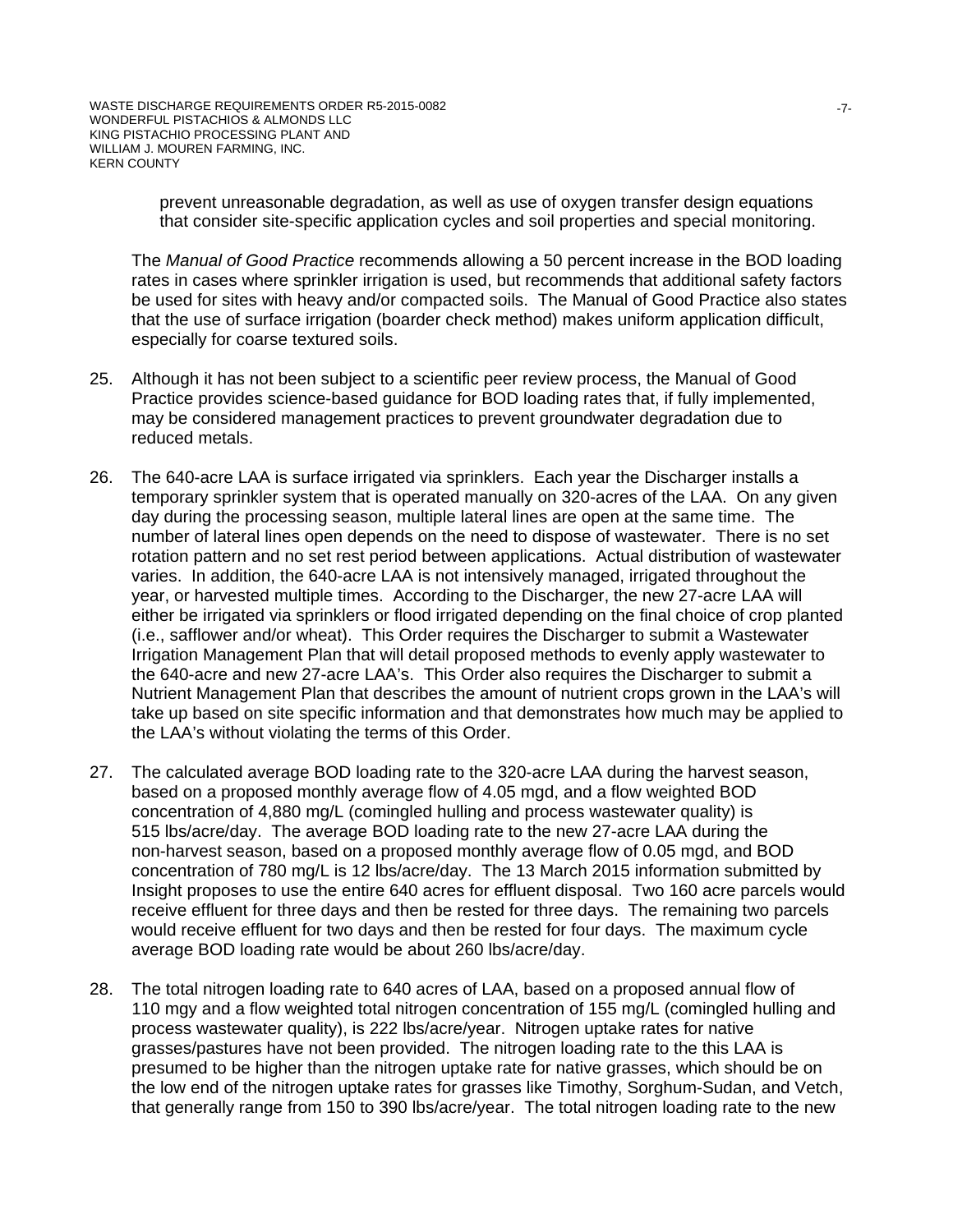prevent unreasonable degradation, as well as use of oxygen transfer design equations that consider site-specific application cycles and soil properties and special monitoring.

The *Manual of Good Practice* recommends allowing a 50 percent increase in the BOD loading rates in cases where sprinkler irrigation is used, but recommends that additional safety factors be used for sites with heavy and/or compacted soils. The Manual of Good Practice also states that the use of surface irrigation (boarder check method) makes uniform application difficult, especially for coarse textured soils.

- 25. Although it has not been subject to a scientific peer review process, the Manual of Good Practice provides science-based guidance for BOD loading rates that, if fully implemented, may be considered management practices to prevent groundwater degradation due to reduced metals.
- 26. The 640-acre LAA is surface irrigated via sprinklers. Each year the Discharger installs a temporary sprinkler system that is operated manually on 320-acres of the LAA. On any given day during the processing season, multiple lateral lines are open at the same time. The number of lateral lines open depends on the need to dispose of wastewater. There is no set rotation pattern and no set rest period between applications. Actual distribution of wastewater varies. In addition, the 640-acre LAA is not intensively managed, irrigated throughout the year, or harvested multiple times. According to the Discharger, the new 27-acre LAA will either be irrigated via sprinklers or flood irrigated depending on the final choice of crop planted (i.e., safflower and/or wheat). This Order requires the Discharger to submit a Wastewater Irrigation Management Plan that will detail proposed methods to evenly apply wastewater to the 640-acre and new 27-acre LAA's. This Order also requires the Discharger to submit a Nutrient Management Plan that describes the amount of nutrient crops grown in the LAA's will take up based on site specific information and that demonstrates how much may be applied to the LAA's without violating the terms of this Order.
- 27. The calculated average BOD loading rate to the 320-acre LAA during the harvest season, based on a proposed monthly average flow of 4.05 mgd, and a flow weighted BOD concentration of 4,880 mg/L (comingled hulling and process wastewater quality) is 515 lbs/acre/day. The average BOD loading rate to the new 27-acre LAA during the non-harvest season, based on a proposed monthly average flow of 0.05 mgd, and BOD concentration of 780 mg/L is 12 lbs/acre/day. The 13 March 2015 information submitted by Insight proposes to use the entire 640 acres for effluent disposal. Two 160 acre parcels would receive effluent for three days and then be rested for three days. The remaining two parcels would receive effluent for two days and then be rested for four days. The maximum cycle average BOD loading rate would be about 260 lbs/acre/day.
- 28. The total nitrogen loading rate to 640 acres of LAA, based on a proposed annual flow of 110 mgy and a flow weighted total nitrogen concentration of 155 mg/L (comingled hulling and process wastewater quality), is 222 lbs/acre/year. Nitrogen uptake rates for native grasses/pastures have not been provided. The nitrogen loading rate to the this LAA is presumed to be higher than the nitrogen uptake rate for native grasses, which should be on the low end of the nitrogen uptake rates for grasses like Timothy, Sorghum-Sudan, and Vetch, that generally range from 150 to 390 lbs/acre/year. The total nitrogen loading rate to the new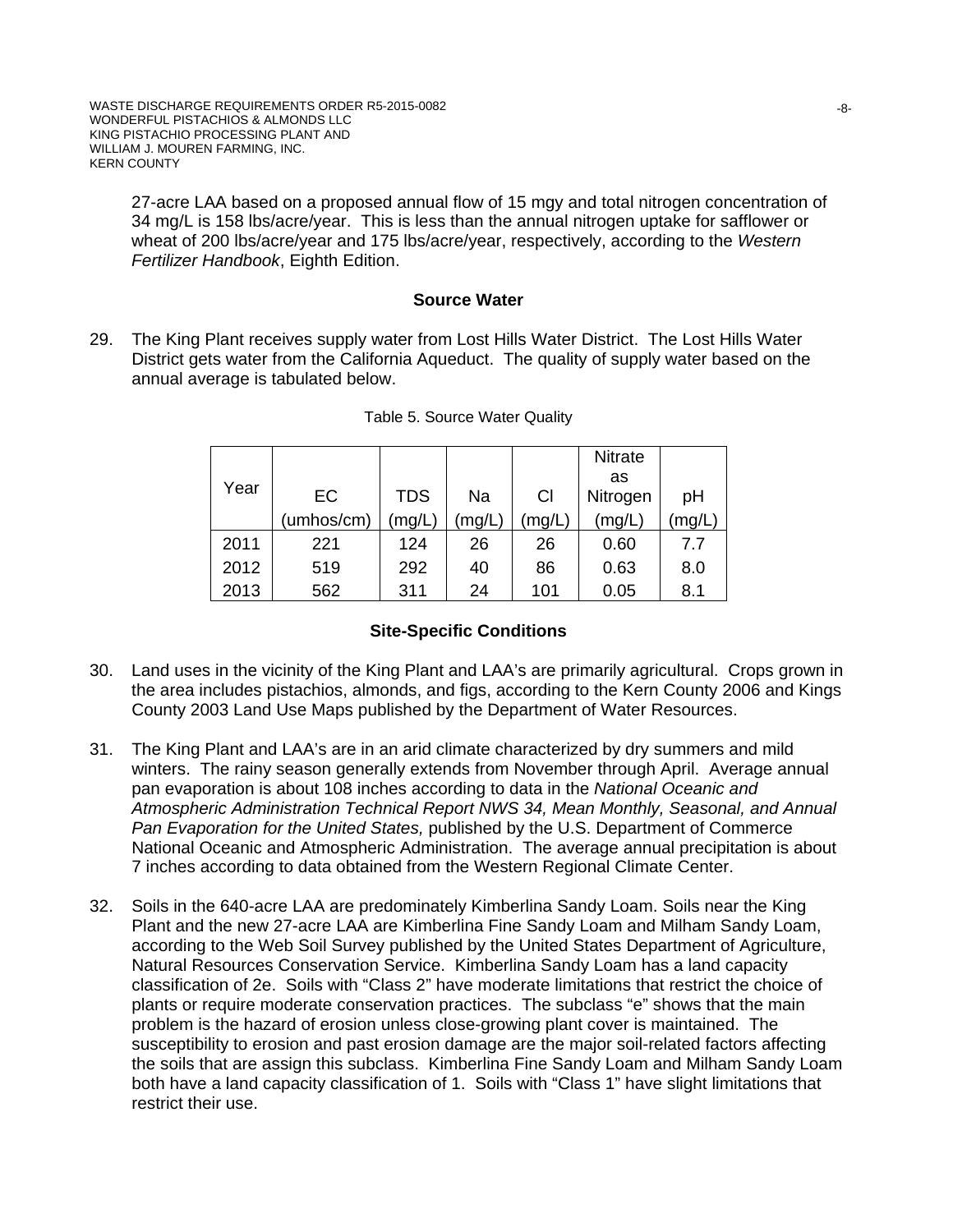27-acre LAA based on a proposed annual flow of 15 mgy and total nitrogen concentration of 34 mg/L is 158 lbs/acre/year. This is less than the annual nitrogen uptake for safflower or wheat of 200 lbs/acre/year and 175 lbs/acre/year, respectively, according to the *Western Fertilizer Handbook*, Eighth Edition.

#### **Source Water**

29. The King Plant receives supply water from Lost Hills Water District. The Lost Hills Water District gets water from the California Aqueduct. The quality of supply water based on the annual average is tabulated below.

|      |            |            |      |       | <b>Nitrate</b> |       |
|------|------------|------------|------|-------|----------------|-------|
|      |            |            |      |       | as             |       |
| Year | EC         | <b>TDS</b> | Na   | CI    | Nitrogen       | рH    |
|      | (umhos/cm) | (mg/L)     | mg/L | mg/L) | (mg/L)         | (mg/L |
| 2011 | 221        | 124        | 26   | 26    | 0.60           | 7.7   |
| 2012 | 519        | 292        | 40   | 86    | 0.63           | 8.0   |
| 2013 | 562        | 311        | 24   | 101   | 0.05           | 8.1   |

#### **Site-Specific Conditions**

- 30. Land uses in the vicinity of the King Plant and LAA's are primarily agricultural. Crops grown in the area includes pistachios, almonds, and figs, according to the Kern County 2006 and Kings County 2003 Land Use Maps published by the Department of Water Resources.
- 31. The King Plant and LAA's are in an arid climate characterized by dry summers and mild winters. The rainy season generally extends from November through April. Average annual pan evaporation is about 108 inches according to data in the *National Oceanic and Atmospheric Administration Technical Report NWS 34, Mean Monthly, Seasonal, and Annual Pan Evaporation for the United States,* published by the U.S. Department of Commerce National Oceanic and Atmospheric Administration. The average annual precipitation is about 7 inches according to data obtained from the Western Regional Climate Center.
- 32. Soils in the 640-acre LAA are predominately Kimberlina Sandy Loam. Soils near the King Plant and the new 27-acre LAA are Kimberlina Fine Sandy Loam and Milham Sandy Loam, according to the Web Soil Survey published by the United States Department of Agriculture, Natural Resources Conservation Service. Kimberlina Sandy Loam has a land capacity classification of 2e. Soils with "Class 2" have moderate limitations that restrict the choice of plants or require moderate conservation practices. The subclass "e" shows that the main problem is the hazard of erosion unless close-growing plant cover is maintained. The susceptibility to erosion and past erosion damage are the major soil-related factors affecting the soils that are assign this subclass. Kimberlina Fine Sandy Loam and Milham Sandy Loam both have a land capacity classification of 1. Soils with "Class 1" have slight limitations that restrict their use.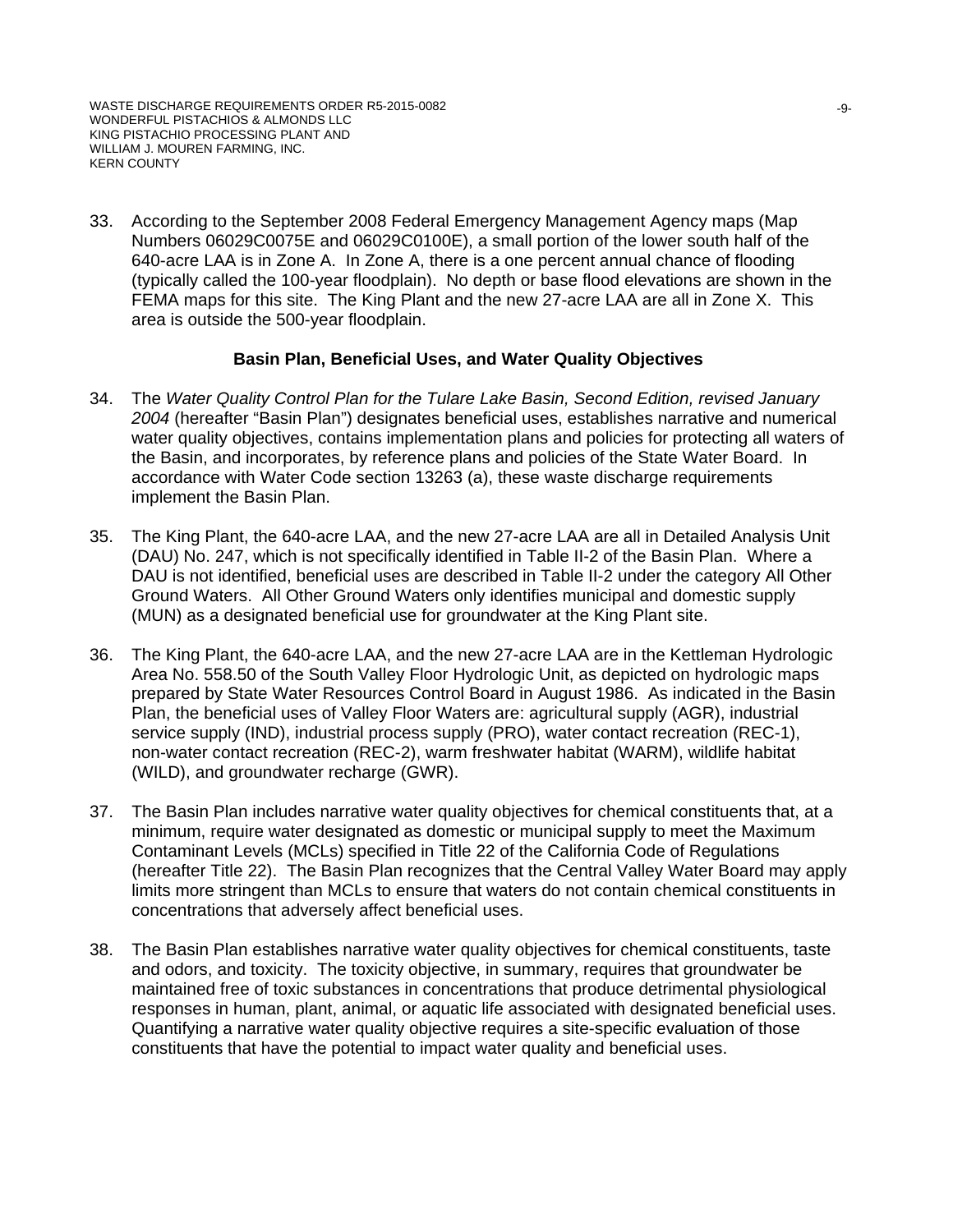33. According to the September 2008 Federal Emergency Management Agency maps (Map Numbers 06029C0075E and 06029C0100E), a small portion of the lower south half of the 640-acre LAA is in Zone A. In Zone A, there is a one percent annual chance of flooding (typically called the 100-year floodplain). No depth or base flood elevations are shown in the FEMA maps for this site. The King Plant and the new 27-acre LAA are all in Zone X. This area is outside the 500-year floodplain.

#### **Basin Plan, Beneficial Uses, and Water Quality Objectives**

- 34. The *Water Quality Control Plan for the Tulare Lake Basin, Second Edition, revised January 2004* (hereafter "Basin Plan") designates beneficial uses, establishes narrative and numerical water quality objectives, contains implementation plans and policies for protecting all waters of the Basin, and incorporates, by reference plans and policies of the State Water Board. In accordance with Water Code section 13263 (a), these waste discharge requirements implement the Basin Plan.
- 35. The King Plant, the 640-acre LAA, and the new 27-acre LAA are all in Detailed Analysis Unit (DAU) No. 247, which is not specifically identified in Table II-2 of the Basin Plan. Where a DAU is not identified, beneficial uses are described in Table II-2 under the category All Other Ground Waters. All Other Ground Waters only identifies municipal and domestic supply (MUN) as a designated beneficial use for groundwater at the King Plant site.
- 36. The King Plant, the 640-acre LAA, and the new 27-acre LAA are in the Kettleman Hydrologic Area No. 558.50 of the South Valley Floor Hydrologic Unit, as depicted on hydrologic maps prepared by State Water Resources Control Board in August 1986. As indicated in the Basin Plan, the beneficial uses of Valley Floor Waters are: agricultural supply (AGR), industrial service supply (IND), industrial process supply (PRO), water contact recreation (REC-1), non-water contact recreation (REC-2), warm freshwater habitat (WARM), wildlife habitat (WILD), and groundwater recharge (GWR).
- 37. The Basin Plan includes narrative water quality objectives for chemical constituents that, at a minimum, require water designated as domestic or municipal supply to meet the Maximum Contaminant Levels (MCLs) specified in Title 22 of the California Code of Regulations (hereafter Title 22). The Basin Plan recognizes that the Central Valley Water Board may apply limits more stringent than MCLs to ensure that waters do not contain chemical constituents in concentrations that adversely affect beneficial uses.
- 38. The Basin Plan establishes narrative water quality objectives for chemical constituents, taste and odors, and toxicity. The toxicity objective, in summary, requires that groundwater be maintained free of toxic substances in concentrations that produce detrimental physiological responses in human, plant, animal, or aquatic life associated with designated beneficial uses. Quantifying a narrative water quality objective requires a site-specific evaluation of those constituents that have the potential to impact water quality and beneficial uses.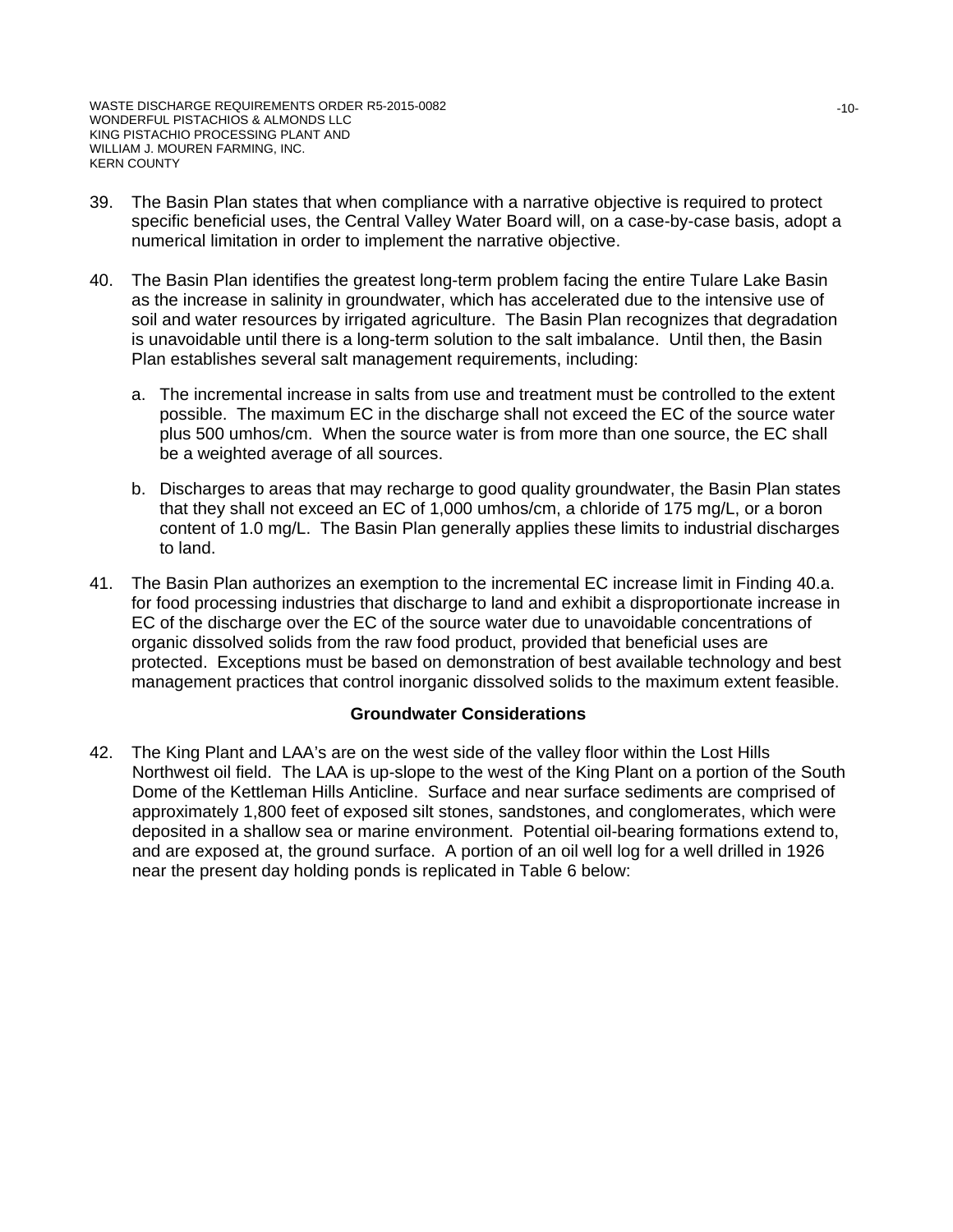- 39. The Basin Plan states that when compliance with a narrative objective is required to protect specific beneficial uses, the Central Valley Water Board will, on a case-by-case basis, adopt a numerical limitation in order to implement the narrative objective.
- 40. The Basin Plan identifies the greatest long-term problem facing the entire Tulare Lake Basin as the increase in salinity in groundwater, which has accelerated due to the intensive use of soil and water resources by irrigated agriculture. The Basin Plan recognizes that degradation is unavoidable until there is a long-term solution to the salt imbalance. Until then, the Basin Plan establishes several salt management requirements, including:
	- a. The incremental increase in salts from use and treatment must be controlled to the extent possible. The maximum EC in the discharge shall not exceed the EC of the source water plus 500 umhos/cm. When the source water is from more than one source, the EC shall be a weighted average of all sources.
	- b. Discharges to areas that may recharge to good quality groundwater, the Basin Plan states that they shall not exceed an EC of 1,000 umhos/cm, a chloride of 175 mg/L, or a boron content of 1.0 mg/L. The Basin Plan generally applies these limits to industrial discharges to land.
- 41. The Basin Plan authorizes an exemption to the incremental EC increase limit in Finding 40.a. for food processing industries that discharge to land and exhibit a disproportionate increase in EC of the discharge over the EC of the source water due to unavoidable concentrations of organic dissolved solids from the raw food product, provided that beneficial uses are protected. Exceptions must be based on demonstration of best available technology and best management practices that control inorganic dissolved solids to the maximum extent feasible.

#### **Groundwater Considerations**

42. The King Plant and LAA's are on the west side of the valley floor within the Lost Hills Northwest oil field. The LAA is up-slope to the west of the King Plant on a portion of the South Dome of the Kettleman Hills Anticline. Surface and near surface sediments are comprised of approximately 1,800 feet of exposed silt stones, sandstones, and conglomerates, which were deposited in a shallow sea or marine environment. Potential oil-bearing formations extend to, and are exposed at, the ground surface. A portion of an oil well log for a well drilled in 1926 near the present day holding ponds is replicated in Table 6 below: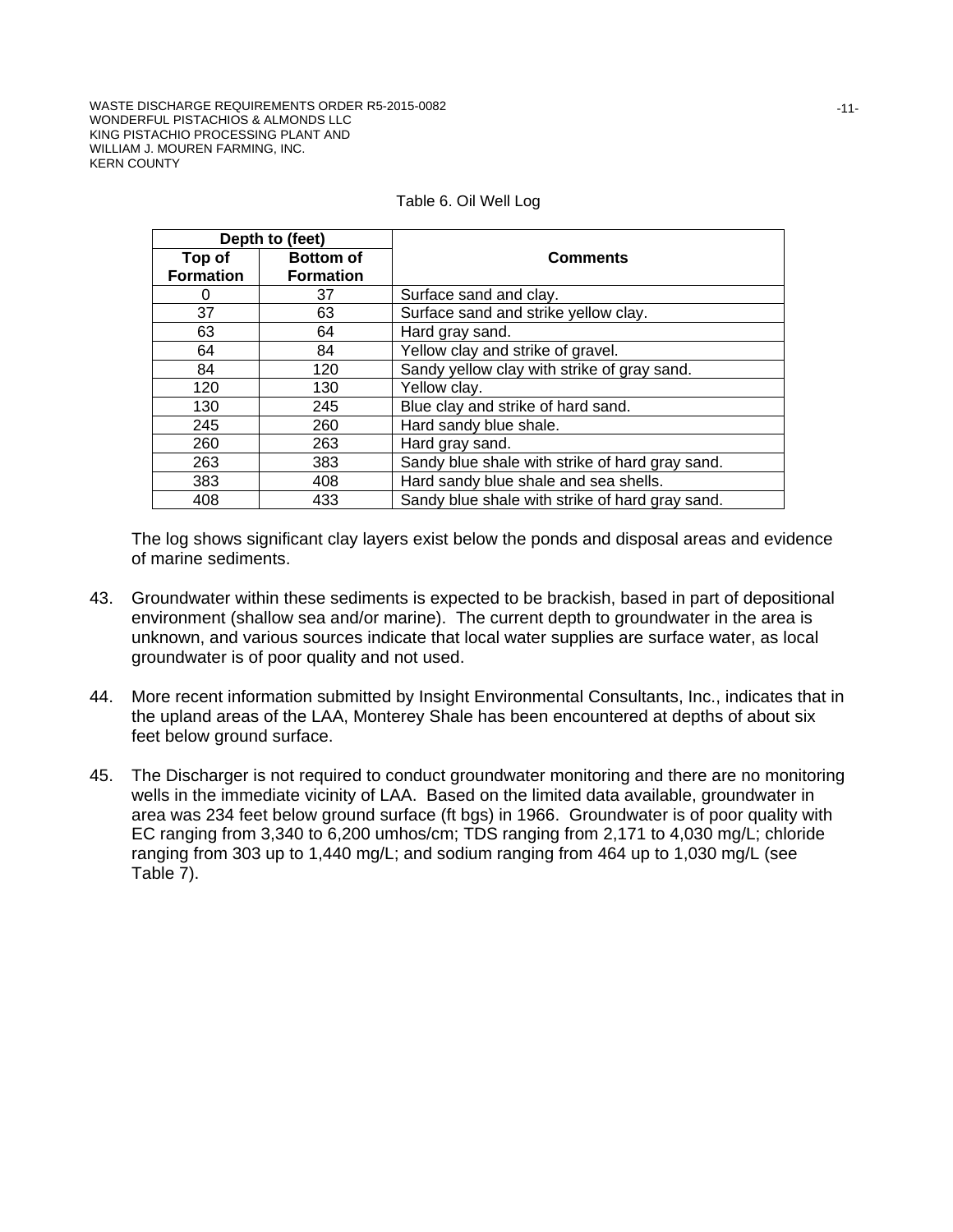WASTE DISCHARGE REQUIREMENTS ORDER R5-2015-0082 WONDERFUL PISTACHIOS & ALMONDS LLC KING PISTACHIO PROCESSING PLANT AND WILLIAM J. MOUREN FARMING, INC. KERN COUNTY

|                  | Depth to (feet)  |                                                 |  |
|------------------|------------------|-------------------------------------------------|--|
| Top of           | <b>Bottom of</b> | <b>Comments</b>                                 |  |
| <b>Formation</b> | <b>Formation</b> |                                                 |  |
| 0                | 37               | Surface sand and clay.                          |  |
| 37               | 63               | Surface sand and strike yellow clay.            |  |
| 63               | 64               | Hard gray sand.                                 |  |
| 64               | 84               | Yellow clay and strike of gravel.               |  |
| 84               | 120              | Sandy yellow clay with strike of gray sand.     |  |
| 120              | 130              | Yellow clay.                                    |  |
| 130              | 245              | Blue clay and strike of hard sand.              |  |
| 245              | 260              | Hard sandy blue shale.                          |  |
| 260              | 263              | Hard gray sand.                                 |  |
| 263              | 383              | Sandy blue shale with strike of hard gray sand. |  |
| 383              | 408              | Hard sandy blue shale and sea shells.           |  |
| 408              | 433              | Sandy blue shale with strike of hard gray sand. |  |

#### Table 6. Oil Well Log

The log shows significant clay layers exist below the ponds and disposal areas and evidence of marine sediments.

- 43. Groundwater within these sediments is expected to be brackish, based in part of depositional environment (shallow sea and/or marine). The current depth to groundwater in the area is unknown, and various sources indicate that local water supplies are surface water, as local groundwater is of poor quality and not used.
- 44. More recent information submitted by Insight Environmental Consultants, Inc., indicates that in the upland areas of the LAA, Monterey Shale has been encountered at depths of about six feet below ground surface.
- 45. The Discharger is not required to conduct groundwater monitoring and there are no monitoring wells in the immediate vicinity of LAA. Based on the limited data available, groundwater in area was 234 feet below ground surface (ft bgs) in 1966. Groundwater is of poor quality with EC ranging from 3,340 to 6,200 umhos/cm; TDS ranging from 2,171 to 4,030 mg/L; chloride ranging from 303 up to 1,440 mg/L; and sodium ranging from 464 up to 1,030 mg/L (see Table 7).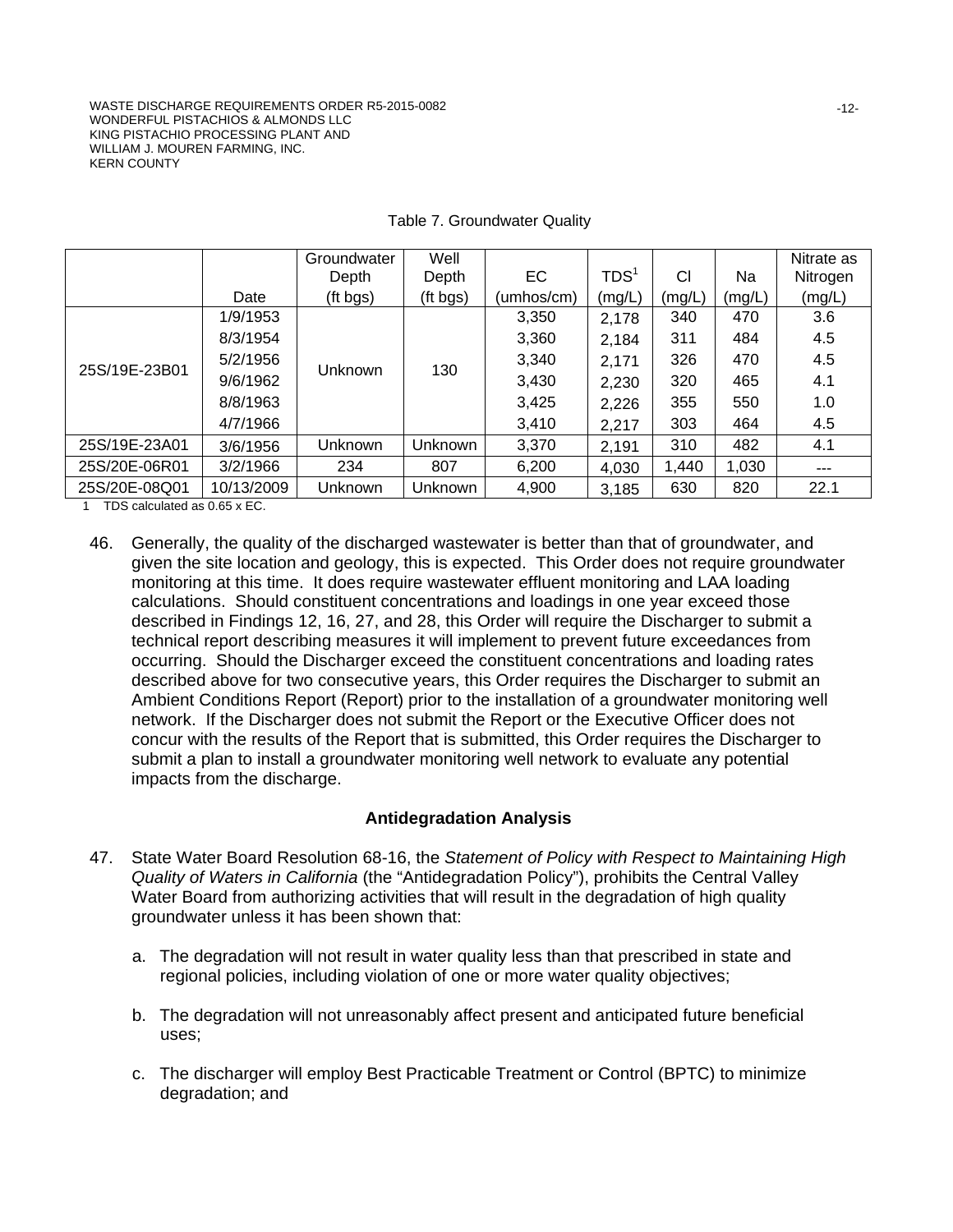|               |            | Groundwater | Well     |            |                  |        |        | Nitrate as |
|---------------|------------|-------------|----------|------------|------------------|--------|--------|------------|
|               |            | Depth       | Depth    | EC         | TDS <sup>1</sup> | CI     | Na     | Nitrogen   |
|               | Date       | (ft bgs)    | (ft bgs) | (umhos/cm) | (mg/L)           | (mg/L) | (mg/L) | (mg/L)     |
|               | 1/9/1953   |             | 130      | 3,350      | 2,178            | 340    | 470    | 3.6        |
|               | 8/3/1954   | Unknown     |          | 3,360      | 2,184            | 311    | 484    | 4.5        |
| 25S/19E-23B01 | 5/2/1956   |             |          | 3,340      | 2,171            | 326    | 470    | 4.5        |
|               | 9/6/1962   |             |          | 3,430      | 2,230            | 320    | 465    | 4.1        |
|               | 8/8/1963   |             |          | 3,425      | 2,226            | 355    | 550    | 1.0        |
|               | 4/7/1966   |             |          | 3,410      | 2,217            | 303    | 464    | 4.5        |
| 25S/19E-23A01 | 3/6/1956   | Unknown     | Unknown  | 3,370      | 2,191            | 310    | 482    | 4.1        |
| 25S/20E-06R01 | 3/2/1966   | 234         | 807      | 6,200      | 4,030            | 1,440  | 1,030  | $- - -$    |
| 25S/20E-08Q01 | 10/13/2009 | Unknown     | Unknown  | 4,900      | 3,185            | 630    | 820    | 22.1       |

#### Table 7. Groundwater Quality

1 TDS calculated as 0.65 x EC.

46. Generally, the quality of the discharged wastewater is better than that of groundwater, and given the site location and geology, this is expected. This Order does not require groundwater monitoring at this time. It does require wastewater effluent monitoring and LAA loading calculations. Should constituent concentrations and loadings in one year exceed those described in Findings 12, 16, 27, and 28, this Order will require the Discharger to submit a technical report describing measures it will implement to prevent future exceedances from occurring. Should the Discharger exceed the constituent concentrations and loading rates described above for two consecutive years, this Order requires the Discharger to submit an Ambient Conditions Report (Report) prior to the installation of a groundwater monitoring well network. If the Discharger does not submit the Report or the Executive Officer does not concur with the results of the Report that is submitted, this Order requires the Discharger to submit a plan to install a groundwater monitoring well network to evaluate any potential impacts from the discharge.

# **Antidegradation Analysis**

- 47. State Water Board Resolution 68-16, the *Statement of Policy with Respect to Maintaining High Quality of Waters in California* (the "Antidegradation Policy"), prohibits the Central Valley Water Board from authorizing activities that will result in the degradation of high quality groundwater unless it has been shown that:
	- a. The degradation will not result in water quality less than that prescribed in state and regional policies, including violation of one or more water quality objectives;
	- b. The degradation will not unreasonably affect present and anticipated future beneficial uses;
	- c. The discharger will employ Best Practicable Treatment or Control (BPTC) to minimize degradation; and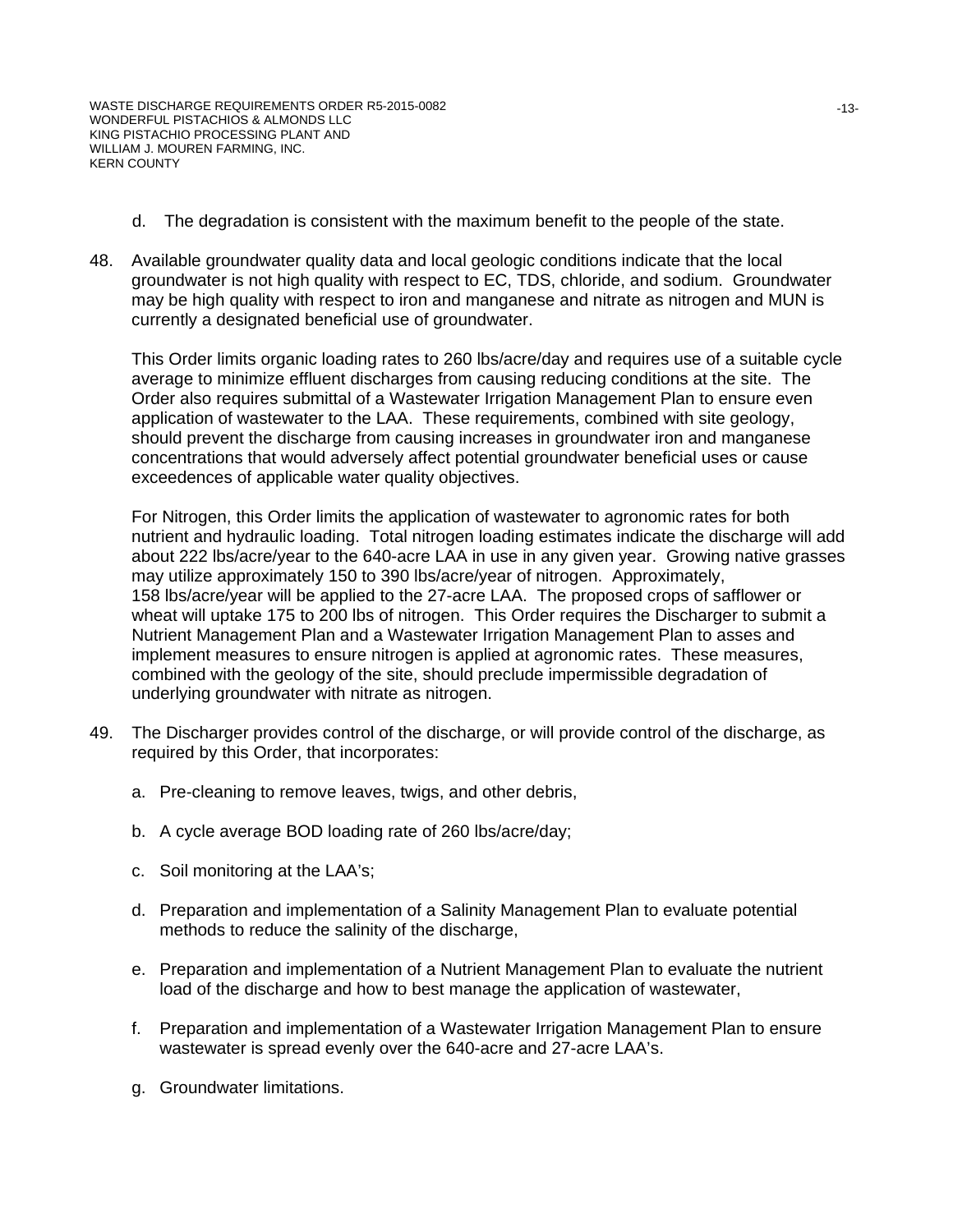- d. The degradation is consistent with the maximum benefit to the people of the state.
- 48. Available groundwater quality data and local geologic conditions indicate that the local groundwater is not high quality with respect to EC, TDS, chloride, and sodium. Groundwater may be high quality with respect to iron and manganese and nitrate as nitrogen and MUN is currently a designated beneficial use of groundwater.

This Order limits organic loading rates to 260 lbs/acre/day and requires use of a suitable cycle average to minimize effluent discharges from causing reducing conditions at the site. The Order also requires submittal of a Wastewater Irrigation Management Plan to ensure even application of wastewater to the LAA. These requirements, combined with site geology, should prevent the discharge from causing increases in groundwater iron and manganese concentrations that would adversely affect potential groundwater beneficial uses or cause exceedences of applicable water quality objectives.

For Nitrogen, this Order limits the application of wastewater to agronomic rates for both nutrient and hydraulic loading. Total nitrogen loading estimates indicate the discharge will add about 222 lbs/acre/year to the 640-acre LAA in use in any given year. Growing native grasses may utilize approximately 150 to 390 lbs/acre/year of nitrogen. Approximately, 158 lbs/acre/year will be applied to the 27-acre LAA. The proposed crops of safflower or wheat will uptake 175 to 200 lbs of nitrogen. This Order requires the Discharger to submit a Nutrient Management Plan and a Wastewater Irrigation Management Plan to asses and implement measures to ensure nitrogen is applied at agronomic rates. These measures, combined with the geology of the site, should preclude impermissible degradation of underlying groundwater with nitrate as nitrogen.

- 49. The Discharger provides control of the discharge, or will provide control of the discharge, as required by this Order, that incorporates:
	- a. Pre-cleaning to remove leaves, twigs, and other debris,
	- b. A cycle average BOD loading rate of 260 lbs/acre/day;
	- c. Soil monitoring at the LAA's;
	- d. Preparation and implementation of a Salinity Management Plan to evaluate potential methods to reduce the salinity of the discharge,
	- e. Preparation and implementation of a Nutrient Management Plan to evaluate the nutrient load of the discharge and how to best manage the application of wastewater,
	- f. Preparation and implementation of a Wastewater Irrigation Management Plan to ensure wastewater is spread evenly over the 640-acre and 27-acre LAA's.
	- g. Groundwater limitations.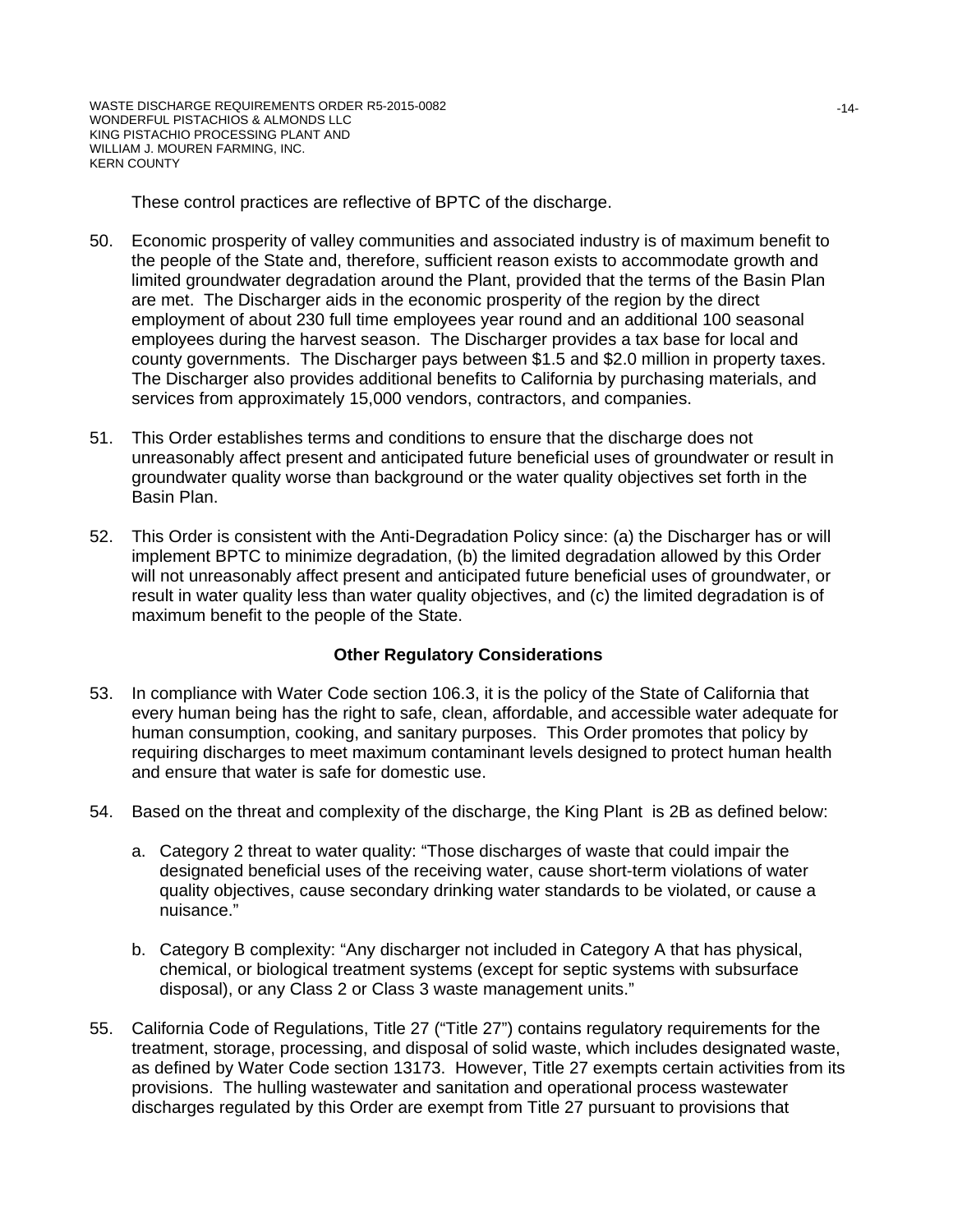These control practices are reflective of BPTC of the discharge.

- 50. Economic prosperity of valley communities and associated industry is of maximum benefit to the people of the State and, therefore, sufficient reason exists to accommodate growth and limited groundwater degradation around the Plant, provided that the terms of the Basin Plan are met. The Discharger aids in the economic prosperity of the region by the direct employment of about 230 full time employees year round and an additional 100 seasonal employees during the harvest season. The Discharger provides a tax base for local and county governments. The Discharger pays between \$1.5 and \$2.0 million in property taxes. The Discharger also provides additional benefits to California by purchasing materials, and services from approximately 15,000 vendors, contractors, and companies.
- 51. This Order establishes terms and conditions to ensure that the discharge does not unreasonably affect present and anticipated future beneficial uses of groundwater or result in groundwater quality worse than background or the water quality objectives set forth in the Basin Plan.
- 52. This Order is consistent with the Anti-Degradation Policy since: (a) the Discharger has or will implement BPTC to minimize degradation, (b) the limited degradation allowed by this Order will not unreasonably affect present and anticipated future beneficial uses of groundwater, or result in water quality less than water quality objectives, and (c) the limited degradation is of maximum benefit to the people of the State.

#### **Other Regulatory Considerations**

- 53. In compliance with Water Code section 106.3, it is the policy of the State of California that every human being has the right to safe, clean, affordable, and accessible water adequate for human consumption, cooking, and sanitary purposes. This Order promotes that policy by requiring discharges to meet maximum contaminant levels designed to protect human health and ensure that water is safe for domestic use.
- 54. Based on the threat and complexity of the discharge, the King Plant is 2B as defined below:
	- a. Category 2 threat to water quality: "Those discharges of waste that could impair the designated beneficial uses of the receiving water, cause short-term violations of water quality objectives, cause secondary drinking water standards to be violated, or cause a nuisance."
	- b. Category B complexity: "Any discharger not included in Category A that has physical, chemical, or biological treatment systems (except for septic systems with subsurface disposal), or any Class 2 or Class 3 waste management units."
- 55. California Code of Regulations, Title 27 ("Title 27") contains regulatory requirements for the treatment, storage, processing, and disposal of solid waste, which includes designated waste, as defined by Water Code section 13173. However, Title 27 exempts certain activities from its provisions. The hulling wastewater and sanitation and operational process wastewater discharges regulated by this Order are exempt from Title 27 pursuant to provisions that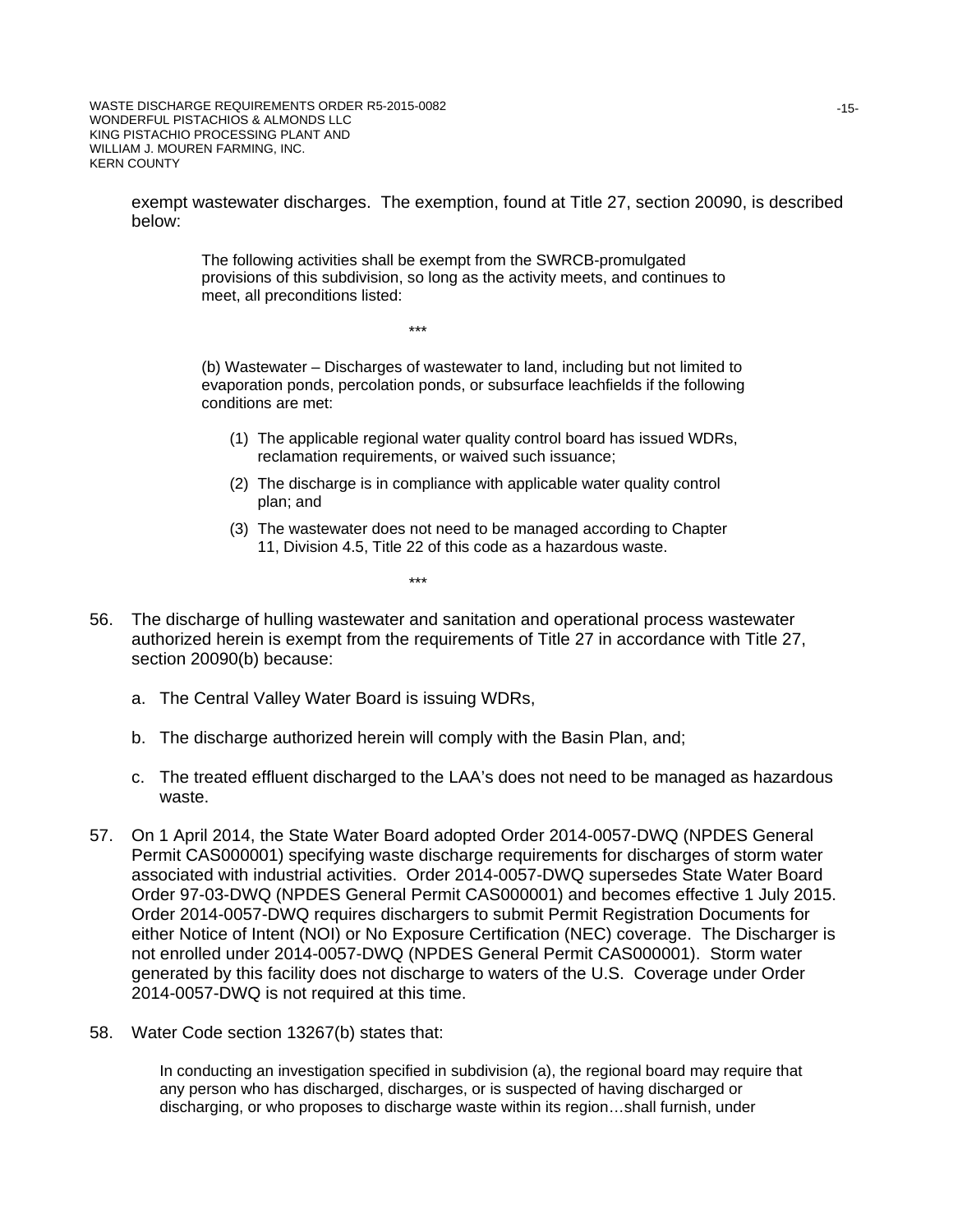WASTE DISCHARGE REQUIREMENTS ORDER R5-2015-0082 WONDERFUL PISTACHIOS & ALMONDS LLC KING PISTACHIO PROCESSING PLANT AND WILLIAM J. MOUREN FARMING, INC. KERN COUNTY

> exempt wastewater discharges. The exemption, found at Title 27, section 20090, is described below:

> > The following activities shall be exempt from the SWRCB-promulgated provisions of this subdivision, so long as the activity meets, and continues to meet, all preconditions listed:

> > > \*\*\*

(b) Wastewater – Discharges of wastewater to land, including but not limited to evaporation ponds, percolation ponds, or subsurface leachfields if the following conditions are met:

- (1) The applicable regional water quality control board has issued WDRs, reclamation requirements, or waived such issuance;
- (2) The discharge is in compliance with applicable water quality control plan; and
- (3) The wastewater does not need to be managed according to Chapter 11, Division 4.5, Title 22 of this code as a hazardous waste.
	- \*\*\*
- 56. The discharge of hulling wastewater and sanitation and operational process wastewater authorized herein is exempt from the requirements of Title 27 in accordance with Title 27, section 20090(b) because:
	- a. The Central Valley Water Board is issuing WDRs,
	- b. The discharge authorized herein will comply with the Basin Plan, and;
	- c. The treated effluent discharged to the LAA's does not need to be managed as hazardous waste.
- 57. On 1 April 2014, the State Water Board adopted Order 2014-0057-DWQ (NPDES General Permit CAS000001) specifying waste discharge requirements for discharges of storm water associated with industrial activities. Order 2014-0057-DWQ supersedes State Water Board Order 97-03-DWQ (NPDES General Permit CAS000001) and becomes effective 1 July 2015. Order 2014-0057-DWQ requires dischargers to submit Permit Registration Documents for either Notice of Intent (NOI) or No Exposure Certification (NEC) coverage. The Discharger is not enrolled under 2014-0057-DWQ (NPDES General Permit CAS000001). Storm water generated by this facility does not discharge to waters of the U.S. Coverage under Order 2014-0057-DWQ is not required at this time.
- 58. Water Code section 13267(b) states that:

In conducting an investigation specified in subdivision (a), the regional board may require that any person who has discharged, discharges, or is suspected of having discharged or discharging, or who proposes to discharge waste within its region…shall furnish, under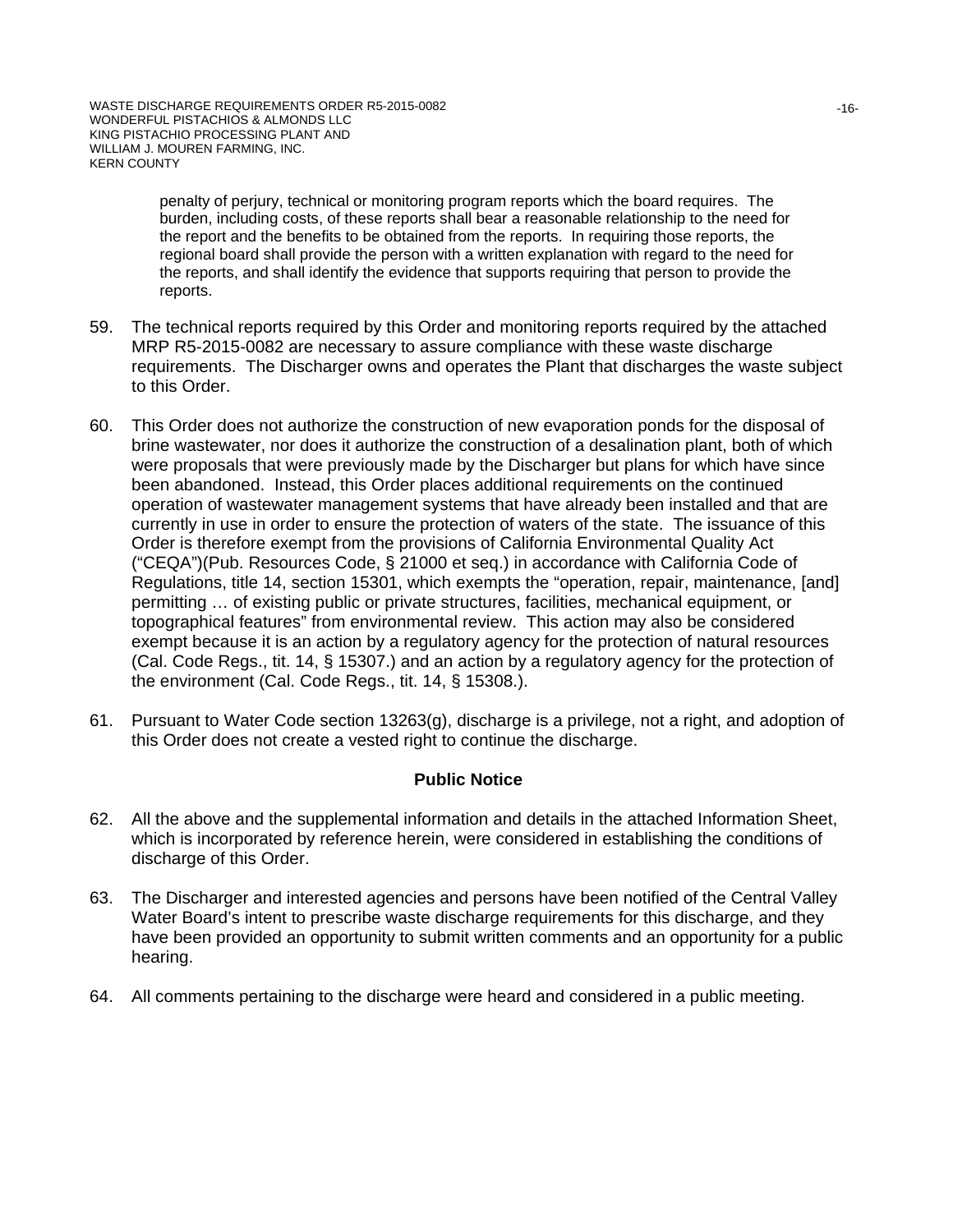penalty of perjury, technical or monitoring program reports which the board requires. The burden, including costs, of these reports shall bear a reasonable relationship to the need for the report and the benefits to be obtained from the reports. In requiring those reports, the regional board shall provide the person with a written explanation with regard to the need for the reports, and shall identify the evidence that supports requiring that person to provide the reports.

- 59. The technical reports required by this Order and monitoring reports required by the attached MRP R5-2015-0082 are necessary to assure compliance with these waste discharge requirements. The Discharger owns and operates the Plant that discharges the waste subject to this Order.
- 60. This Order does not authorize the construction of new evaporation ponds for the disposal of brine wastewater, nor does it authorize the construction of a desalination plant, both of which were proposals that were previously made by the Discharger but plans for which have since been abandoned. Instead, this Order places additional requirements on the continued operation of wastewater management systems that have already been installed and that are currently in use in order to ensure the protection of waters of the state. The issuance of this Order is therefore exempt from the provisions of California Environmental Quality Act ("CEQA")(Pub. Resources Code, § 21000 et seq.) in accordance with California Code of Regulations, title 14, section 15301, which exempts the "operation, repair, maintenance, [and] permitting … of existing public or private structures, facilities, mechanical equipment, or topographical features" from environmental review. This action may also be considered exempt because it is an action by a regulatory agency for the protection of natural resources (Cal. Code Regs., tit. 14, § 15307.) and an action by a regulatory agency for the protection of the environment (Cal. Code Regs., tit. 14, § 15308.).
- 61. Pursuant to Water Code section 13263(g), discharge is a privilege, not a right, and adoption of this Order does not create a vested right to continue the discharge.

# **Public Notice**

- 62. All the above and the supplemental information and details in the attached Information Sheet, which is incorporated by reference herein, were considered in establishing the conditions of discharge of this Order.
- 63. The Discharger and interested agencies and persons have been notified of the Central Valley Water Board's intent to prescribe waste discharge requirements for this discharge, and they have been provided an opportunity to submit written comments and an opportunity for a public hearing.
- 64. All comments pertaining to the discharge were heard and considered in a public meeting.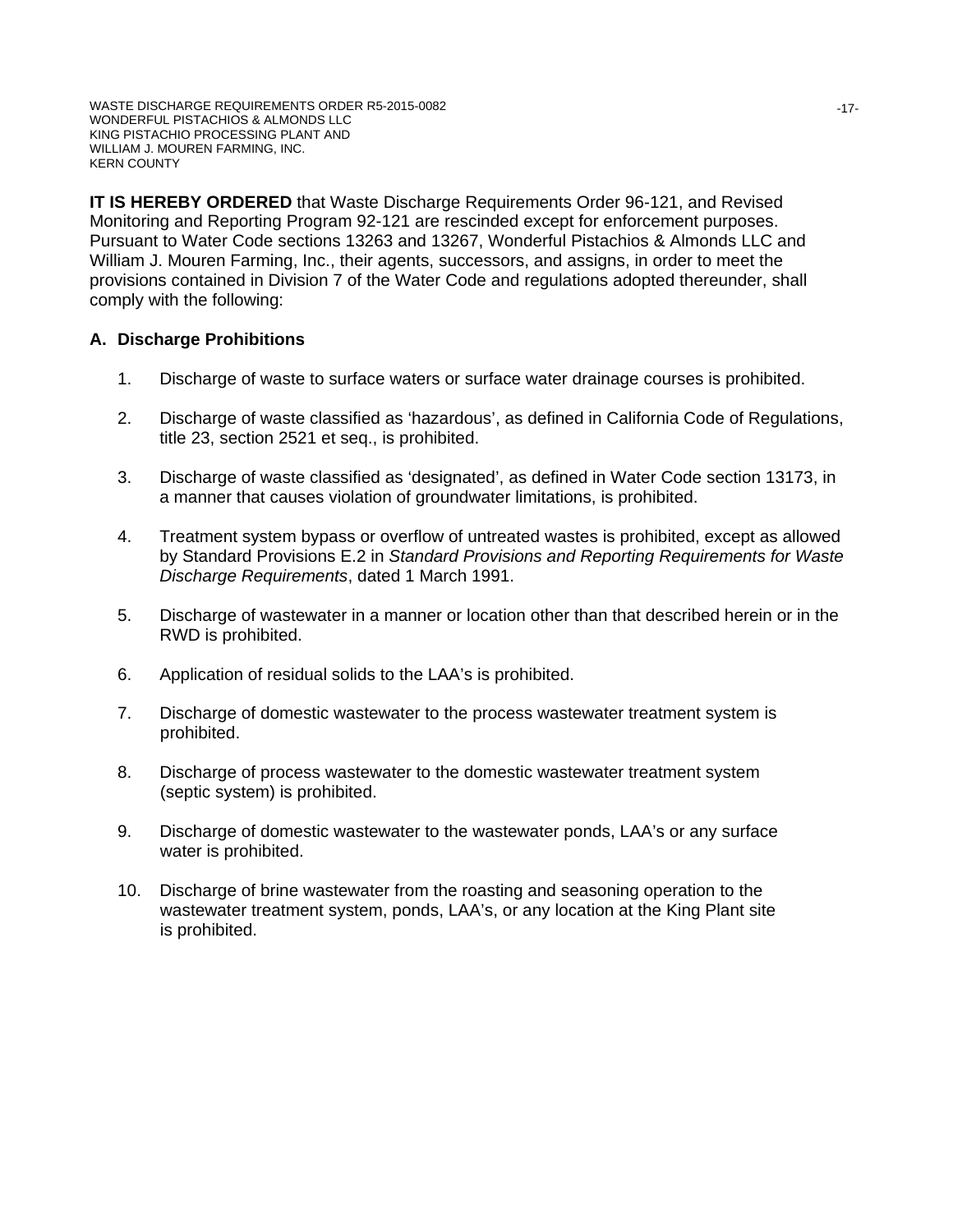WASTE DISCHARGE REQUIREMENTS ORDER R5-2015-0082 WONDERFUL PISTACHIOS & ALMONDS LLC KING PISTACHIO PROCESSING PLANT AND WILLIAM J. MOUREN FARMING, INC. KERN COUNTY

**IT IS HEREBY ORDERED** that Waste Discharge Requirements Order 96-121, and Revised Monitoring and Reporting Program 92-121 are rescinded except for enforcement purposes. Pursuant to Water Code sections 13263 and 13267, Wonderful Pistachios & Almonds LLC and William J. Mouren Farming, Inc., their agents, successors, and assigns, in order to meet the provisions contained in Division 7 of the Water Code and regulations adopted thereunder, shall comply with the following:

### **A. Discharge Prohibitions**

- 1. Discharge of waste to surface waters or surface water drainage courses is prohibited.
- 2. Discharge of waste classified as 'hazardous', as defined in California Code of Regulations, title 23, section 2521 et seq., is prohibited.
- 3. Discharge of waste classified as 'designated', as defined in Water Code section 13173, in a manner that causes violation of groundwater limitations, is prohibited.
- 4. Treatment system bypass or overflow of untreated wastes is prohibited, except as allowed by Standard Provisions E.2 in *Standard Provisions and Reporting Requirements for Waste Discharge Requirements*, dated 1 March 1991.
- 5. Discharge of wastewater in a manner or location other than that described herein or in the RWD is prohibited.
- 6. Application of residual solids to the LAA's is prohibited.
- 7. Discharge of domestic wastewater to the process wastewater treatment system is prohibited.
- 8. Discharge of process wastewater to the domestic wastewater treatment system (septic system) is prohibited.
- 9. Discharge of domestic wastewater to the wastewater ponds, LAA's or any surface water is prohibited.
- 10. Discharge of brine wastewater from the roasting and seasoning operation to the wastewater treatment system, ponds, LAA's, or any location at the King Plant site is prohibited.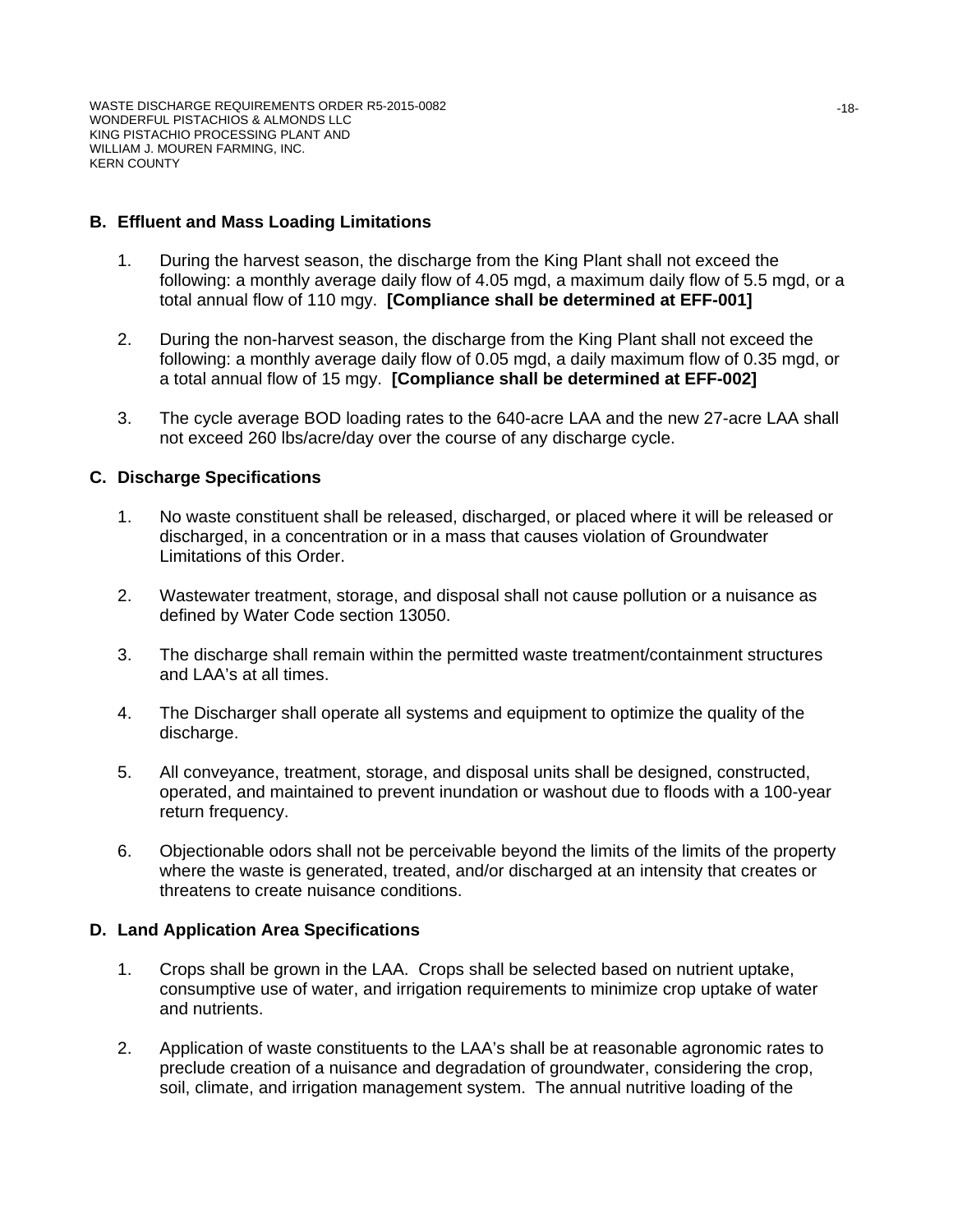#### **B. Effluent and Mass Loading Limitations**

- 1. During the harvest season, the discharge from the King Plant shall not exceed the following: a monthly average daily flow of 4.05 mgd, a maximum daily flow of 5.5 mgd, or a total annual flow of 110 mgy. **[Compliance shall be determined at EFF-001]**
- 2. During the non-harvest season, the discharge from the King Plant shall not exceed the following: a monthly average daily flow of 0.05 mgd, a daily maximum flow of 0.35 mgd, or a total annual flow of 15 mgy. **[Compliance shall be determined at EFF-002]**
- 3. The cycle average BOD loading rates to the 640-acre LAA and the new 27-acre LAA shall not exceed 260 lbs/acre/day over the course of any discharge cycle.

#### **C. Discharge Specifications**

- 1. No waste constituent shall be released, discharged, or placed where it will be released or discharged, in a concentration or in a mass that causes violation of Groundwater Limitations of this Order.
- 2. Wastewater treatment, storage, and disposal shall not cause pollution or a nuisance as defined by Water Code section 13050.
- 3. The discharge shall remain within the permitted waste treatment/containment structures and LAA's at all times.
- 4. The Discharger shall operate all systems and equipment to optimize the quality of the discharge.
- 5. All conveyance, treatment, storage, and disposal units shall be designed, constructed, operated, and maintained to prevent inundation or washout due to floods with a 100-year return frequency.
- 6. Objectionable odors shall not be perceivable beyond the limits of the limits of the property where the waste is generated, treated, and/or discharged at an intensity that creates or threatens to create nuisance conditions.

#### **D. Land Application Area Specifications**

- 1. Crops shall be grown in the LAA. Crops shall be selected based on nutrient uptake, consumptive use of water, and irrigation requirements to minimize crop uptake of water and nutrients.
- 2. Application of waste constituents to the LAA's shall be at reasonable agronomic rates to preclude creation of a nuisance and degradation of groundwater, considering the crop, soil, climate, and irrigation management system. The annual nutritive loading of the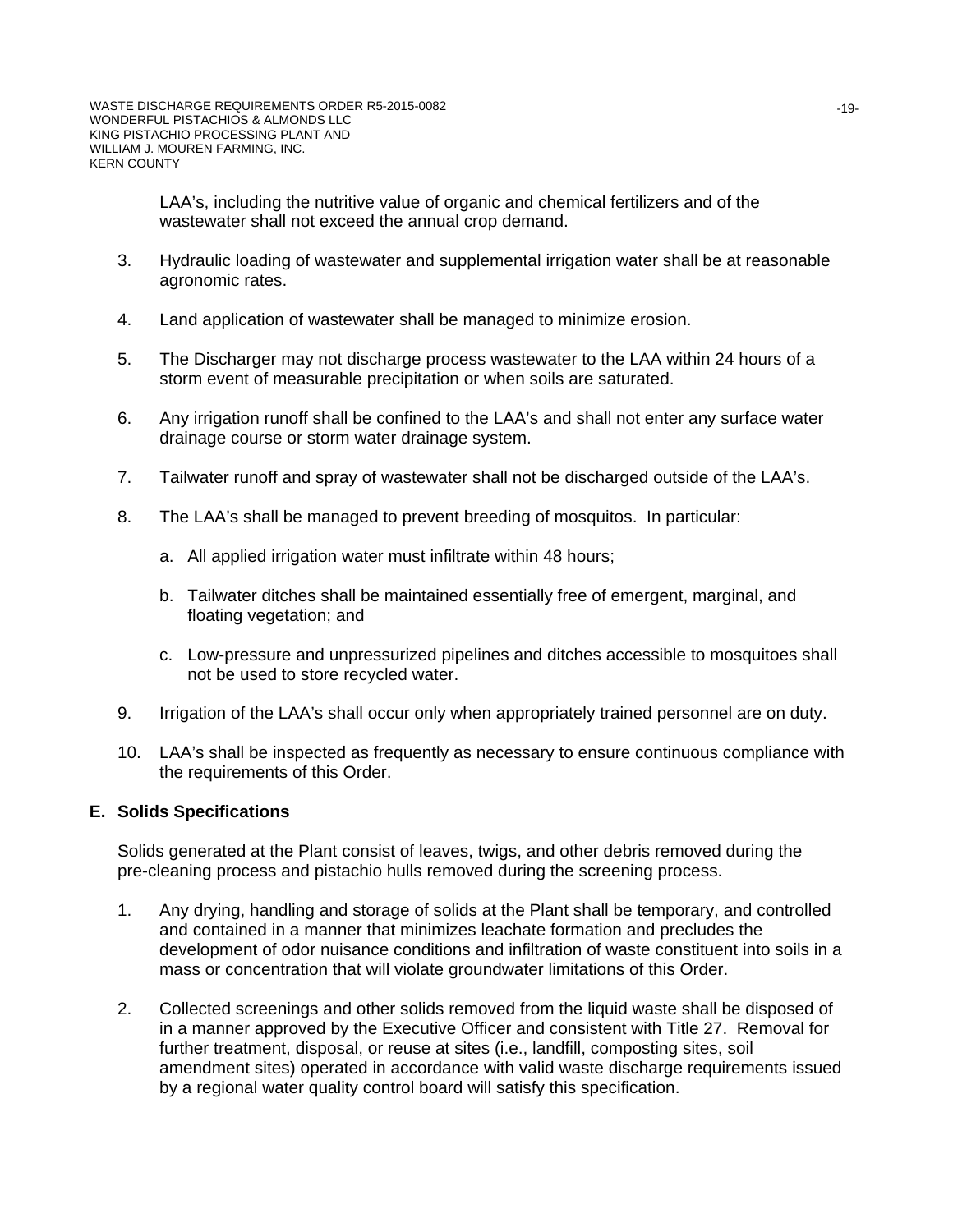LAA's, including the nutritive value of organic and chemical fertilizers and of the wastewater shall not exceed the annual crop demand.

- 3. Hydraulic loading of wastewater and supplemental irrigation water shall be at reasonable agronomic rates.
- 4. Land application of wastewater shall be managed to minimize erosion.
- 5. The Discharger may not discharge process wastewater to the LAA within 24 hours of a storm event of measurable precipitation or when soils are saturated.
- 6. Any irrigation runoff shall be confined to the LAA's and shall not enter any surface water drainage course or storm water drainage system.
- 7. Tailwater runoff and spray of wastewater shall not be discharged outside of the LAA's.
- 8. The LAA's shall be managed to prevent breeding of mosquitos. In particular:
	- a. All applied irrigation water must infiltrate within 48 hours;
	- b. Tailwater ditches shall be maintained essentially free of emergent, marginal, and floating vegetation; and
	- c. Low-pressure and unpressurized pipelines and ditches accessible to mosquitoes shall not be used to store recycled water.
- 9. Irrigation of the LAA's shall occur only when appropriately trained personnel are on duty.
- 10. LAA's shall be inspected as frequently as necessary to ensure continuous compliance with the requirements of this Order.

#### **E. Solids Specifications**

Solids generated at the Plant consist of leaves, twigs, and other debris removed during the pre-cleaning process and pistachio hulls removed during the screening process.

- 1. Any drying, handling and storage of solids at the Plant shall be temporary, and controlled and contained in a manner that minimizes leachate formation and precludes the development of odor nuisance conditions and infiltration of waste constituent into soils in a mass or concentration that will violate groundwater limitations of this Order.
- 2. Collected screenings and other solids removed from the liquid waste shall be disposed of in a manner approved by the Executive Officer and consistent with Title 27. Removal for further treatment, disposal, or reuse at sites (i.e., landfill, composting sites, soil amendment sites) operated in accordance with valid waste discharge requirements issued by a regional water quality control board will satisfy this specification.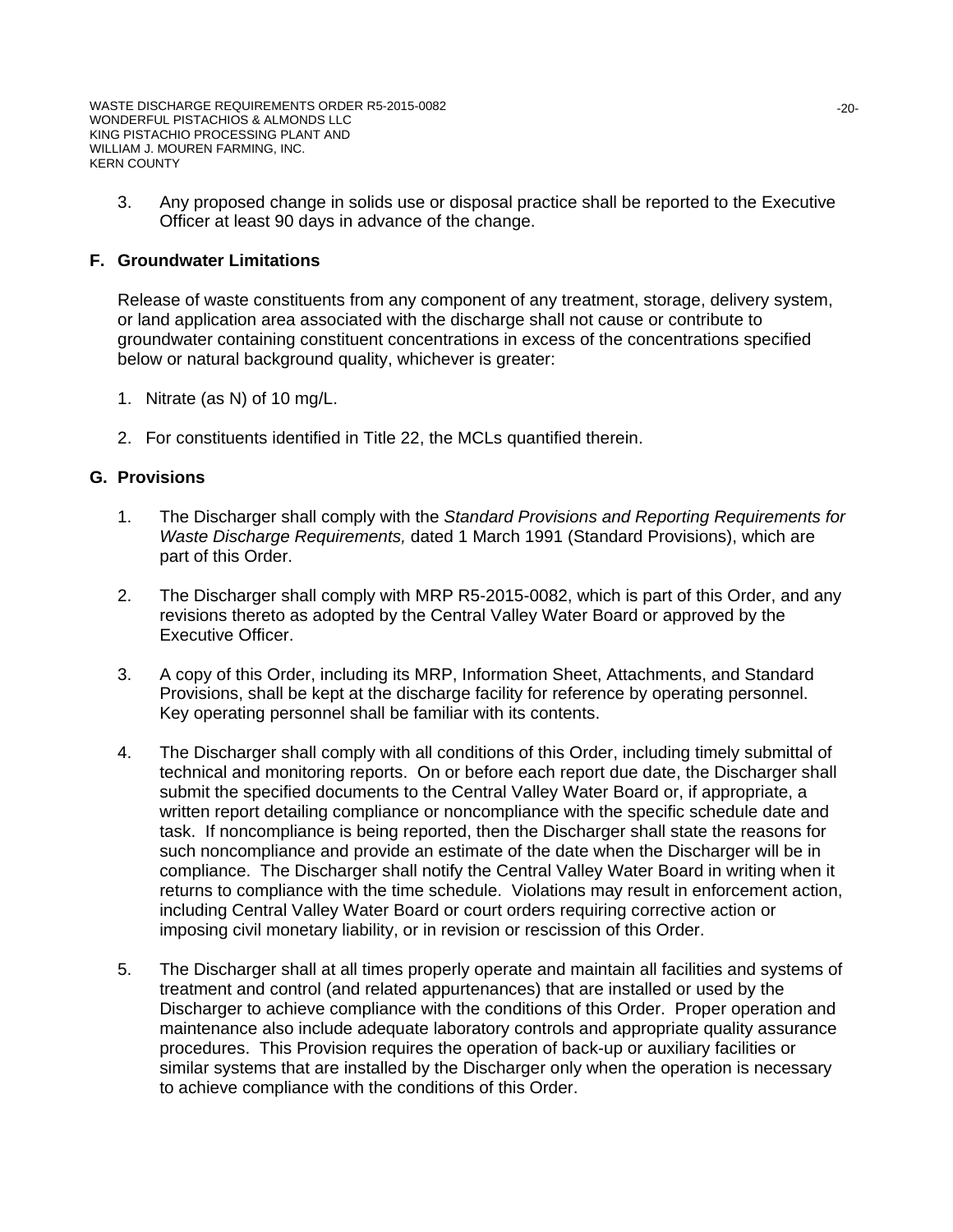3. Any proposed change in solids use or disposal practice shall be reported to the Executive Officer at least 90 days in advance of the change.

### **F. Groundwater Limitations**

Release of waste constituents from any component of any treatment, storage, delivery system, or land application area associated with the discharge shall not cause or contribute to groundwater containing constituent concentrations in excess of the concentrations specified below or natural background quality, whichever is greater:

- 1. Nitrate (as N) of 10 mg/L.
- 2. For constituents identified in Title 22, the MCLs quantified therein.

### **G. Provisions**

- 1. The Discharger shall comply with the *Standard Provisions and Reporting Requirements for Waste Discharge Requirements,* dated 1 March 1991 (Standard Provisions), which are part of this Order.
- 2. The Discharger shall comply with MRP R5-2015-0082, which is part of this Order, and any revisions thereto as adopted by the Central Valley Water Board or approved by the Executive Officer.
- 3. A copy of this Order, including its MRP, Information Sheet, Attachments, and Standard Provisions, shall be kept at the discharge facility for reference by operating personnel. Key operating personnel shall be familiar with its contents.
- 4. The Discharger shall comply with all conditions of this Order, including timely submittal of technical and monitoring reports. On or before each report due date, the Discharger shall submit the specified documents to the Central Valley Water Board or, if appropriate, a written report detailing compliance or noncompliance with the specific schedule date and task. If noncompliance is being reported, then the Discharger shall state the reasons for such noncompliance and provide an estimate of the date when the Discharger will be in compliance. The Discharger shall notify the Central Valley Water Board in writing when it returns to compliance with the time schedule. Violations may result in enforcement action, including Central Valley Water Board or court orders requiring corrective action or imposing civil monetary liability, or in revision or rescission of this Order.
- 5. The Discharger shall at all times properly operate and maintain all facilities and systems of treatment and control (and related appurtenances) that are installed or used by the Discharger to achieve compliance with the conditions of this Order. Proper operation and maintenance also include adequate laboratory controls and appropriate quality assurance procedures. This Provision requires the operation of back-up or auxiliary facilities or similar systems that are installed by the Discharger only when the operation is necessary to achieve compliance with the conditions of this Order.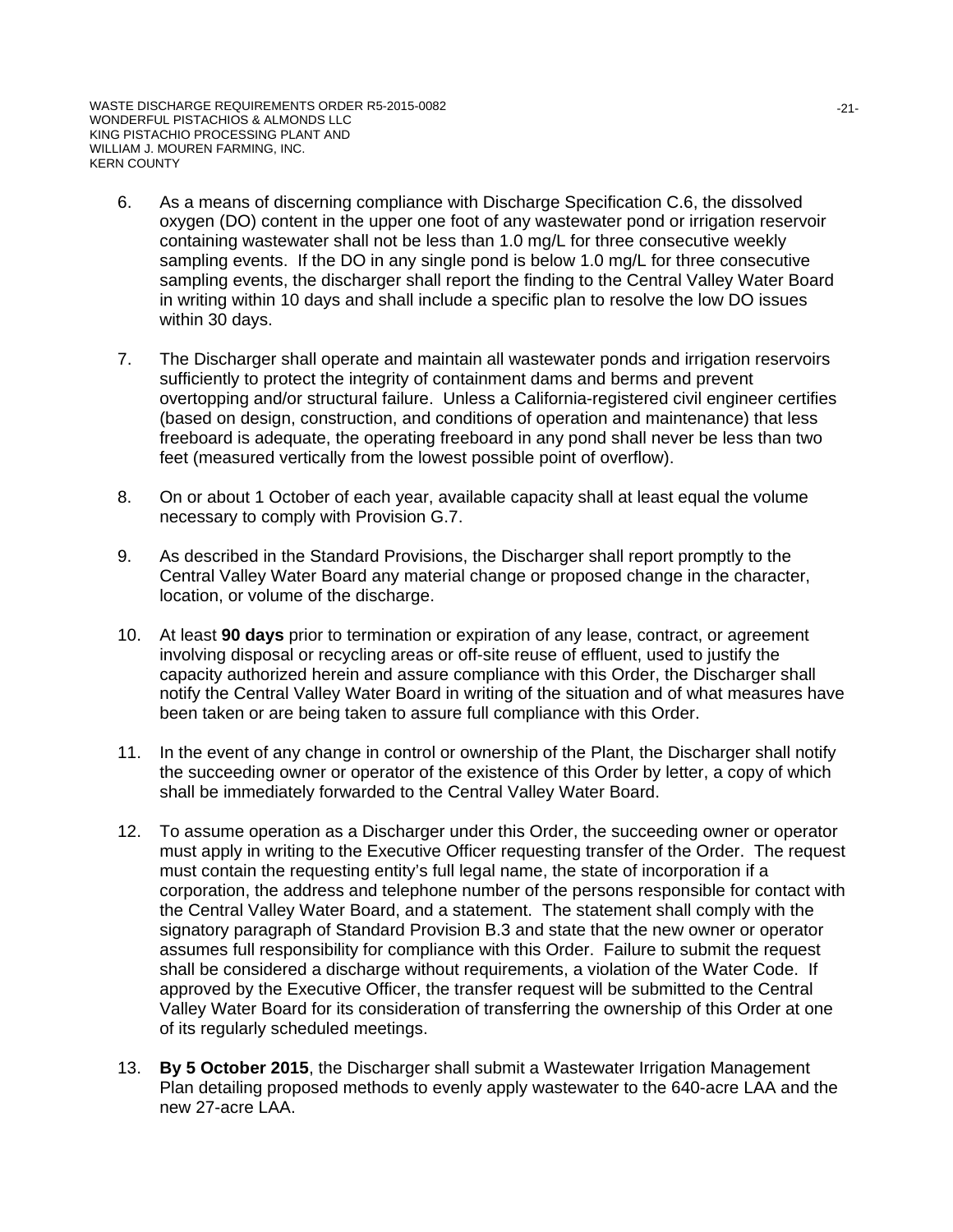- 6. As a means of discerning compliance with Discharge Specification C.6, the dissolved oxygen (DO) content in the upper one foot of any wastewater pond or irrigation reservoir containing wastewater shall not be less than 1.0 mg/L for three consecutive weekly sampling events. If the DO in any single pond is below 1.0 mg/L for three consecutive sampling events, the discharger shall report the finding to the Central Valley Water Board in writing within 10 days and shall include a specific plan to resolve the low DO issues within 30 days.
- 7. The Discharger shall operate and maintain all wastewater ponds and irrigation reservoirs sufficiently to protect the integrity of containment dams and berms and prevent overtopping and/or structural failure. Unless a California-registered civil engineer certifies (based on design, construction, and conditions of operation and maintenance) that less freeboard is adequate, the operating freeboard in any pond shall never be less than two feet (measured vertically from the lowest possible point of overflow).
- 8. On or about 1 October of each year, available capacity shall at least equal the volume necessary to comply with Provision G.7.
- 9. As described in the Standard Provisions, the Discharger shall report promptly to the Central Valley Water Board any material change or proposed change in the character, location, or volume of the discharge.
- 10. At least **90 days** prior to termination or expiration of any lease, contract, or agreement involving disposal or recycling areas or off-site reuse of effluent, used to justify the capacity authorized herein and assure compliance with this Order, the Discharger shall notify the Central Valley Water Board in writing of the situation and of what measures have been taken or are being taken to assure full compliance with this Order.
- 11. In the event of any change in control or ownership of the Plant, the Discharger shall notify the succeeding owner or operator of the existence of this Order by letter, a copy of which shall be immediately forwarded to the Central Valley Water Board.
- 12. To assume operation as a Discharger under this Order, the succeeding owner or operator must apply in writing to the Executive Officer requesting transfer of the Order. The request must contain the requesting entity's full legal name, the state of incorporation if a corporation, the address and telephone number of the persons responsible for contact with the Central Valley Water Board, and a statement. The statement shall comply with the signatory paragraph of Standard Provision B.3 and state that the new owner or operator assumes full responsibility for compliance with this Order. Failure to submit the request shall be considered a discharge without requirements, a violation of the Water Code. If approved by the Executive Officer, the transfer request will be submitted to the Central Valley Water Board for its consideration of transferring the ownership of this Order at one of its regularly scheduled meetings.
- 13. **By 5 October 2015**, the Discharger shall submit a Wastewater Irrigation Management Plan detailing proposed methods to evenly apply wastewater to the 640-acre LAA and the new 27-acre LAA.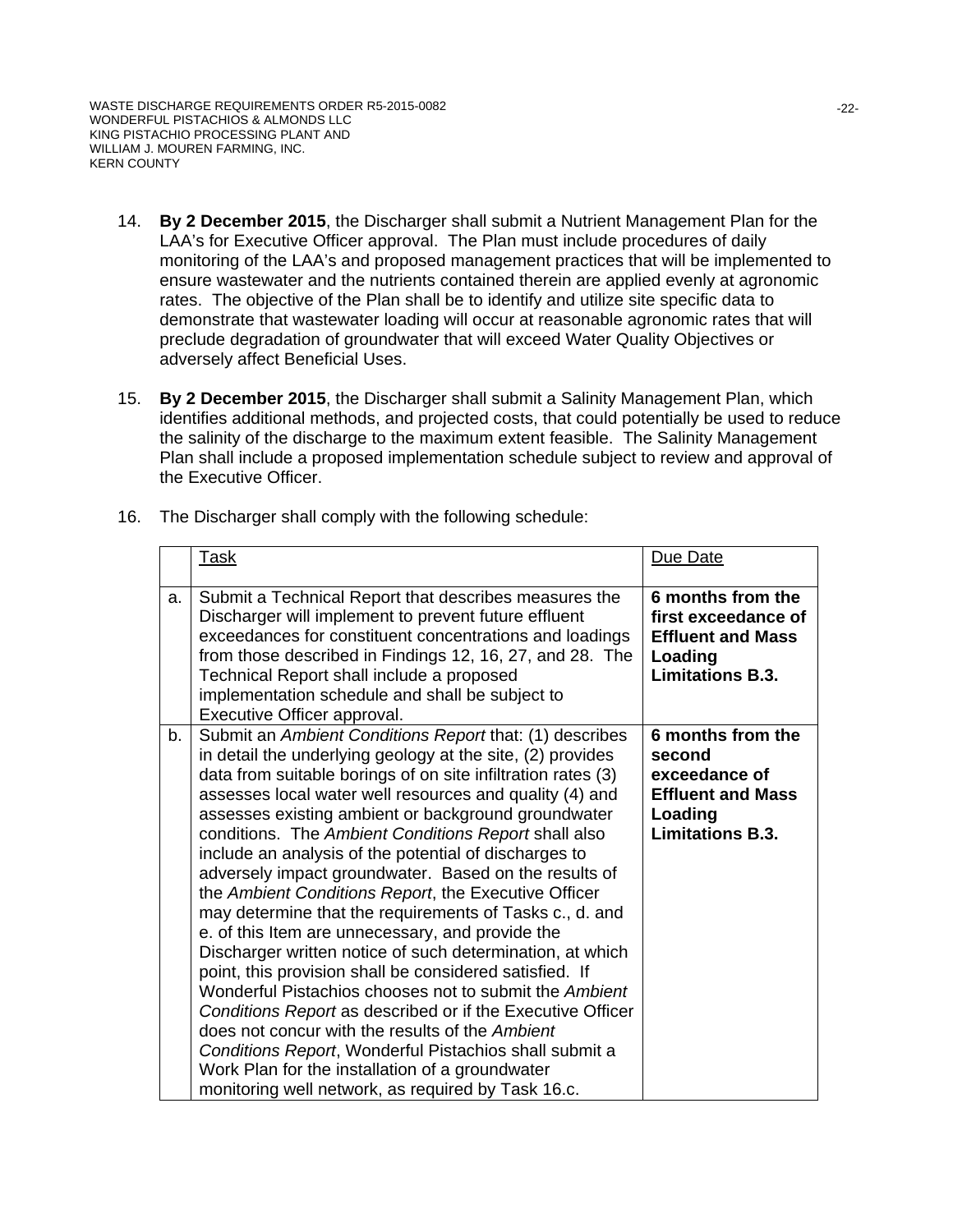WASTE DISCHARGE REQUIREMENTS ORDER R5-2015-0082 WONDERFUL PISTACHIOS & ALMONDS LLC KING PISTACHIO PROCESSING PLANT AND WILLIAM J. MOUREN FARMING, INC. KERN COUNTY

- 14. **By 2 December 2015**, the Discharger shall submit a Nutrient Management Plan for the LAA's for Executive Officer approval. The Plan must include procedures of daily monitoring of the LAA's and proposed management practices that will be implemented to ensure wastewater and the nutrients contained therein are applied evenly at agronomic rates. The objective of the Plan shall be to identify and utilize site specific data to demonstrate that wastewater loading will occur at reasonable agronomic rates that will preclude degradation of groundwater that will exceed Water Quality Objectives or adversely affect Beneficial Uses.
- 15. **By 2 December 2015**, the Discharger shall submit a Salinity Management Plan, which identifies additional methods, and projected costs, that could potentially be used to reduce the salinity of the discharge to the maximum extent feasible. The Salinity Management Plan shall include a proposed implementation schedule subject to review and approval of the Executive Officer.

|    | <u>Task</u>                                                                                                                                                                                                                                                                                                                                                                                                                                                                                                                                                                                                                                                                                                                                                                                                                                                                                                                                                                                                                                                                                                                    | Due Date                                                                                                       |
|----|--------------------------------------------------------------------------------------------------------------------------------------------------------------------------------------------------------------------------------------------------------------------------------------------------------------------------------------------------------------------------------------------------------------------------------------------------------------------------------------------------------------------------------------------------------------------------------------------------------------------------------------------------------------------------------------------------------------------------------------------------------------------------------------------------------------------------------------------------------------------------------------------------------------------------------------------------------------------------------------------------------------------------------------------------------------------------------------------------------------------------------|----------------------------------------------------------------------------------------------------------------|
| a. | Submit a Technical Report that describes measures the<br>Discharger will implement to prevent future effluent<br>exceedances for constituent concentrations and loadings<br>from those described in Findings 12, 16, 27, and 28. The<br>Technical Report shall include a proposed<br>implementation schedule and shall be subject to<br>Executive Officer approval.                                                                                                                                                                                                                                                                                                                                                                                                                                                                                                                                                                                                                                                                                                                                                            | 6 months from the<br>first exceedance of<br><b>Effluent and Mass</b><br>Loading<br><b>Limitations B.3.</b>     |
| b. | Submit an Ambient Conditions Report that: (1) describes<br>in detail the underlying geology at the site, (2) provides<br>data from suitable borings of on site infiltration rates (3)<br>assesses local water well resources and quality (4) and<br>assesses existing ambient or background groundwater<br>conditions. The Ambient Conditions Report shall also<br>include an analysis of the potential of discharges to<br>adversely impact groundwater. Based on the results of<br>the Ambient Conditions Report, the Executive Officer<br>may determine that the requirements of Tasks c., d. and<br>e. of this Item are unnecessary, and provide the<br>Discharger written notice of such determination, at which<br>point, this provision shall be considered satisfied. If<br>Wonderful Pistachios chooses not to submit the Ambient<br>Conditions Report as described or if the Executive Officer<br>does not concur with the results of the Ambient<br>Conditions Report, Wonderful Pistachios shall submit a<br>Work Plan for the installation of a groundwater<br>monitoring well network, as required by Task 16.c. | 6 months from the<br>second<br>exceedance of<br><b>Effluent and Mass</b><br>Loading<br><b>Limitations B.3.</b> |

16. The Discharger shall comply with the following schedule: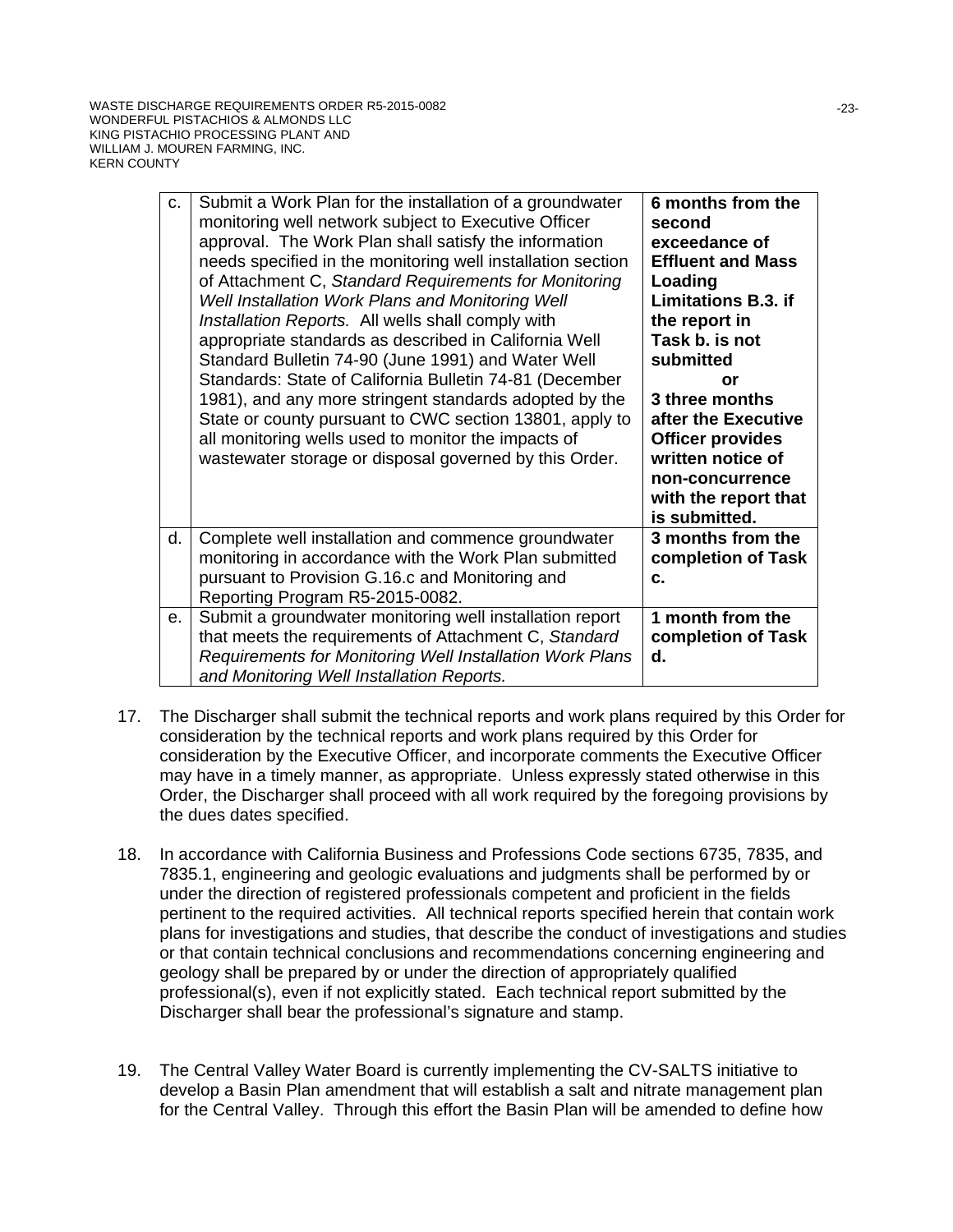| c. | Submit a Work Plan for the installation of a groundwater<br>monitoring well network subject to Executive Officer<br>approval. The Work Plan shall satisfy the information<br>needs specified in the monitoring well installation section<br>of Attachment C, Standard Requirements for Monitoring<br>Well Installation Work Plans and Monitoring Well | 6 months from the<br>second<br>exceedance of<br><b>Effluent and Mass</b><br>Loading<br><b>Limitations B.3. if</b>                                       |
|----|-------------------------------------------------------------------------------------------------------------------------------------------------------------------------------------------------------------------------------------------------------------------------------------------------------------------------------------------------------|---------------------------------------------------------------------------------------------------------------------------------------------------------|
|    | Installation Reports. All wells shall comply with<br>appropriate standards as described in California Well<br>Standard Bulletin 74-90 (June 1991) and Water Well                                                                                                                                                                                      | the report in<br>Task b. is not<br>submitted                                                                                                            |
|    | Standards: State of California Bulletin 74-81 (December<br>1981), and any more stringent standards adopted by the<br>State or county pursuant to CWC section 13801, apply to<br>all monitoring wells used to monitor the impacts of<br>wastewater storage or disposal governed by this Order.                                                         | or<br>3 three months<br>after the Executive<br><b>Officer provides</b><br>written notice of<br>non-concurrence<br>with the report that<br>is submitted. |
| d. | Complete well installation and commence groundwater<br>monitoring in accordance with the Work Plan submitted<br>pursuant to Provision G.16.c and Monitoring and<br>Reporting Program R5-2015-0082.                                                                                                                                                    | 3 months from the<br>completion of Task<br>C.                                                                                                           |
| e. | Submit a groundwater monitoring well installation report<br>that meets the requirements of Attachment C, Standard<br>Requirements for Monitoring Well Installation Work Plans<br>and Monitoring Well Installation Reports.                                                                                                                            | 1 month from the<br>completion of Task<br>d.                                                                                                            |

- 17. The Discharger shall submit the technical reports and work plans required by this Order for consideration by the technical reports and work plans required by this Order for consideration by the Executive Officer, and incorporate comments the Executive Officer may have in a timely manner, as appropriate. Unless expressly stated otherwise in this Order, the Discharger shall proceed with all work required by the foregoing provisions by the dues dates specified.
- 18. In accordance with California Business and Professions Code sections 6735, 7835, and 7835.1, engineering and geologic evaluations and judgments shall be performed by or under the direction of registered professionals competent and proficient in the fields pertinent to the required activities. All technical reports specified herein that contain work plans for investigations and studies, that describe the conduct of investigations and studies or that contain technical conclusions and recommendations concerning engineering and geology shall be prepared by or under the direction of appropriately qualified professional(s), even if not explicitly stated. Each technical report submitted by the Discharger shall bear the professional's signature and stamp.
- 19. The Central Valley Water Board is currently implementing the CV-SALTS initiative to develop a Basin Plan amendment that will establish a salt and nitrate management plan for the Central Valley. Through this effort the Basin Plan will be amended to define how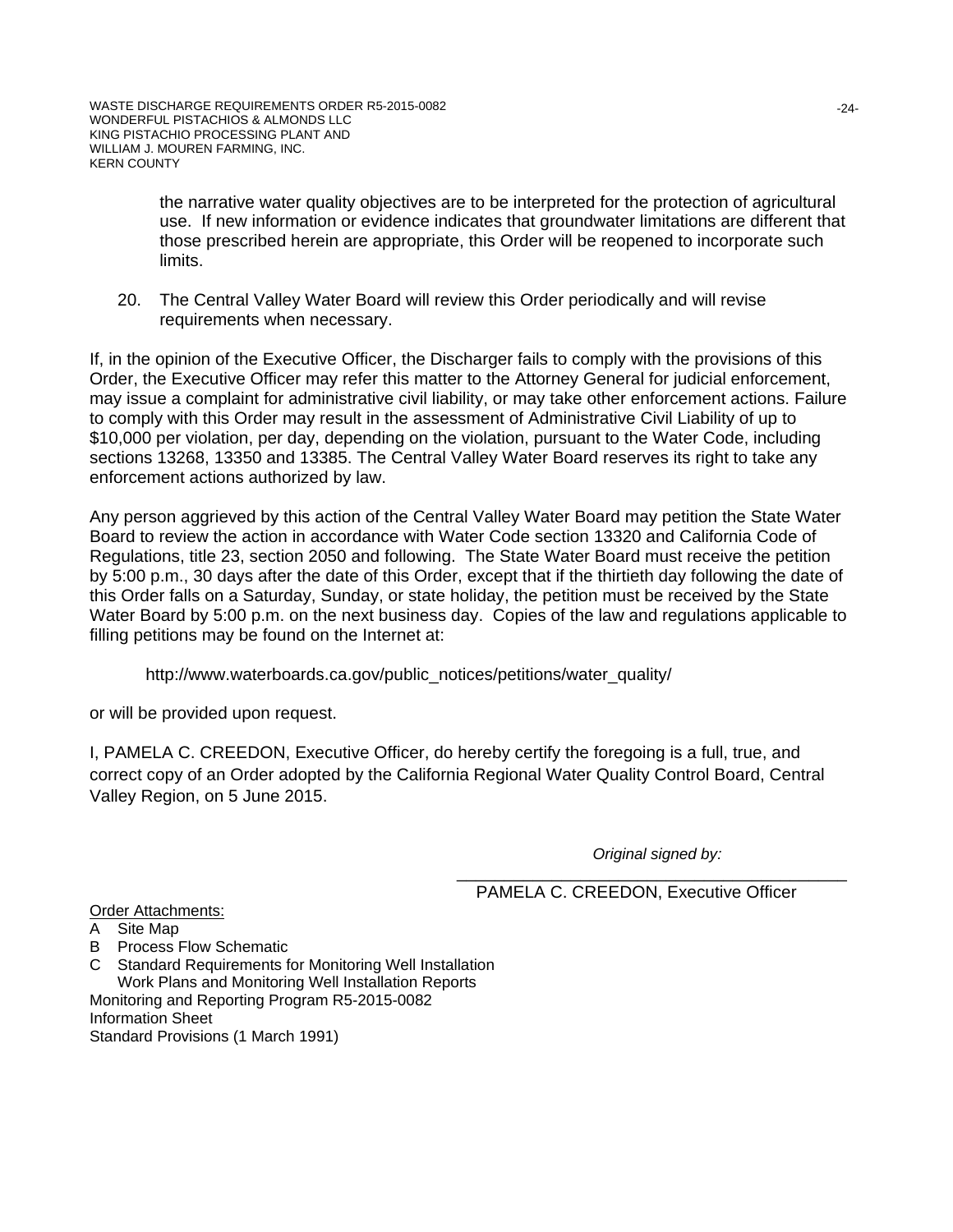the narrative water quality objectives are to be interpreted for the protection of agricultural use. If new information or evidence indicates that groundwater limitations are different that those prescribed herein are appropriate, this Order will be reopened to incorporate such limits.

20. The Central Valley Water Board will review this Order periodically and will revise requirements when necessary.

If, in the opinion of the Executive Officer, the Discharger fails to comply with the provisions of this Order, the Executive Officer may refer this matter to the Attorney General for judicial enforcement, may issue a complaint for administrative civil liability, or may take other enforcement actions. Failure to comply with this Order may result in the assessment of Administrative Civil Liability of up to \$10,000 per violation, per day, depending on the violation, pursuant to the Water Code, including sections 13268, 13350 and 13385. The Central Valley Water Board reserves its right to take any enforcement actions authorized by law.

Any person aggrieved by this action of the Central Valley Water Board may petition the State Water Board to review the action in accordance with Water Code section 13320 and California Code of Regulations, title 23, section 2050 and following. The State Water Board must receive the petition by 5:00 p.m., 30 days after the date of this Order, except that if the thirtieth day following the date of this Order falls on a Saturday, Sunday, or state holiday, the petition must be received by the State Water Board by 5:00 p.m. on the next business day. Copies of the law and regulations applicable to filling petitions may be found on the Internet at:

http://www.waterboards.ca.gov/public\_notices/petitions/water\_quality/

or will be provided upon request.

I, PAMELA C. CREEDON, Executive Officer, do hereby certify the foregoing is a full, true, and correct copy of an Order adopted by the California Regional Water Quality Control Board, Central Valley Region, on 5 June 2015.

*Original signed by:*

\_\_\_\_\_\_\_\_\_\_\_\_\_\_\_\_\_\_\_\_\_\_\_\_\_\_\_\_\_\_\_\_\_\_\_\_\_\_\_\_\_ PAMELA C. CREEDON, Executive Officer

Order Attachments:

- A Site Map
- B Process Flow Schematic
- C Standard Requirements for Monitoring Well Installation Work Plans and Monitoring Well Installation Reports Monitoring and Reporting Program R5-2015-0082 Information Sheet

Standard Provisions (1 March 1991)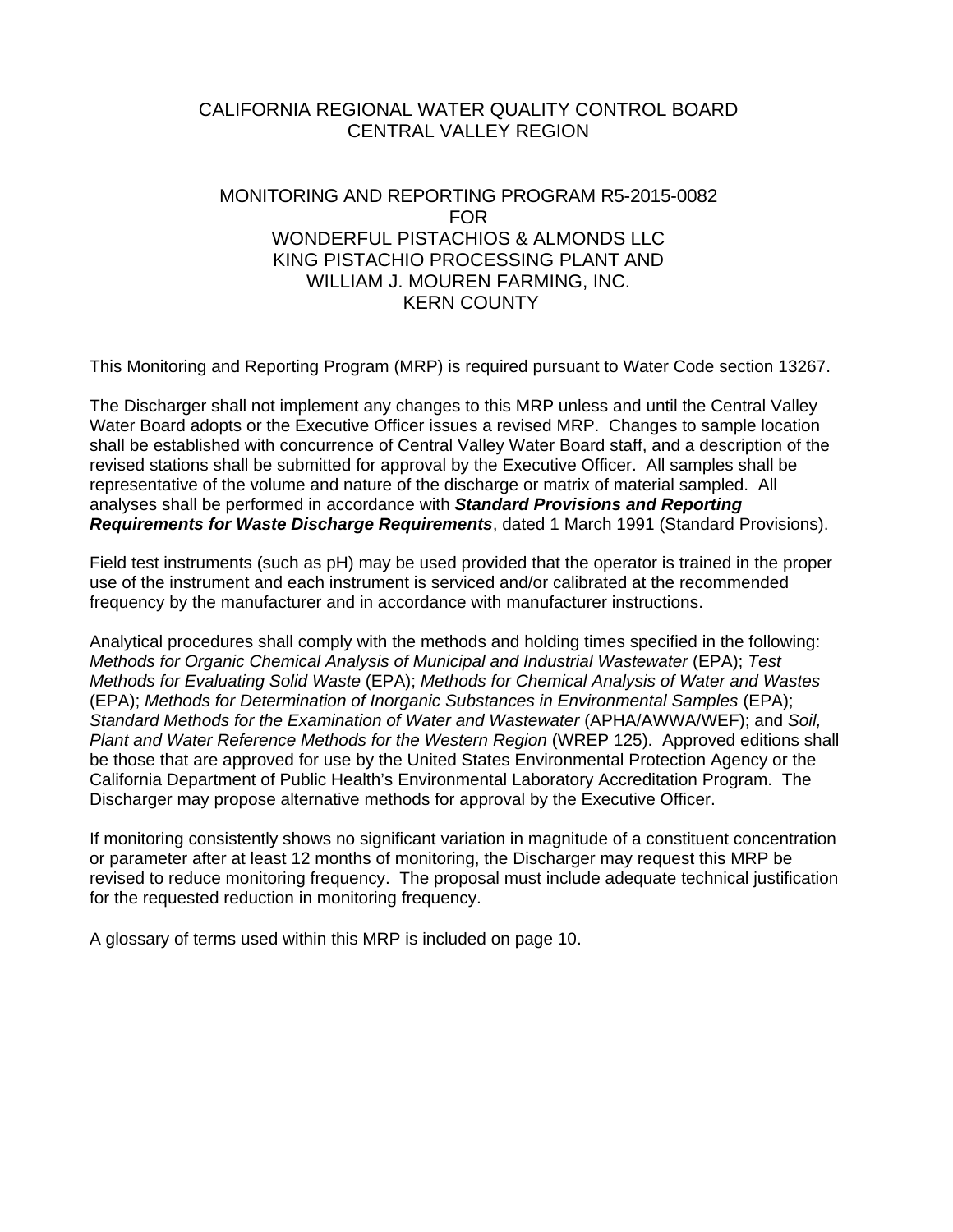# CALIFORNIA REGIONAL WATER QUALITY CONTROL BOARD CENTRAL VALLEY REGION

# MONITORING AND REPORTING PROGRAM R5-2015-0082 FOR WONDERFUL PISTACHIOS & ALMONDS LLC KING PISTACHIO PROCESSING PLANT AND WILLIAM J. MOUREN FARMING, INC. KERN COUNTY

This Monitoring and Reporting Program (MRP) is required pursuant to Water Code section 13267.

The Discharger shall not implement any changes to this MRP unless and until the Central Valley Water Board adopts or the Executive Officer issues a revised MRP. Changes to sample location shall be established with concurrence of Central Valley Water Board staff, and a description of the revised stations shall be submitted for approval by the Executive Officer. All samples shall be representative of the volume and nature of the discharge or matrix of material sampled. All analyses shall be performed in accordance with *Standard Provisions and Reporting Requirements for Waste Discharge Requirements*, dated 1 March 1991 (Standard Provisions).

Field test instruments (such as pH) may be used provided that the operator is trained in the proper use of the instrument and each instrument is serviced and/or calibrated at the recommended frequency by the manufacturer and in accordance with manufacturer instructions.

Analytical procedures shall comply with the methods and holding times specified in the following: *Methods for Organic Chemical Analysis of Municipal and Industrial Wastewater (EPA); Test Methods for Evaluating Solid Waste* (EPA); *Methods for Chemical Analysis of Water and Wastes* (EPA); *Methods for Determination of Inorganic Substances in Environmental Samples* (EPA); *Standard Methods for the Examination of Water and Wastewater* (APHA/AWWA/WEF); and *Soil, Plant and Water Reference Methods for the Western Region* (WREP 125). Approved editions shall be those that are approved for use by the United States Environmental Protection Agency or the California Department of Public Health's Environmental Laboratory Accreditation Program. The Discharger may propose alternative methods for approval by the Executive Officer.

If monitoring consistently shows no significant variation in magnitude of a constituent concentration or parameter after at least 12 months of monitoring, the Discharger may request this MRP be revised to reduce monitoring frequency. The proposal must include adequate technical justification for the requested reduction in monitoring frequency.

A glossary of terms used within this MRP is included on page 10.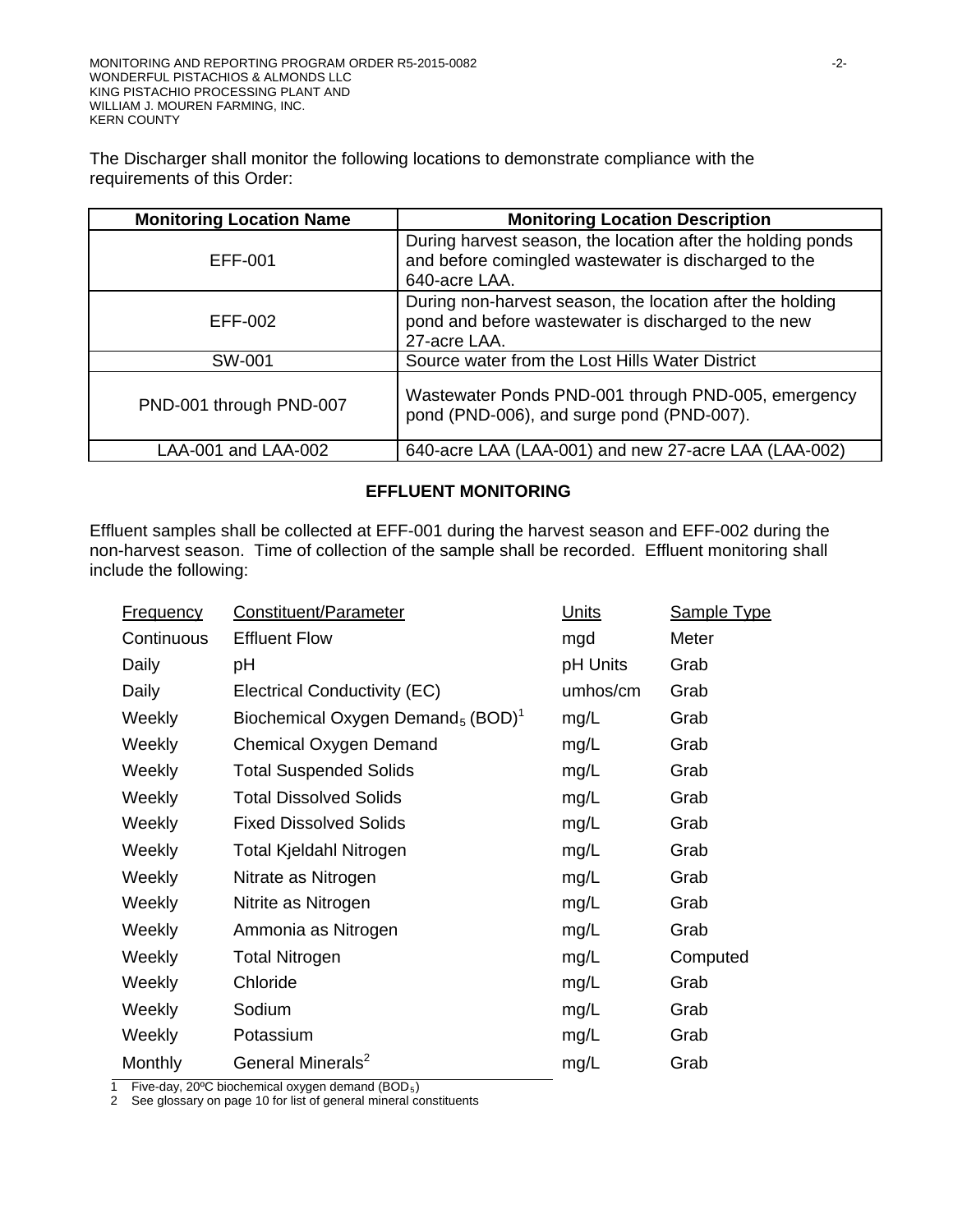The Discharger shall monitor the following locations to demonstrate compliance with the requirements of this Order:

| <b>Monitoring Location Name</b> | <b>Monitoring Location Description</b>                                                                                               |
|---------------------------------|--------------------------------------------------------------------------------------------------------------------------------------|
| EFF-001                         | During harvest season, the location after the holding ponds<br>and before comingled wastewater is discharged to the<br>640-acre LAA. |
| EFF-002                         | During non-harvest season, the location after the holding<br>pond and before wastewater is discharged to the new<br>27-acre LAA.     |
| SW-001                          | Source water from the Lost Hills Water District                                                                                      |
| PND-001 through PND-007         | Wastewater Ponds PND-001 through PND-005, emergency<br>pond (PND-006), and surge pond (PND-007).                                     |
| LAA-001 and LAA-002             | 640-acre LAA (LAA-001) and new 27-acre LAA (LAA-002)                                                                                 |

# **EFFLUENT MONITORING**

Effluent samples shall be collected at EFF-001 during the harvest season and EFF-002 during the non-harvest season. Time of collection of the sample shall be recorded. Effluent monitoring shall include the following:

| <b>Frequency</b> | Constituent/Parameter                                     | Units    | <b>Sample Type</b> |
|------------------|-----------------------------------------------------------|----------|--------------------|
| Continuous       | <b>Effluent Flow</b>                                      | mgd      | Meter              |
| Daily            | рH                                                        | pH Units | Grab               |
| Daily            | Electrical Conductivity (EC)                              | umhos/cm | Grab               |
| Weekly           | Biochemical Oxygen Demand <sub>5</sub> (BOD) <sup>1</sup> | mg/L     | Grab               |
| Weekly           | Chemical Oxygen Demand                                    | mg/L     | Grab               |
| Weekly           | <b>Total Suspended Solids</b>                             | mg/L     | Grab               |
| Weekly           | <b>Total Dissolved Solids</b>                             | mg/L     | Grab               |
| Weekly           | <b>Fixed Dissolved Solids</b>                             | mg/L     | Grab               |
| Weekly           | <b>Total Kjeldahl Nitrogen</b>                            | mg/L     | Grab               |
| Weekly           | Nitrate as Nitrogen                                       | mg/L     | Grab               |
| Weekly           | Nitrite as Nitrogen                                       | mg/L     | Grab               |
| Weekly           | Ammonia as Nitrogen                                       | mg/L     | Grab               |
| Weekly           | <b>Total Nitrogen</b>                                     | mg/L     | Computed           |
| Weekly           | Chloride                                                  | mg/L     | Grab               |
| Weekly           | Sodium                                                    | mg/L     | Grab               |
| Weekly           | Potassium                                                 | mg/L     | Grab               |
| Monthly          | General Minerals <sup>2</sup>                             | mg/L     | Grab               |

1 Five-day, 20ºC biochemical oxygen demand (BOD5)

2 See glossary on page 10 for list of general mineral constituents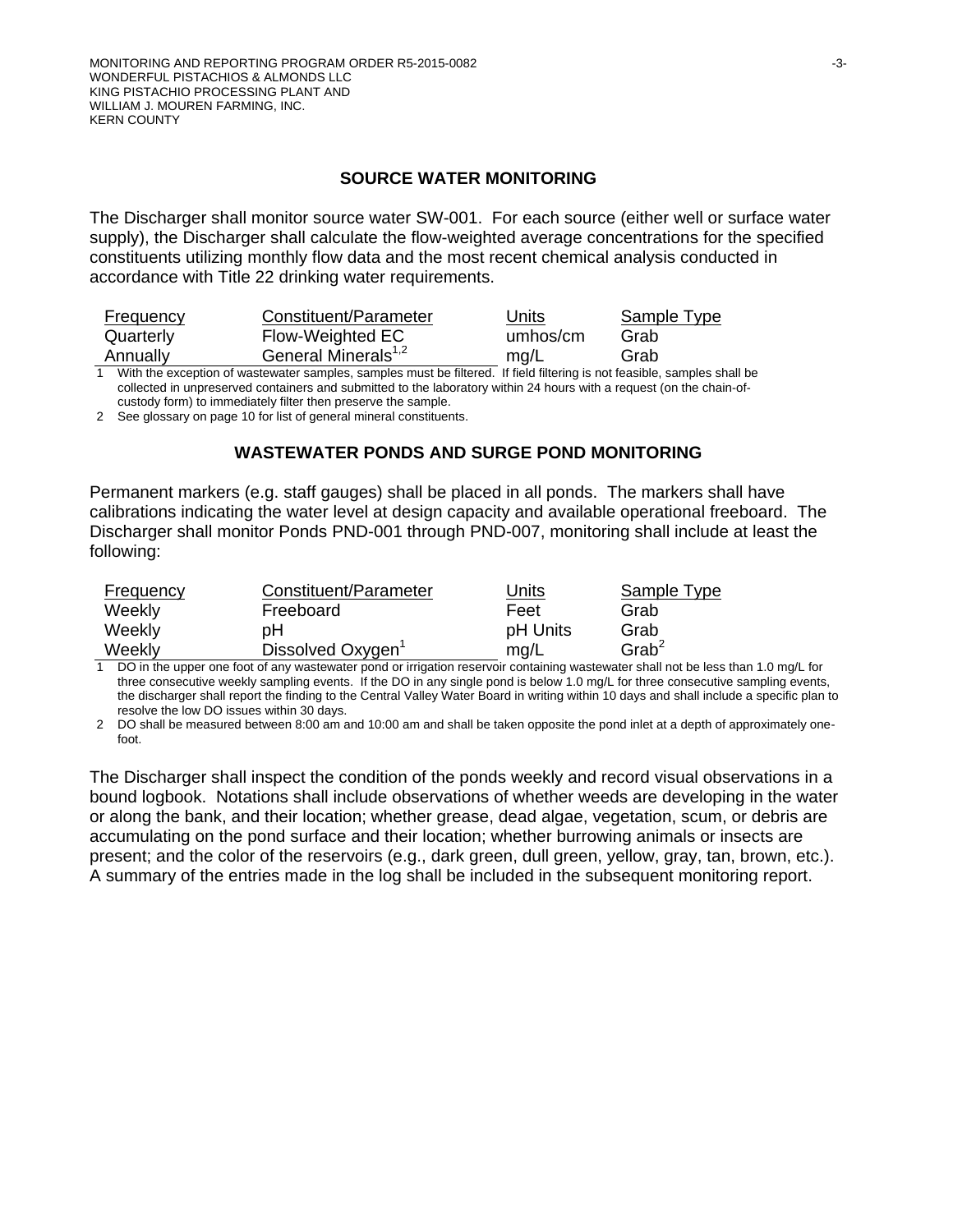#### **SOURCE WATER MONITORING**

The Discharger shall monitor source water SW-001. For each source (either well or surface water supply), the Discharger shall calculate the flow-weighted average concentrations for the specified constituents utilizing monthly flow data and the most recent chemical analysis conducted in accordance with Title 22 drinking water requirements.

| Frequency | Constituent/Parameter           | Units    | Sample Type |
|-----------|---------------------------------|----------|-------------|
| Quarterly | Flow-Weighted EC                | umhos/cm | Grab        |
| Annually  | General Minerals <sup>1,2</sup> | mq/L     | Grab        |
|           |                                 |          |             |

1 With the exception of wastewater samples, samples must be filtered. If field filtering is not feasible, samples shall be collected in unpreserved containers and submitted to the laboratory within 24 hours with a request (on the chain-ofcustody form) to immediately filter then preserve the sample.

2 See glossary on page 10 for list of general mineral constituents.

#### **WASTEWATER PONDS AND SURGE POND MONITORING**

Permanent markers (e.g. staff gauges) shall be placed in all ponds. The markers shall have calibrations indicating the water level at design capacity and available operational freeboard. The Discharger shall monitor Ponds PND-001 through PND-007, monitoring shall include at least the following:

| Frequency | Constituent/Parameter         | Units    | Sample Type          |
|-----------|-------------------------------|----------|----------------------|
| Weekly    | Freeboard                     | Feet     | Grab                 |
| Weekly    | pН                            | pH Units | Grab                 |
| Weekly    | Dissolved Oxygen <sup>1</sup> | mg/L     | $G$ rab <sup>2</sup> |

1 DO in the upper one foot of any wastewater pond or irrigation reservoir containing wastewater shall not be less than 1.0 mg/L for three consecutive weekly sampling events. If the DO in any single pond is below 1.0 mg/L for three consecutive sampling events, the discharger shall report the finding to the Central Valley Water Board in writing within 10 days and shall include a specific plan to resolve the low DO issues within 30 days.

2 DO shall be measured between 8:00 am and 10:00 am and shall be taken opposite the pond inlet at a depth of approximately onefoot.

The Discharger shall inspect the condition of the ponds weekly and record visual observations in a bound logbook. Notations shall include observations of whether weeds are developing in the water or along the bank, and their location; whether grease, dead algae, vegetation, scum, or debris are accumulating on the pond surface and their location; whether burrowing animals or insects are present; and the color of the reservoirs (e.g., dark green, dull green, yellow, gray, tan, brown, etc.). A summary of the entries made in the log shall be included in the subsequent monitoring report.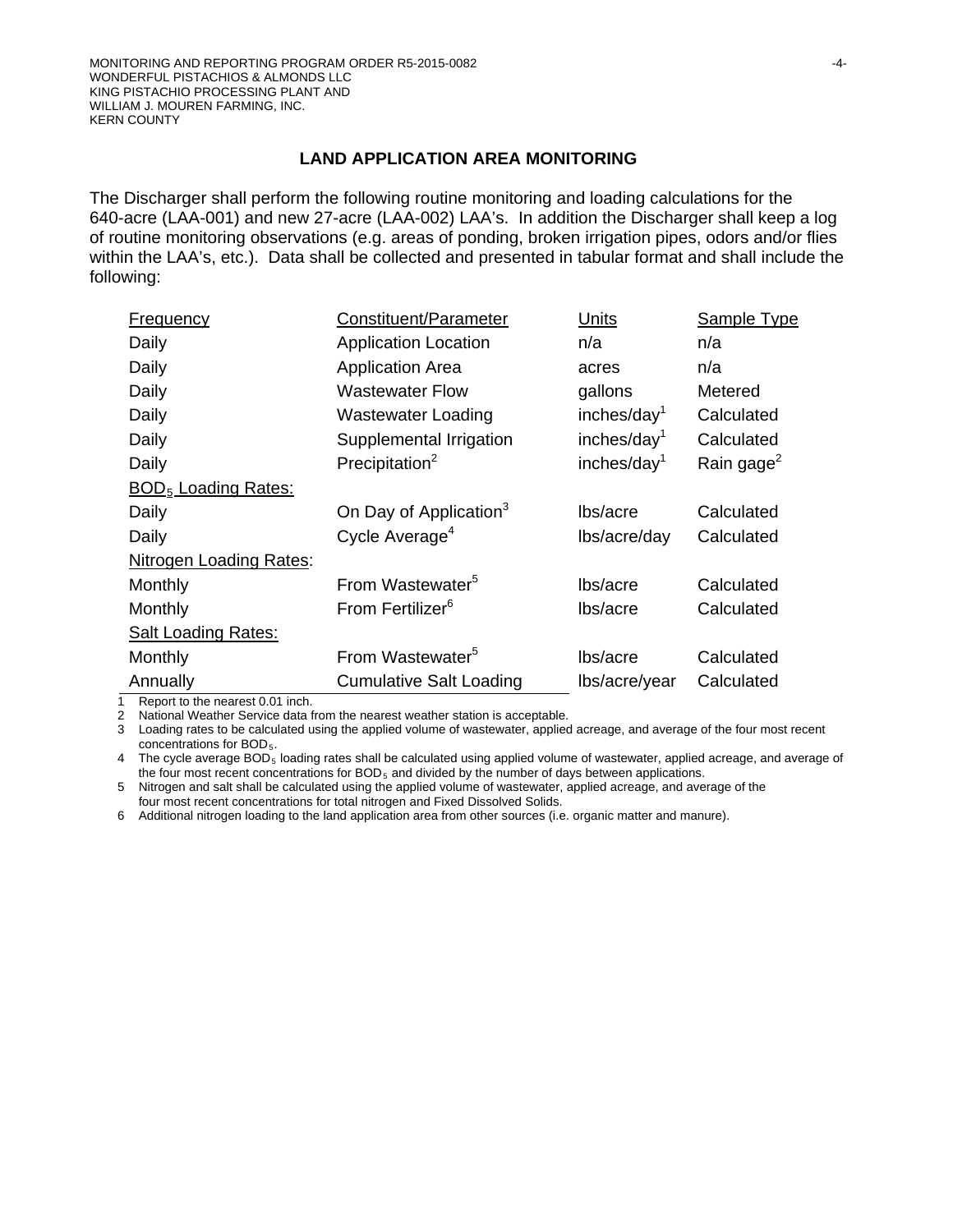### **LAND APPLICATION AREA MONITORING**

The Discharger shall perform the following routine monitoring and loading calculations for the 640-acre (LAA-001) and new 27-acre (LAA-002) LAA's. In addition the Discharger shall keep a log of routine monitoring observations (e.g. areas of ponding, broken irrigation pipes, odors and/or flies within the LAA's, etc.). Data shall be collected and presented in tabular format and shall include the following:

| Frequency                             | Constituent/Parameter              | Units                   | Sample Type            |  |
|---------------------------------------|------------------------------------|-------------------------|------------------------|--|
| Daily                                 | <b>Application Location</b>        | n/a                     | n/a                    |  |
| Daily                                 | <b>Application Area</b>            | acres                   | n/a                    |  |
| Daily                                 | <b>Wastewater Flow</b>             | gallons                 | Metered                |  |
| Daily                                 | <b>Wastewater Loading</b>          | inches/day <sup>1</sup> | Calculated             |  |
| Daily                                 | Supplemental Irrigation            | inches/day <sup>1</sup> | Calculated             |  |
| Daily                                 | Precipitation <sup>2</sup>         | inches/day $1$          | Rain gage <sup>2</sup> |  |
| <b>BOD<sub>5</sub></b> Loading Rates: |                                    |                         |                        |  |
| Daily                                 | On Day of Application <sup>3</sup> | lbs/acre                | Calculated             |  |
| Daily                                 | Cycle Average <sup>4</sup>         | lbs/acre/day            | Calculated             |  |
| Nitrogen Loading Rates:               |                                    |                         |                        |  |
| Monthly                               | From Wastewater <sup>5</sup>       | lbs/acre                | Calculated             |  |
| Monthly                               | From Fertilizer <sup>6</sup>       | lbs/acre                | Calculated             |  |
| <b>Salt Loading Rates:</b>            |                                    |                         |                        |  |
| Monthly                               | From Wastewater <sup>5</sup>       | lbs/acre                | Calculated             |  |
| Annually                              | <b>Cumulative Salt Loading</b>     | lbs/acre/year           | Calculated             |  |

1 Report to the nearest 0.01 inch.<br>2 National Weather Service data f

National Weather Service data from the nearest weather station is acceptable.

3 Loading rates to be calculated using the applied volume of wastewater, applied acreage, and average of the four most recent concentrations for BOD<sub>5</sub>.

4 The cycle average BOD<sub>5</sub> loading rates shall be calculated using applied volume of wastewater, applied acreage, and average of the four most recent concentrations for  $BOD<sub>5</sub>$  and divided by the number of days between applications.

5 Nitrogen and salt shall be calculated using the applied volume of wastewater, applied acreage, and average of the four most recent concentrations for total nitrogen and Fixed Dissolved Solids.

6 Additional nitrogen loading to the land application area from other sources (i.e. organic matter and manure).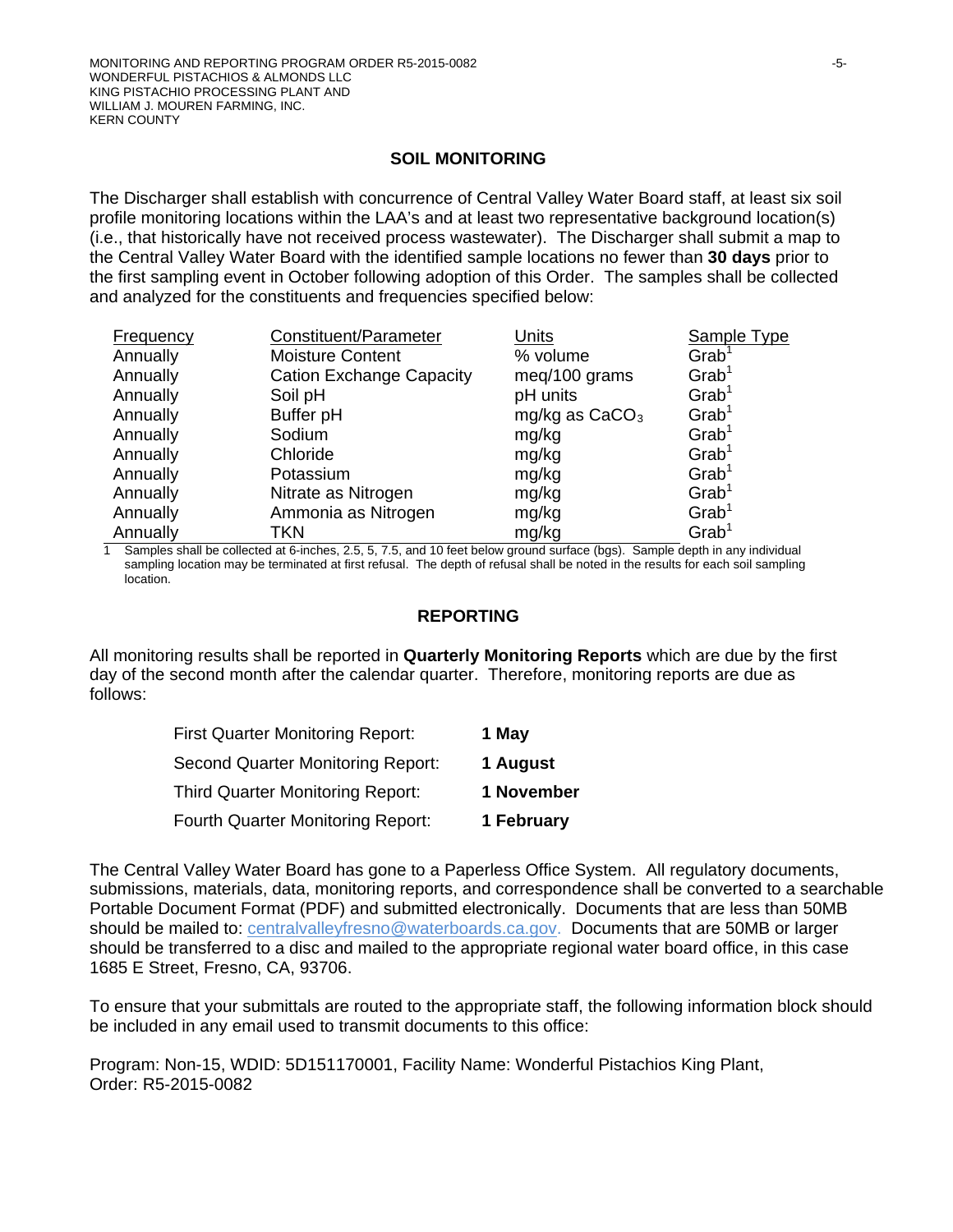### **SOIL MONITORING**

The Discharger shall establish with concurrence of Central Valley Water Board staff, at least six soil profile monitoring locations within the LAA's and at least two representative background location(s) (i.e., that historically have not received process wastewater). The Discharger shall submit a map to the Central Valley Water Board with the identified sample locations no fewer than **30 days** prior to the first sampling event in October following adoption of this Order. The samples shall be collected and analyzed for the constituents and frequencies specified below:

| Frequency | Constituent/Parameter           | <b>Units</b>     | Sample Type          |
|-----------|---------------------------------|------------------|----------------------|
| Annually  | <b>Moisture Content</b>         | % volume         | $G$ rab <sup>1</sup> |
| Annually  | <b>Cation Exchange Capacity</b> | meq/100 grams    | $G$ rab <sup>1</sup> |
| Annually  | Soil pH                         | pH units         | $G$ rab <sup>1</sup> |
| Annually  | Buffer pH                       | mg/kg as $CaCO3$ | $G$ rab <sup>1</sup> |
| Annually  | Sodium                          | mg/kg            | $G$ rab <sup>1</sup> |
| Annually  | Chloride                        | mg/kg            | $G$ rab <sup>1</sup> |
| Annually  | Potassium                       | mg/kg            | $G$ rab <sup>1</sup> |
| Annually  | Nitrate as Nitrogen             | mg/kg            | $G$ rab <sup>1</sup> |
| Annually  | Ammonia as Nitrogen             | mg/kg            | $G$ rab <sup>1</sup> |
| Annually  | TKN                             | mg/kg            | $G$ rab <sup>1</sup> |

1 Samples shall be collected at 6-inches, 2.5, 5, 7.5, and 10 feet below ground surface (bgs). Sample depth in any individual sampling location may be terminated at first refusal. The depth of refusal shall be noted in the results for each soil sampling location.

#### **REPORTING**

All monitoring results shall be reported in **Quarterly Monitoring Reports** which are due by the first day of the second month after the calendar quarter. Therefore, monitoring reports are due as follows:

| <b>First Quarter Monitoring Report:</b>  | 1 May      |
|------------------------------------------|------------|
| Second Quarter Monitoring Report:        | 1 August   |
| <b>Third Quarter Monitoring Report:</b>  | 1 November |
| <b>Fourth Quarter Monitoring Report:</b> | 1 February |

The Central Valley Water Board has gone to a Paperless Office System. All regulatory documents, submissions, materials, data, monitoring reports, and correspondence shall be converted to a searchable Portable Document Format (PDF) and submitted electronically. Documents that are less than 50MB should be mailed to: [centralvalleyfresno@waterboards.ca.gov.](mailto:centralvalleyfresno@waterboards.ca.gov) Documents that are 50MB or larger should be transferred to a disc and mailed to the appropriate regional water board office, in this case 1685 E Street, Fresno, CA, 93706.

To ensure that your submittals are routed to the appropriate staff, the following information block should be included in any email used to transmit documents to this office:

Program: Non-15, WDID: 5D151170001, Facility Name: Wonderful Pistachios King Plant, Order: R5-2015-0082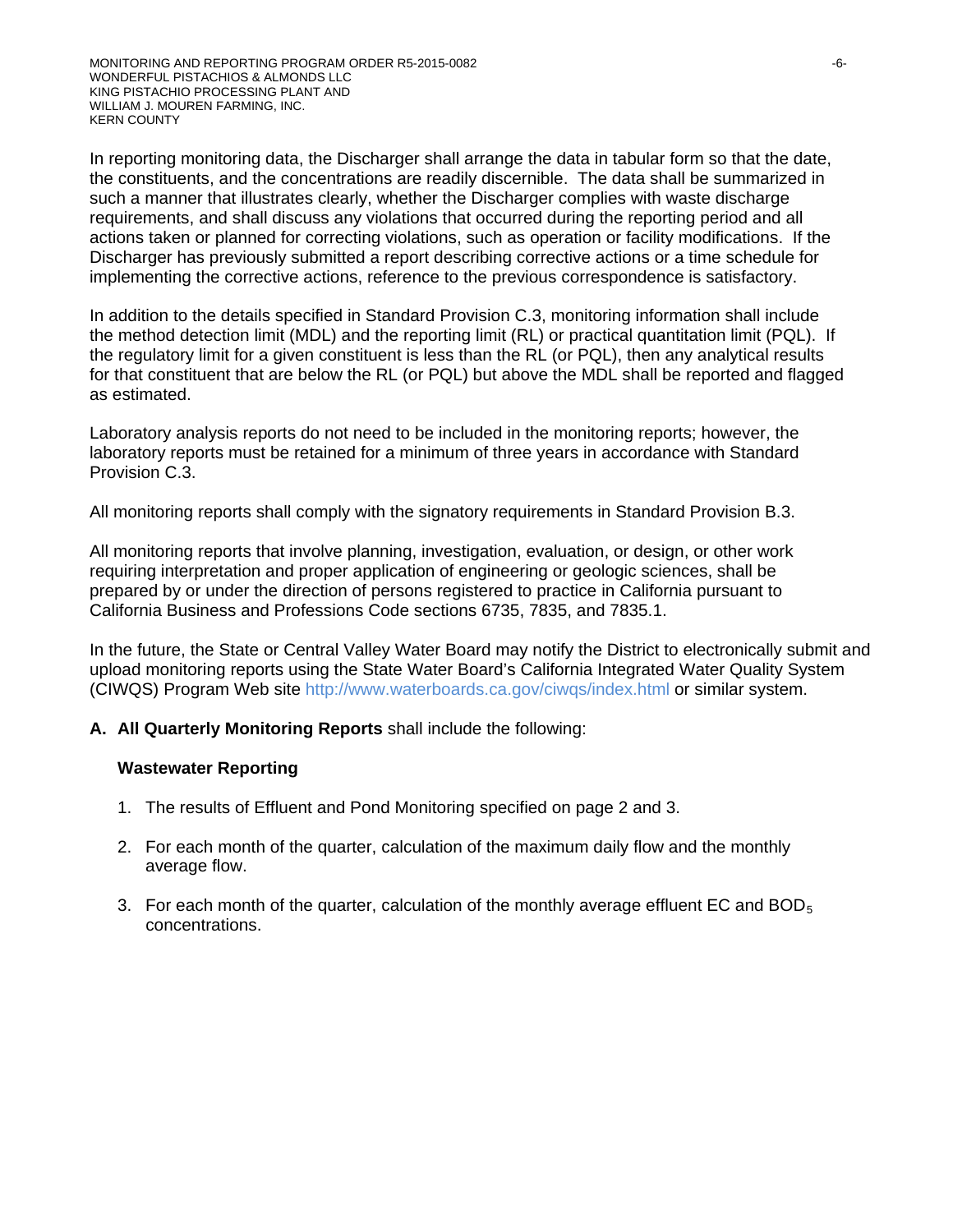In reporting monitoring data, the Discharger shall arrange the data in tabular form so that the date, the constituents, and the concentrations are readily discernible. The data shall be summarized in such a manner that illustrates clearly, whether the Discharger complies with waste discharge requirements, and shall discuss any violations that occurred during the reporting period and all actions taken or planned for correcting violations, such as operation or facility modifications. If the Discharger has previously submitted a report describing corrective actions or a time schedule for implementing the corrective actions, reference to the previous correspondence is satisfactory.

In addition to the details specified in Standard Provision C.3, monitoring information shall include the method detection limit (MDL) and the reporting limit (RL) or practical quantitation limit (PQL). If the regulatory limit for a given constituent is less than the RL (or PQL), then any analytical results for that constituent that are below the RL (or PQL) but above the MDL shall be reported and flagged as estimated.

Laboratory analysis reports do not need to be included in the monitoring reports; however, the laboratory reports must be retained for a minimum of three years in accordance with Standard Provision C.3.

All monitoring reports shall comply with the signatory requirements in Standard Provision B.3.

All monitoring reports that involve planning, investigation, evaluation, or design, or other work requiring interpretation and proper application of engineering or geologic sciences, shall be prepared by or under the direction of persons registered to practice in California pursuant to California Business and Professions Code sections 6735, 7835, and 7835.1.

In the future, the State or Central Valley Water Board may notify the District to electronically submit and upload monitoring reports using the State Water Board's California Integrated Water Quality System (CIWQS) Program Web site http://www.waterboards.ca.gov/ciwqs/index.html or similar system.

# **A. All Quarterly Monitoring Reports** shall include the following:

#### **Wastewater Reporting**

- 1. The results of Effluent and Pond Monitoring specified on page 2 and 3.
- 2. For each month of the quarter, calculation of the maximum daily flow and the monthly average flow.
- 3. For each month of the quarter, calculation of the monthly average effluent EC and  $BOD<sub>5</sub>$ concentrations.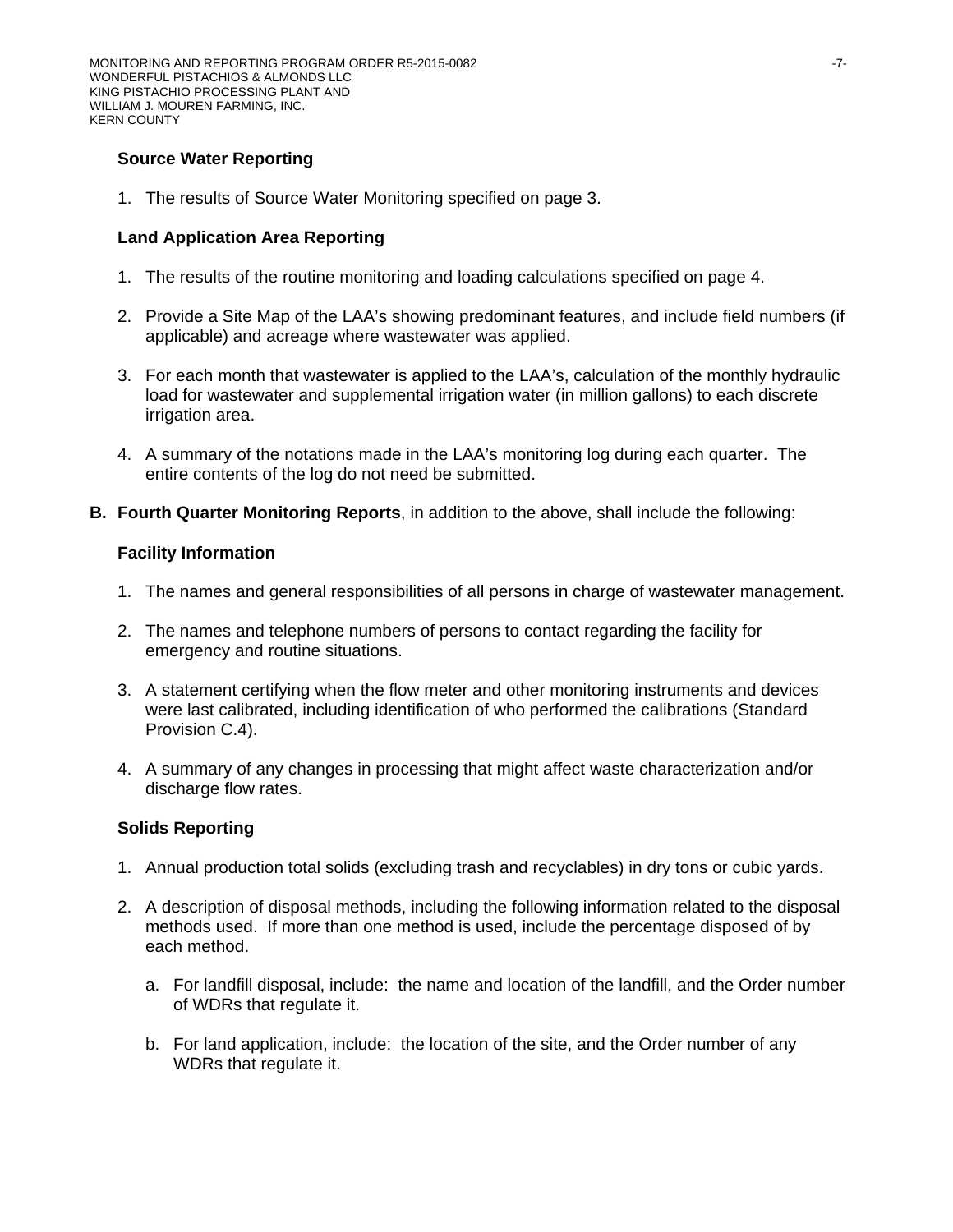# **Source Water Reporting**

1. The results of Source Water Monitoring specified on page 3.

# **Land Application Area Reporting**

- 1. The results of the routine monitoring and loading calculations specified on page 4.
- 2. Provide a Site Map of the LAA's showing predominant features, and include field numbers (if applicable) and acreage where wastewater was applied.
- 3. For each month that wastewater is applied to the LAA's, calculation of the monthly hydraulic load for wastewater and supplemental irrigation water (in million gallons) to each discrete irrigation area.
- 4. A summary of the notations made in the LAA's monitoring log during each quarter. The entire contents of the log do not need be submitted.
- **B. Fourth Quarter Monitoring Reports**, in addition to the above, shall include the following:

# **Facility Information**

- 1. The names and general responsibilities of all persons in charge of wastewater management.
- 2. The names and telephone numbers of persons to contact regarding the facility for emergency and routine situations.
- 3. A statement certifying when the flow meter and other monitoring instruments and devices were last calibrated, including identification of who performed the calibrations (Standard Provision C.4).
- 4. A summary of any changes in processing that might affect waste characterization and/or discharge flow rates.

# **Solids Reporting**

- 1. Annual production total solids (excluding trash and recyclables) in dry tons or cubic yards.
- 2. A description of disposal methods, including the following information related to the disposal methods used. If more than one method is used, include the percentage disposed of by each method.
	- a. For landfill disposal, include: the name and location of the landfill, and the Order number of WDRs that regulate it.
	- b. For land application, include: the location of the site, and the Order number of any WDRs that regulate it.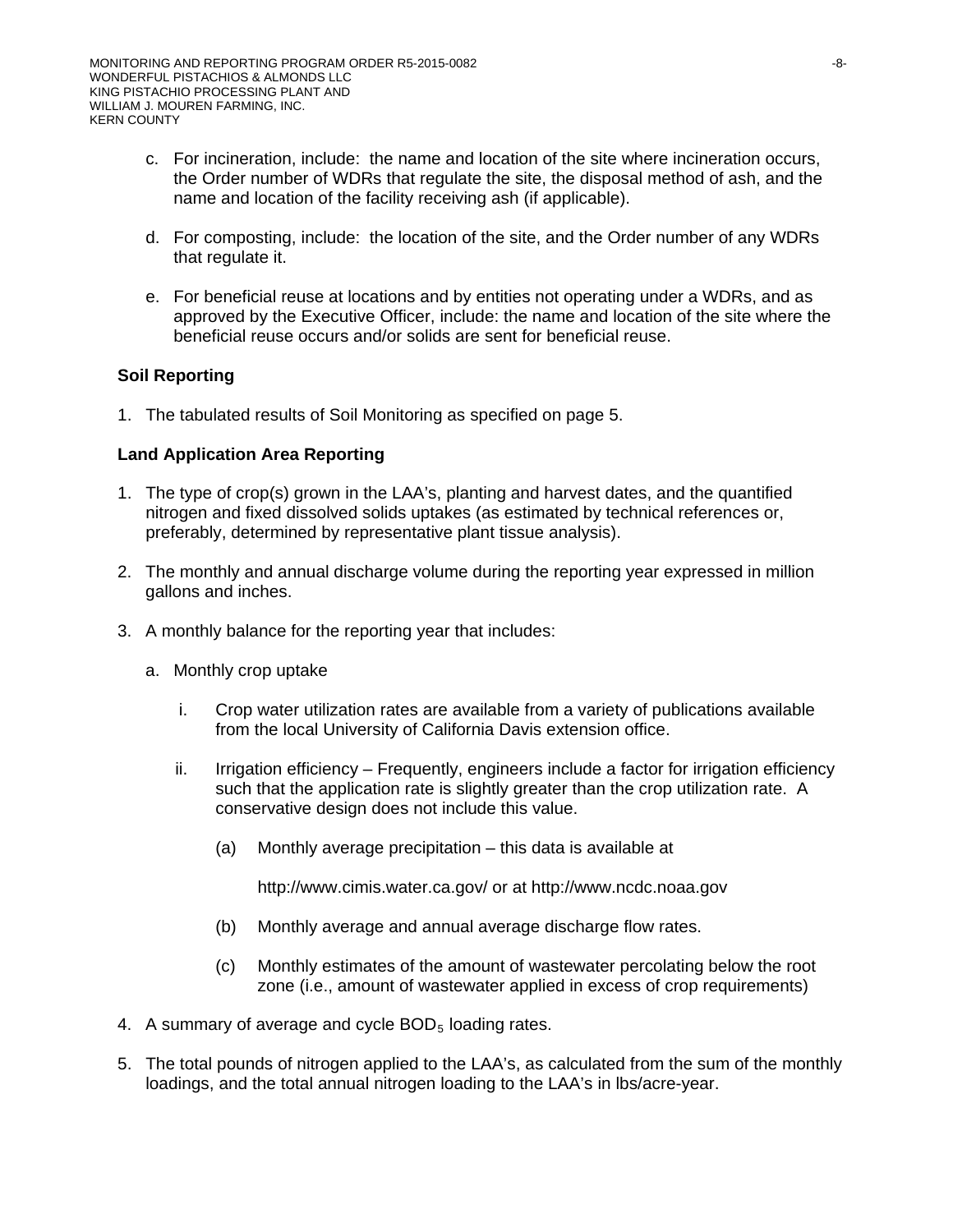- c. For incineration, include: the name and location of the site where incineration occurs, the Order number of WDRs that regulate the site, the disposal method of ash, and the name and location of the facility receiving ash (if applicable).
- d. For composting, include: the location of the site, and the Order number of any WDRs that regulate it.
- e. For beneficial reuse at locations and by entities not operating under a WDRs, and as approved by the Executive Officer, include: the name and location of the site where the beneficial reuse occurs and/or solids are sent for beneficial reuse.

# **Soil Reporting**

1. The tabulated results of Soil Monitoring as specified on page 5.

# **Land Application Area Reporting**

- 1. The type of crop(s) grown in the LAA's, planting and harvest dates, and the quantified nitrogen and fixed dissolved solids uptakes (as estimated by technical references or, preferably, determined by representative plant tissue analysis).
- 2. The monthly and annual discharge volume during the reporting year expressed in million gallons and inches.
- 3. A monthly balance for the reporting year that includes:
	- a. Monthly crop uptake
		- i. Crop water utilization rates are available from a variety of publications available from the local University of California Davis extension office.
		- ii. Irrigation efficiency Frequently, engineers include a factor for irrigation efficiency such that the application rate is slightly greater than the crop utilization rate. A conservative design does not include this value.
			- (a) Monthly average precipitation this data is available at

http://www.cimis.water.ca.gov/ or at http://www.ncdc.noaa.gov

- (b) Monthly average and annual average discharge flow rates.
- (c) Monthly estimates of the amount of wastewater percolating below the root zone (i.e., amount of wastewater applied in excess of crop requirements)
- 4. A summary of average and cycle  $BOD<sub>5</sub>$  loading rates.
- 5. The total pounds of nitrogen applied to the LAA's, as calculated from the sum of the monthly loadings, and the total annual nitrogen loading to the LAA's in lbs/acre-year.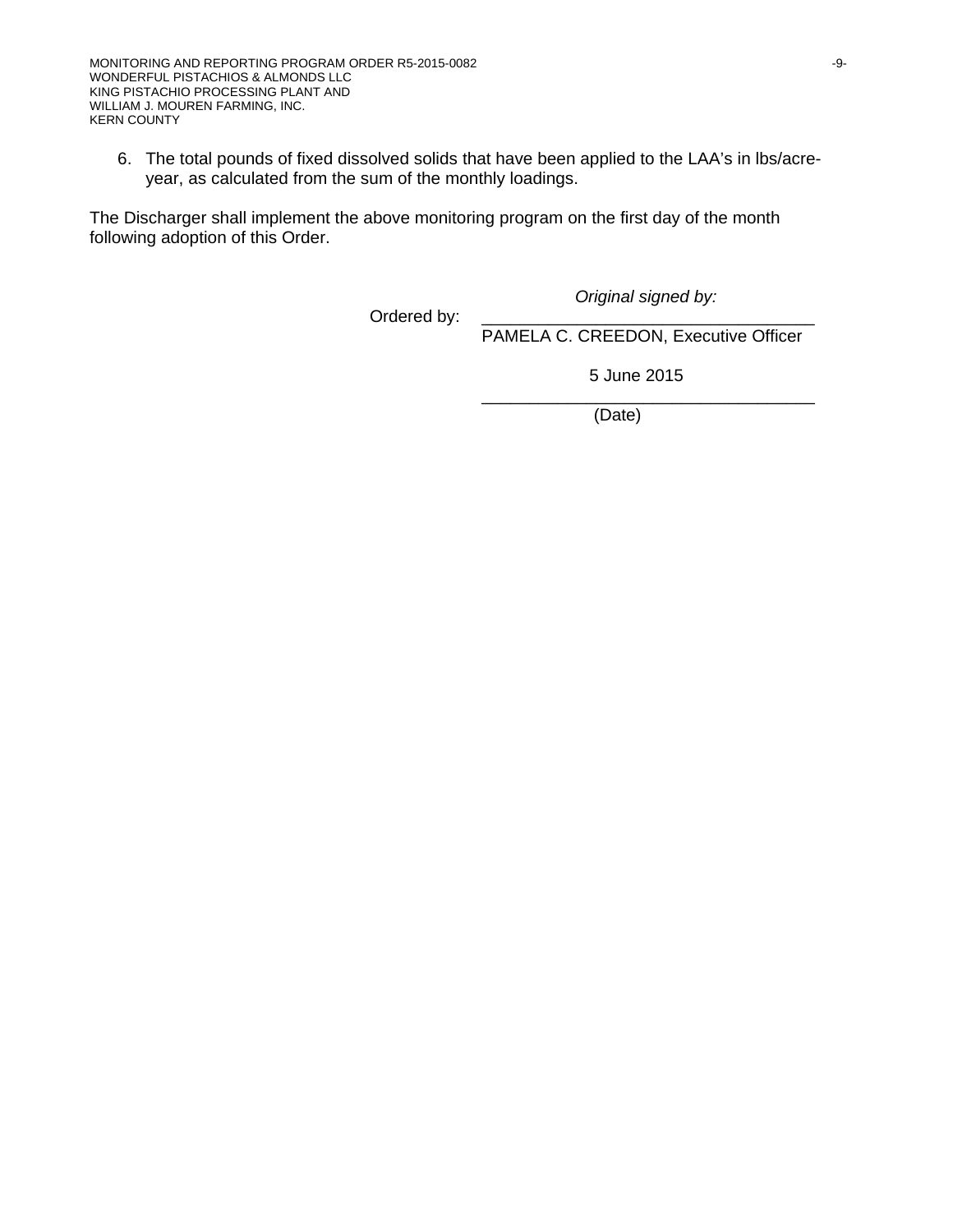6. The total pounds of fixed dissolved solids that have been applied to the LAA's in lbs/acreyear, as calculated from the sum of the monthly loadings.

The Discharger shall implement the above monitoring program on the first day of the month following adoption of this Order.

Ordered by:

*Original signed by:*

PAMELA C. CREEDON, Executive Officer

5 June 2015

\_\_\_\_\_\_\_\_\_\_\_\_\_\_\_\_\_\_\_\_\_\_\_\_\_\_\_\_\_\_\_\_\_\_\_ (Date)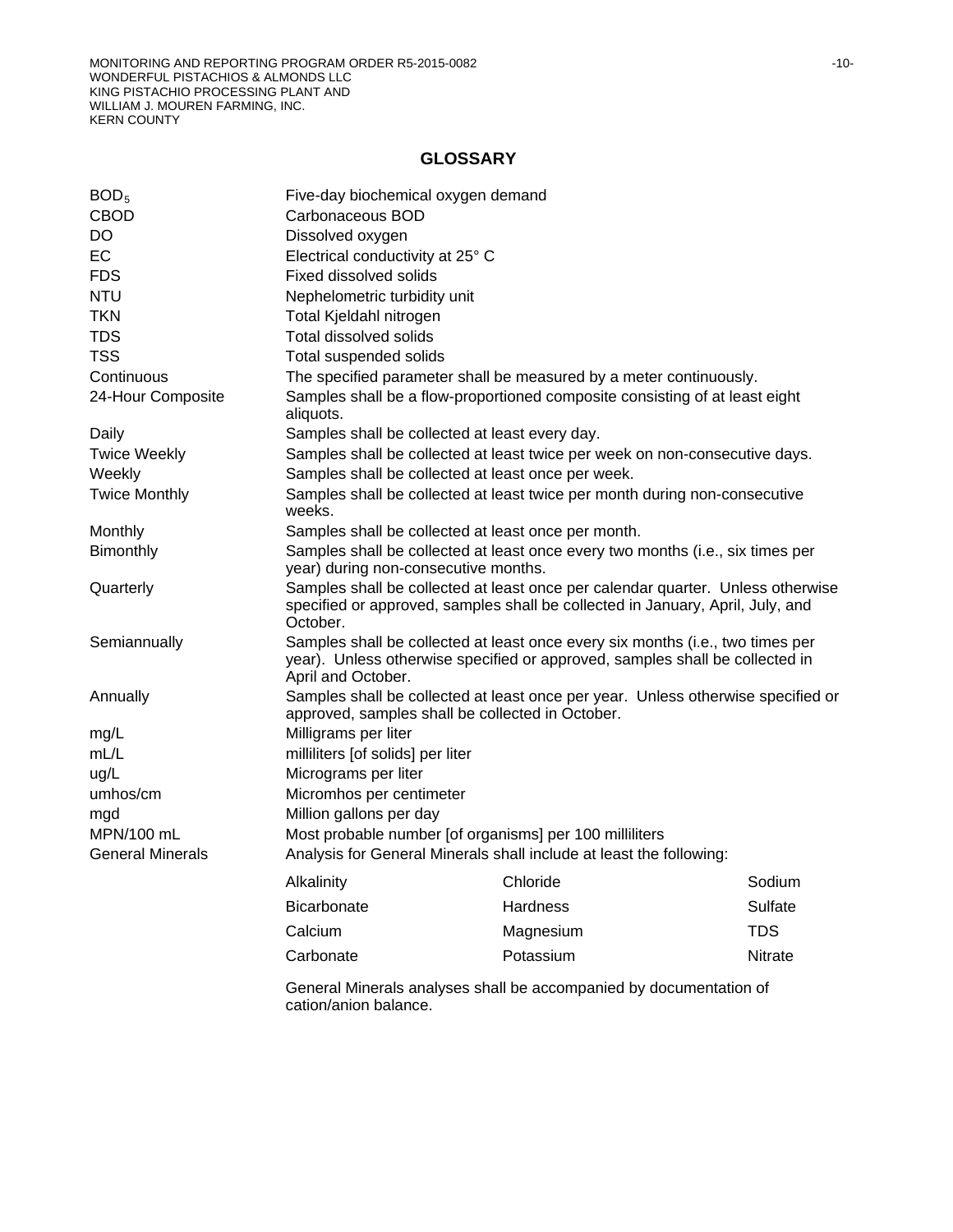# **GLOSSARY**

| BOD <sub>5</sub>        |                                                                                             | Five-day biochemical oxygen demand                                                                                                                                |            |  |  |  |  |
|-------------------------|---------------------------------------------------------------------------------------------|-------------------------------------------------------------------------------------------------------------------------------------------------------------------|------------|--|--|--|--|
| <b>CBOD</b>             | Carbonaceous BOD                                                                            |                                                                                                                                                                   |            |  |  |  |  |
| DO                      | Dissolved oxygen                                                                            |                                                                                                                                                                   |            |  |  |  |  |
| EC                      |                                                                                             | Electrical conductivity at 25° C                                                                                                                                  |            |  |  |  |  |
| <b>FDS</b>              | Fixed dissolved solids                                                                      |                                                                                                                                                                   |            |  |  |  |  |
| <b>NTU</b>              | Nephelometric turbidity unit                                                                |                                                                                                                                                                   |            |  |  |  |  |
| <b>TKN</b>              | Total Kjeldahl nitrogen                                                                     |                                                                                                                                                                   |            |  |  |  |  |
| <b>TDS</b>              | Total dissolved solids                                                                      |                                                                                                                                                                   |            |  |  |  |  |
| <b>TSS</b>              | Total suspended solids                                                                      |                                                                                                                                                                   |            |  |  |  |  |
| Continuous              |                                                                                             | The specified parameter shall be measured by a meter continuously.                                                                                                |            |  |  |  |  |
| 24-Hour Composite       | aliquots.                                                                                   | Samples shall be a flow-proportioned composite consisting of at least eight                                                                                       |            |  |  |  |  |
| Daily                   |                                                                                             | Samples shall be collected at least every day.                                                                                                                    |            |  |  |  |  |
| <b>Twice Weekly</b>     |                                                                                             | Samples shall be collected at least twice per week on non-consecutive days.                                                                                       |            |  |  |  |  |
| Weekly                  |                                                                                             | Samples shall be collected at least once per week.                                                                                                                |            |  |  |  |  |
| <b>Twice Monthly</b>    | weeks.                                                                                      | Samples shall be collected at least twice per month during non-consecutive                                                                                        |            |  |  |  |  |
| Monthly                 |                                                                                             | Samples shall be collected at least once per month.                                                                                                               |            |  |  |  |  |
| Bimonthly               | year) during non-consecutive months.                                                        | Samples shall be collected at least once every two months (i.e., six times per                                                                                    |            |  |  |  |  |
| Quarterly               | October.                                                                                    | Samples shall be collected at least once per calendar quarter. Unless otherwise<br>specified or approved, samples shall be collected in January, April, July, and |            |  |  |  |  |
| Semiannually            | April and October.                                                                          | Samples shall be collected at least once every six months (i.e., two times per<br>year). Unless otherwise specified or approved, samples shall be collected in    |            |  |  |  |  |
| Annually                |                                                                                             | Samples shall be collected at least once per year. Unless otherwise specified or<br>approved, samples shall be collected in October.                              |            |  |  |  |  |
| mg/L                    | Milligrams per liter                                                                        |                                                                                                                                                                   |            |  |  |  |  |
| mL/L                    | milliliters [of solids] per liter                                                           |                                                                                                                                                                   |            |  |  |  |  |
| ug/L                    | Micrograms per liter                                                                        |                                                                                                                                                                   |            |  |  |  |  |
| umhos/cm                | Micromhos per centimeter                                                                    |                                                                                                                                                                   |            |  |  |  |  |
| mgd                     | Million gallons per day                                                                     |                                                                                                                                                                   |            |  |  |  |  |
| MPN/100 mL              |                                                                                             | Most probable number [of organisms] per 100 milliliters                                                                                                           |            |  |  |  |  |
| <b>General Minerals</b> |                                                                                             | Analysis for General Minerals shall include at least the following:                                                                                               |            |  |  |  |  |
|                         | Alkalinity                                                                                  | Chloride                                                                                                                                                          | Sodium     |  |  |  |  |
|                         | <b>Bicarbonate</b>                                                                          | Hardness                                                                                                                                                          | Sulfate    |  |  |  |  |
|                         | Calcium                                                                                     | Magnesium                                                                                                                                                         | <b>TDS</b> |  |  |  |  |
|                         | Carbonate<br>Potassium<br>Nitrate                                                           |                                                                                                                                                                   |            |  |  |  |  |
|                         | General Minerals analyses shall be accompanied by documentation of<br>cation/anion balance. |                                                                                                                                                                   |            |  |  |  |  |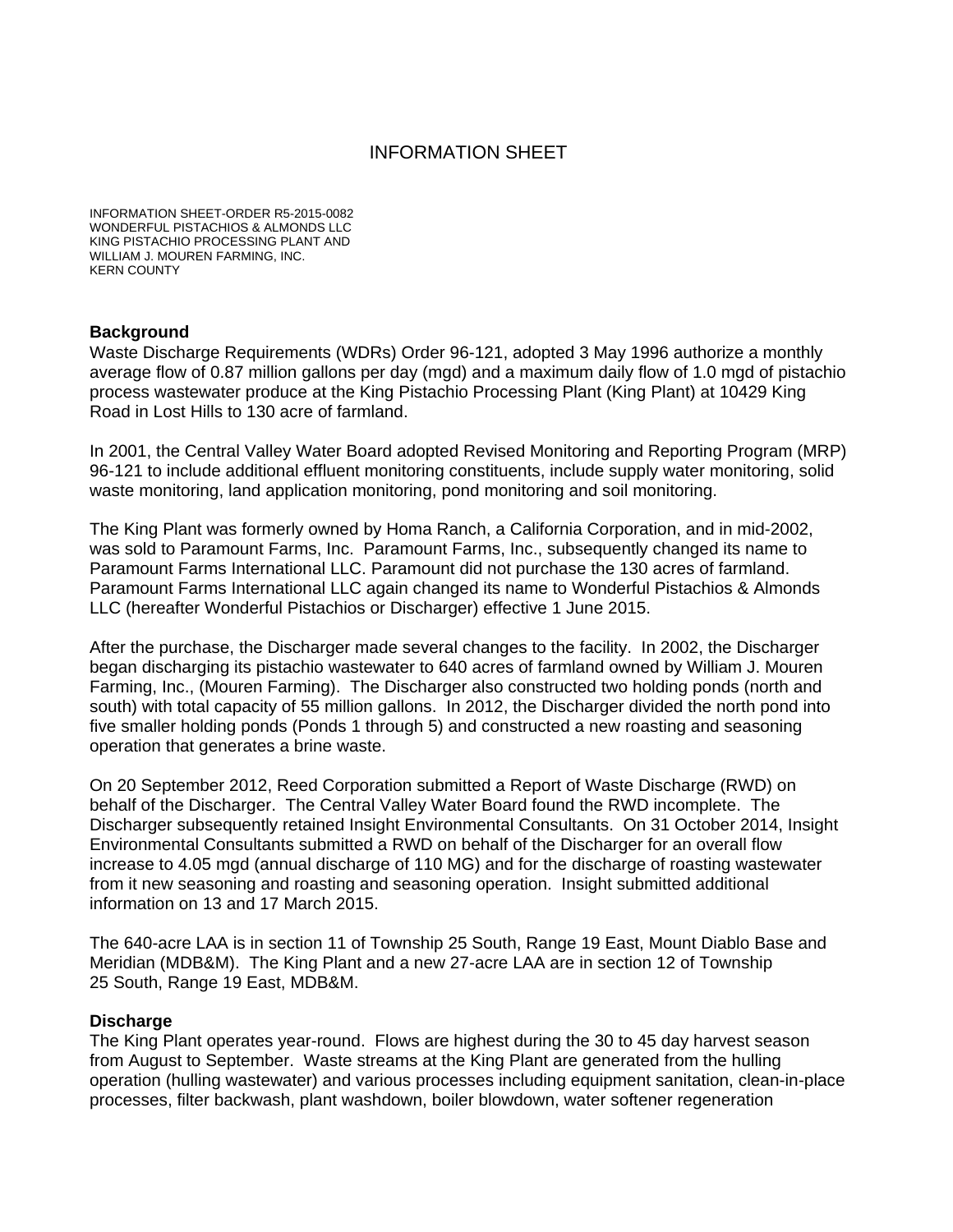# INFORMATION SHEET

INFORMATION SHEET-ORDER R5-2015-0082 WONDERFUL PISTACHIOS & ALMONDS LLC KING PISTACHIO PROCESSING PLANT AND WILLIAM J. MOUREN FARMING, INC. KERN COUNTY

#### **Background**

Waste Discharge Requirements (WDRs) Order 96-121, adopted 3 May 1996 authorize a monthly average flow of 0.87 million gallons per day (mgd) and a maximum daily flow of 1.0 mgd of pistachio process wastewater produce at the King Pistachio Processing Plant (King Plant) at 10429 King Road in Lost Hills to 130 acre of farmland.

In 2001, the Central Valley Water Board adopted Revised Monitoring and Reporting Program (MRP) 96-121 to include additional effluent monitoring constituents, include supply water monitoring, solid waste monitoring, land application monitoring, pond monitoring and soil monitoring.

The King Plant was formerly owned by Homa Ranch, a California Corporation, and in mid-2002, was sold to Paramount Farms, Inc. Paramount Farms, Inc., subsequently changed its name to Paramount Farms International LLC. Paramount did not purchase the 130 acres of farmland. Paramount Farms International LLC again changed its name to Wonderful Pistachios & Almonds LLC (hereafter Wonderful Pistachios or Discharger) effective 1 June 2015.

After the purchase, the Discharger made several changes to the facility. In 2002, the Discharger began discharging its pistachio wastewater to 640 acres of farmland owned by William J. Mouren Farming, Inc., (Mouren Farming). The Discharger also constructed two holding ponds (north and south) with total capacity of 55 million gallons. In 2012, the Discharger divided the north pond into five smaller holding ponds (Ponds 1 through 5) and constructed a new roasting and seasoning operation that generates a brine waste.

On 20 September 2012, Reed Corporation submitted a Report of Waste Discharge (RWD) on behalf of the Discharger. The Central Valley Water Board found the RWD incomplete. The Discharger subsequently retained Insight Environmental Consultants. On 31 October 2014, Insight Environmental Consultants submitted a RWD on behalf of the Discharger for an overall flow increase to 4.05 mgd (annual discharge of 110 MG) and for the discharge of roasting wastewater from it new seasoning and roasting and seasoning operation. Insight submitted additional information on 13 and 17 March 2015.

The 640-acre LAA is in section 11 of Township 25 South, Range 19 East, Mount Diablo Base and Meridian (MDB&M). The King Plant and a new 27-acre LAA are in section 12 of Township 25 South, Range 19 East, MDB&M.

#### **Discharge**

The King Plant operates year-round. Flows are highest during the 30 to 45 day harvest season from August to September. Waste streams at the King Plant are generated from the hulling operation (hulling wastewater) and various processes including equipment sanitation, clean-in-place processes, filter backwash, plant washdown, boiler blowdown, water softener regeneration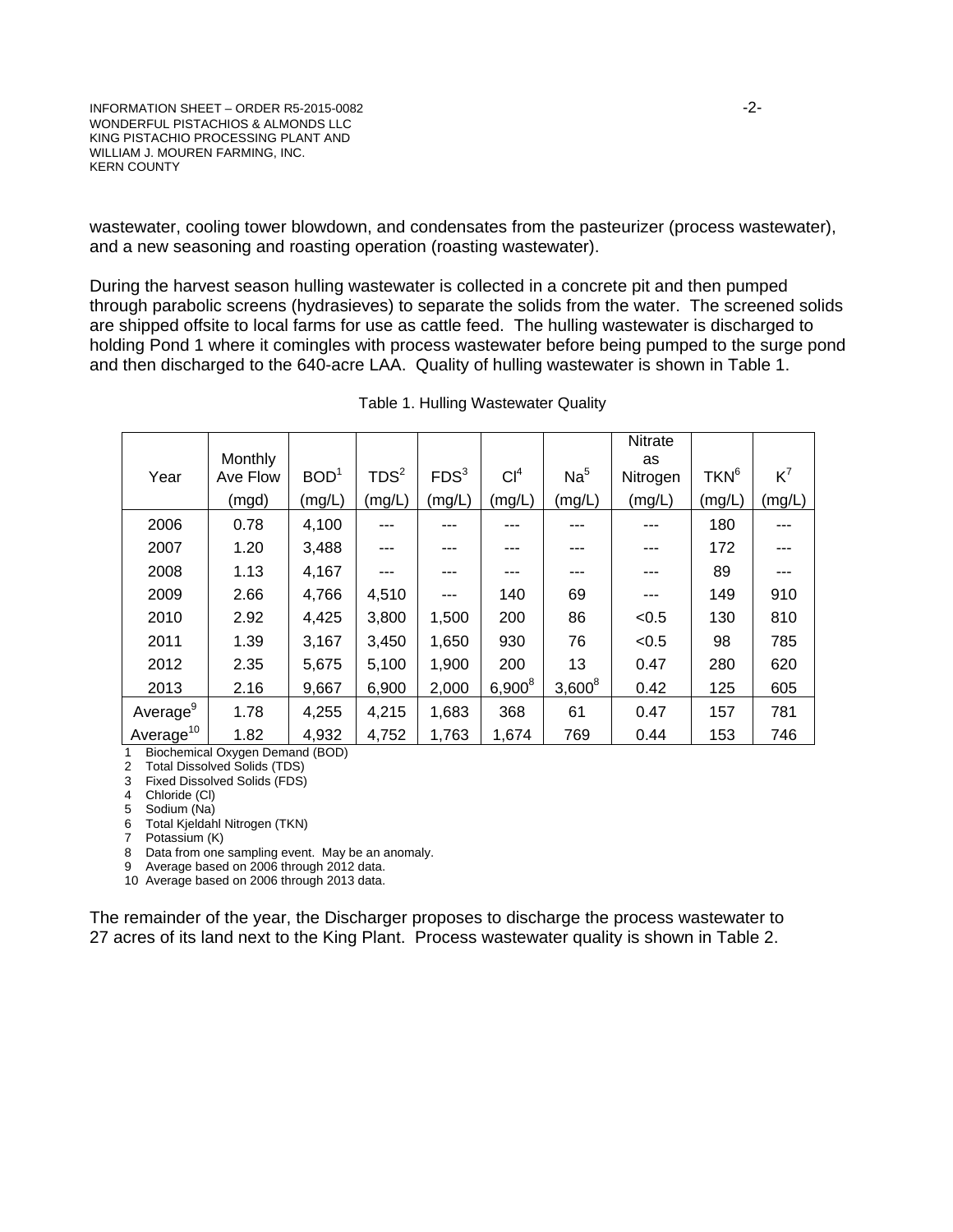wastewater, cooling tower blowdown, and condensates from the pasteurizer (process wastewater), and a new seasoning and roasting operation (roasting wastewater).

During the harvest season hulling wastewater is collected in a concrete pit and then pumped through parabolic screens (hydrasieves) to separate the solids from the water. The screened solids are shipped offsite to local farms for use as cattle feed. The hulling wastewater is discharged to holding Pond 1 where it comingles with process wastewater before being pumped to the surge pond and then discharged to the 640-acre LAA. Quality of hulling wastewater is shown in Table 1.

|                      | <b>Monthly</b> |                  |                  |                  |                 |                 | Nitrate<br>as |                  |        |
|----------------------|----------------|------------------|------------------|------------------|-----------------|-----------------|---------------|------------------|--------|
| Year                 | Ave Flow       | BOD <sup>1</sup> | TDS <sup>2</sup> | FDS <sup>3</sup> | Cl <sup>4</sup> | Na <sup>5</sup> | Nitrogen      | TKN <sup>6</sup> | $K^7$  |
|                      | (mgd)          | (mg/L)           | (mg/L)           | (mg/L)           | (mg/L)          | (mg/L)          | (mg/L)        | (mg/L)           | (mg/L) |
| 2006                 | 0.78           | 4,100            | ---              | ---              | ---             |                 | ---           | 180              | ---    |
| 2007                 | 1.20           | 3,488            |                  |                  | ---             |                 |               | 172              |        |
| 2008                 | 1.13           | 4,167            |                  |                  | ---             |                 |               | 89               |        |
| 2009                 | 2.66           | 4,766            | 4,510            | ---              | 140             | 69              | ---           | 149              | 910    |
| 2010                 | 2.92           | 4,425            | 3,800            | 1,500            | 200             | 86              | < 0.5         | 130              | 810    |
| 2011                 | 1.39           | 3,167            | 3,450            | 1,650            | 930             | 76              | < 0.5         | 98               | 785    |
| 2012                 | 2.35           | 5,675            | 5,100            | 1,900            | 200             | 13              | 0.47          | 280              | 620    |
| 2013                 | 2.16           | 9,667            | 6,900            | 2,000            | $6,900^8$       | $3,600^8$       | 0.42          | 125              | 605    |
| Average <sup>9</sup> | 1.78           | 4,255            | 4,215            | 1,683            | 368             | 61              | 0.47          | 157              | 781    |
| $A$ verage $^{10}$   | 1.82           | 4,932            | 4,752            | 1,763            | 1,674           | 769             | 0.44          | 153              | 746    |

| Table 1. Hulling Wastewater Quality |  |  |
|-------------------------------------|--|--|
|-------------------------------------|--|--|

1 Biochemical Oxygen Demand (BOD)

2 Total Dissolved Solids (TDS)

3 Fixed Dissolved Solids (FDS)

4 Chloride (Cl)

5 Sodium (Na)

6 Total Kjeldahl Nitrogen (TKN)

7 Potassium (K)

8 Data from one sampling event. May be an anomaly.

9 Average based on 2006 through 2012 data. 10 Average based on 2006 through 2013 data.

The remainder of the year, the Discharger proposes to discharge the process wastewater to

27 acres of its land next to the King Plant. Process wastewater quality is shown in Table 2.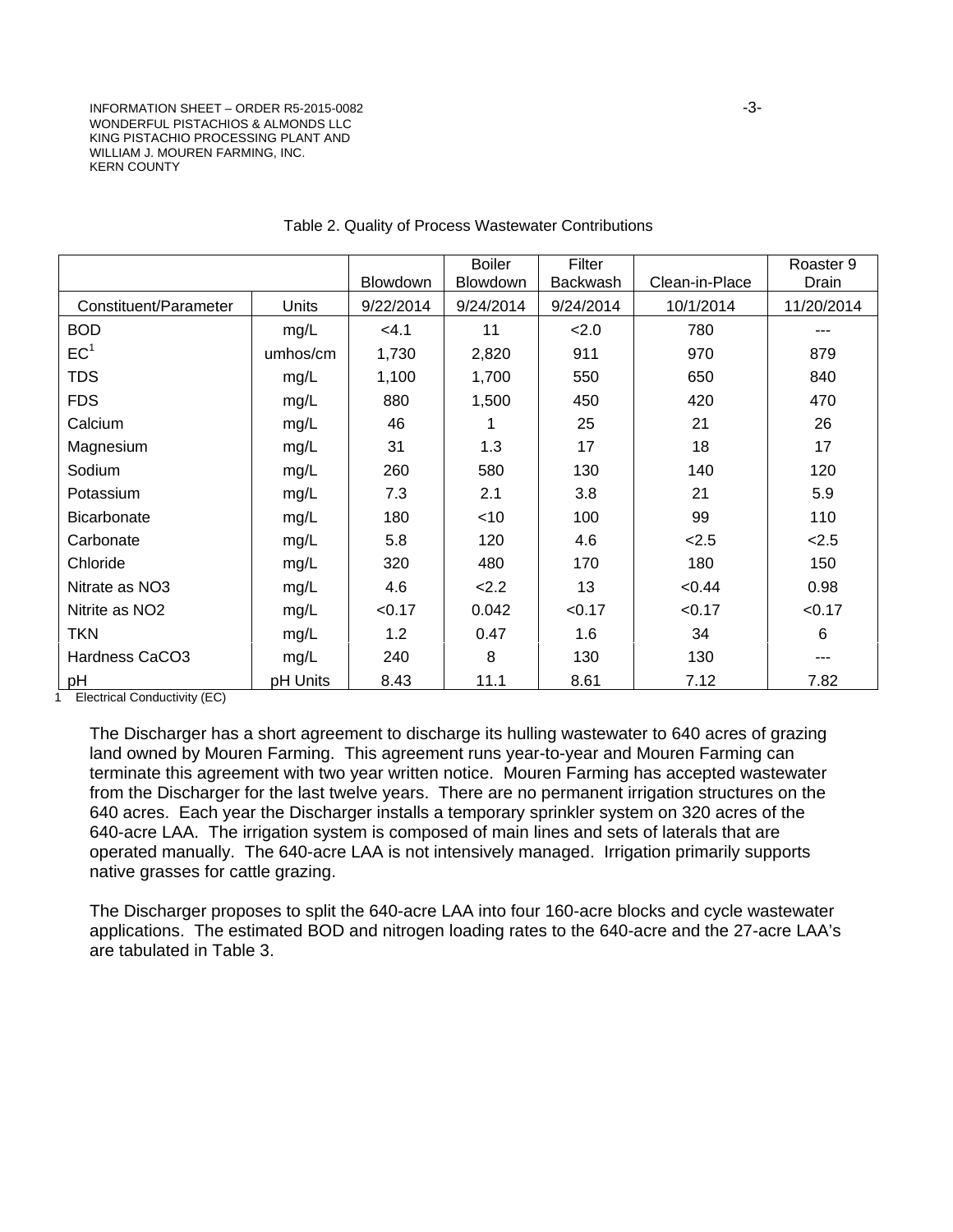INFORMATION SHEET – ORDER R5-2015-0082 -3- WONDERFUL PISTACHIOS & ALMONDS LLC KING PISTACHIO PROCESSING PLANT AND WILLIAM J. MOUREN FARMING, INC. KERN COUNTY

|                       |          |           | <b>Boiler</b> | Filter          |                | Roaster 9  |
|-----------------------|----------|-----------|---------------|-----------------|----------------|------------|
|                       |          | Blowdown  | Blowdown      | <b>Backwash</b> | Clean-in-Place | Drain      |
| Constituent/Parameter | Units    | 9/22/2014 | 9/24/2014     | 9/24/2014       | 10/1/2014      | 11/20/2014 |
| <b>BOD</b>            | mg/L     | < 4.1     | 11            | 2.0             | 780            | ---        |
| EC <sup>1</sup>       | umhos/cm | 1,730     | 2,820         | 911             | 970            | 879        |
| <b>TDS</b>            | mg/L     | 1,100     | 1,700         | 550             | 650            | 840        |
| <b>FDS</b>            | mg/L     | 880       | 1,500         | 450             | 420            | 470        |
| Calcium               | mg/L     | 46        |               | 25              | 21             | 26         |
| Magnesium             | mg/L     | 31        | 1.3           | 17              | 18             | 17         |
| Sodium                | mg/L     | 260       | 580           | 130             | 140            | 120        |
| Potassium             | mg/L     | 7.3       | 2.1           | 3.8             | 21             | 5.9        |
| Bicarbonate           | mg/L     | 180       | $<$ 10        | 100             | 99             | 110        |
| Carbonate             | mg/L     | 5.8       | 120           | 4.6             | 2.5            | 2.5        |
| Chloride              | mg/L     | 320       | 480           | 170             | 180            | 150        |
| Nitrate as NO3        | mg/L     | 4.6       | 2.2           | 13              | < 0.44         | 0.98       |
| Nitrite as NO2        | mg/L     | < 0.17    | 0.042         | < 0.17          | < 0.17         | < 0.17     |
| <b>TKN</b>            | mg/L     | 1.2       | 0.47          | 1.6             | 34             | 6          |
| Hardness CaCO3        | mg/L     | 240       | 8             | 130             | 130            |            |
| pH                    | pH Units | 8.43      | 11.1          | 8.61            | 7.12           | 7.82       |

#### Table 2. Quality of Process Wastewater Contributions

1 Electrical Conductivity (EC)

The Discharger has a short agreement to discharge its hulling wastewater to 640 acres of grazing land owned by Mouren Farming. This agreement runs year-to-year and Mouren Farming can terminate this agreement with two year written notice. Mouren Farming has accepted wastewater from the Discharger for the last twelve years. There are no permanent irrigation structures on the 640 acres. Each year the Discharger installs a temporary sprinkler system on 320 acres of the 640-acre LAA. The irrigation system is composed of main lines and sets of laterals that are operated manually. The 640-acre LAA is not intensively managed. Irrigation primarily supports native grasses for cattle grazing.

The Discharger proposes to split the 640-acre LAA into four 160-acre blocks and cycle wastewater applications. The estimated BOD and nitrogen loading rates to the 640-acre and the 27-acre LAA's are tabulated in Table 3.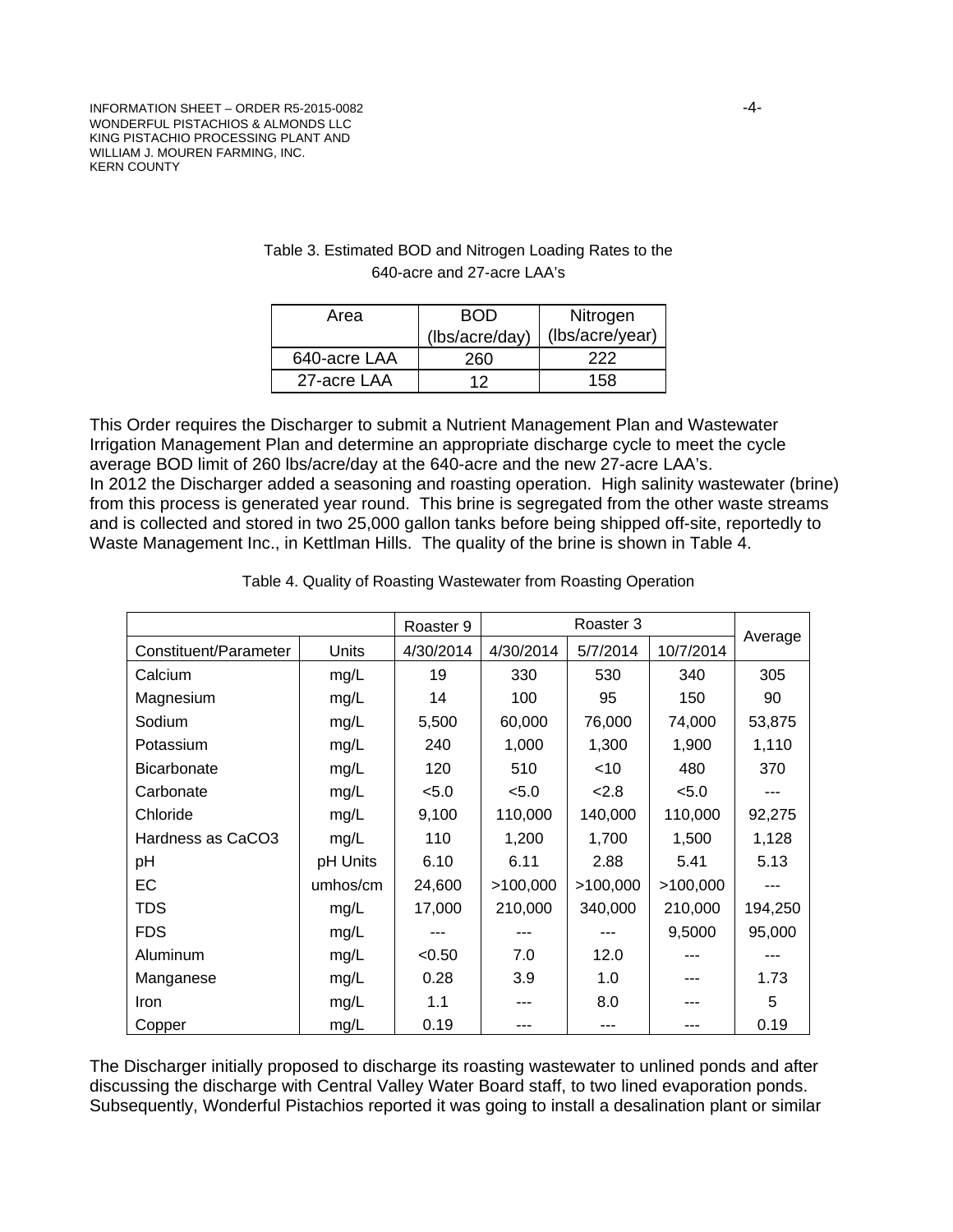| Area         | ROD            | Nitrogen        |  |  |
|--------------|----------------|-----------------|--|--|
|              | (lbs/acre/day) | (lbs/acre/year) |  |  |
| 640-acre LAA | 260            | 222             |  |  |
| 27-acre LAA  | ィク             | 158             |  |  |

### Table 3. Estimated BOD and Nitrogen Loading Rates to the 640-acre and 27-acre LAA's

This Order requires the Discharger to submit a Nutrient Management Plan and Wastewater Irrigation Management Plan and determine an appropriate discharge cycle to meet the cycle average BOD limit of 260 lbs/acre/day at the 640-acre and the new 27-acre LAA's. In 2012 the Discharger added a seasoning and roasting operation. High salinity wastewater (brine) from this process is generated year round. This brine is segregated from the other waste streams and is collected and stored in two 25,000 gallon tanks before being shipped off-site, reportedly to Waste Management Inc., in Kettlman Hills. The quality of the brine is shown in Table 4.

|                       |          | Roaster 9 | Roaster 3 |          |           |         |
|-----------------------|----------|-----------|-----------|----------|-----------|---------|
| Constituent/Parameter | Units    | 4/30/2014 | 4/30/2014 | 5/7/2014 | 10/7/2014 | Average |
| Calcium               | mg/L     | 19        | 330       | 530      | 340       | 305     |
| Magnesium             | mg/L     | 14        | 100       | 95       | 150       | 90      |
| Sodium                | mg/L     | 5,500     | 60,000    | 76,000   | 74,000    | 53,875  |
| Potassium             | mg/L     | 240       | 1,000     | 1,300    | 1,900     | 1,110   |
| <b>Bicarbonate</b>    | mg/L     | 120       | 510       | $<$ 10   | 480       | 370     |
| Carbonate             | mg/L     | < 5.0     | < 5.0     | 2.8      | < 5.0     |         |
| Chloride              | mg/L     | 9,100     | 110,000   | 140,000  | 110,000   | 92,275  |
| Hardness as CaCO3     | mg/L     | 110       | 1,200     | 1,700    | 1,500     | 1,128   |
| pH                    | pH Units | 6.10      | 6.11      | 2.88     | 5.41      | 5.13    |
| EC                    | umhos/cm | 24,600    | >100,000  | >100,000 | >100,000  |         |
| <b>TDS</b>            | mg/L     | 17,000    | 210,000   | 340,000  | 210,000   | 194,250 |
| <b>FDS</b>            | mg/L     | ---       | ---       | ---      | 9,5000    | 95,000  |
| Aluminum              | mg/L     | < 0.50    | 7.0       | 12.0     |           |         |
| Manganese             | mg/L     | 0.28      | 3.9       | 1.0      |           | 1.73    |
| Iron                  | mg/L     | 1.1       |           | 8.0      |           | 5       |
| Copper                | mg/L     | 0.19      |           |          |           | 0.19    |

The Discharger initially proposed to discharge its roasting wastewater to unlined ponds and after discussing the discharge with Central Valley Water Board staff, to two lined evaporation ponds. Subsequently, Wonderful Pistachios reported it was going to install a desalination plant or similar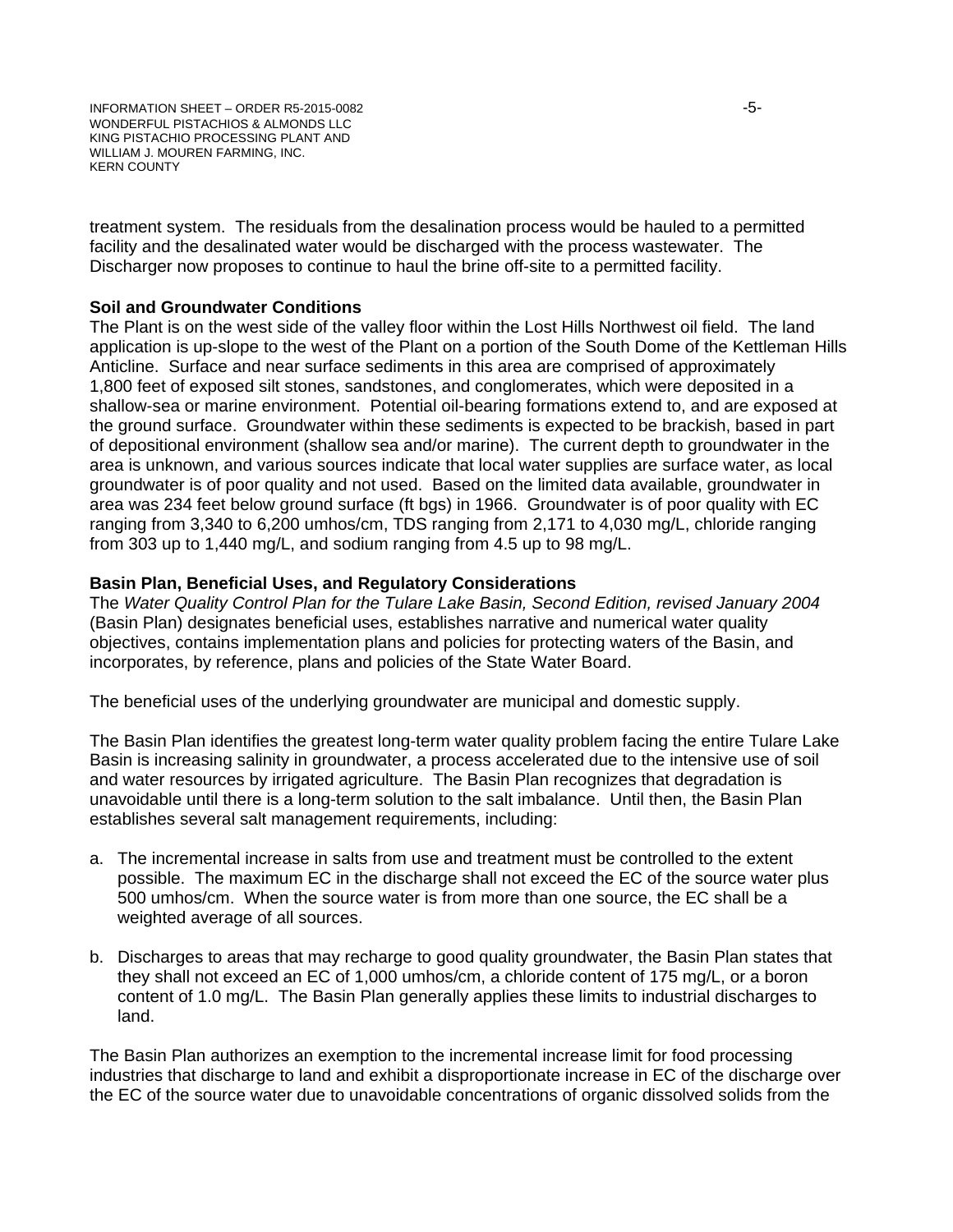treatment system. The residuals from the desalination process would be hauled to a permitted facility and the desalinated water would be discharged with the process wastewater. The Discharger now proposes to continue to haul the brine off-site to a permitted facility.

### **Soil and Groundwater Conditions**

The Plant is on the west side of the valley floor within the Lost Hills Northwest oil field. The land application is up-slope to the west of the Plant on a portion of the South Dome of the Kettleman Hills Anticline. Surface and near surface sediments in this area are comprised of approximately 1,800 feet of exposed silt stones, sandstones, and conglomerates, which were deposited in a shallow-sea or marine environment. Potential oil-bearing formations extend to, and are exposed at the ground surface. Groundwater within these sediments is expected to be brackish, based in part of depositional environment (shallow sea and/or marine). The current depth to groundwater in the area is unknown, and various sources indicate that local water supplies are surface water, as local groundwater is of poor quality and not used. Based on the limited data available, groundwater in area was 234 feet below ground surface (ft bgs) in 1966. Groundwater is of poor quality with EC ranging from 3,340 to 6,200 umhos/cm, TDS ranging from 2,171 to 4,030 mg/L, chloride ranging from 303 up to 1,440 mg/L, and sodium ranging from 4.5 up to 98 mg/L.

### **Basin Plan, Beneficial Uses, and Regulatory Considerations**

The *Water Quality Control Plan for the Tulare Lake Basin, Second Edition, revised January 2004* (Basin Plan) designates beneficial uses, establishes narrative and numerical water quality objectives, contains implementation plans and policies for protecting waters of the Basin, and incorporates, by reference, plans and policies of the State Water Board.

The beneficial uses of the underlying groundwater are municipal and domestic supply.

The Basin Plan identifies the greatest long-term water quality problem facing the entire Tulare Lake Basin is increasing salinity in groundwater, a process accelerated due to the intensive use of soil and water resources by irrigated agriculture. The Basin Plan recognizes that degradation is unavoidable until there is a long-term solution to the salt imbalance. Until then, the Basin Plan establishes several salt management requirements, including:

- a. The incremental increase in salts from use and treatment must be controlled to the extent possible. The maximum EC in the discharge shall not exceed the EC of the source water plus 500 umhos/cm. When the source water is from more than one source, the EC shall be a weighted average of all sources.
- b. Discharges to areas that may recharge to good quality groundwater, the Basin Plan states that they shall not exceed an EC of 1,000 umhos/cm, a chloride content of 175 mg/L, or a boron content of 1.0 mg/L. The Basin Plan generally applies these limits to industrial discharges to land.

The Basin Plan authorizes an exemption to the incremental increase limit for food processing industries that discharge to land and exhibit a disproportionate increase in EC of the discharge over the EC of the source water due to unavoidable concentrations of organic dissolved solids from the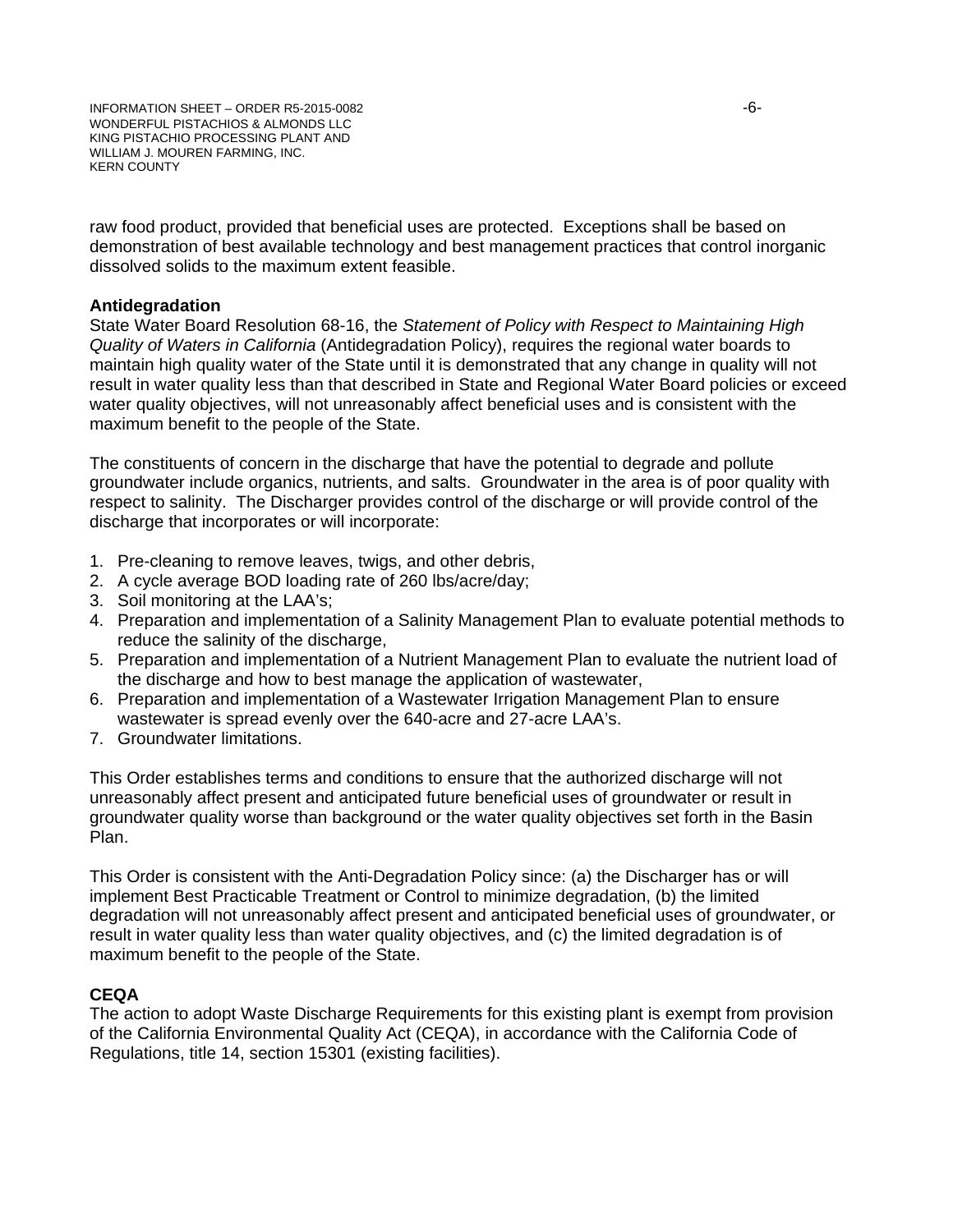raw food product, provided that beneficial uses are protected. Exceptions shall be based on demonstration of best available technology and best management practices that control inorganic dissolved solids to the maximum extent feasible.

#### **Antidegradation**

State Water Board Resolution 68-16, the *Statement of Policy with Respect to Maintaining High Quality of Waters in California* (Antidegradation Policy), requires the regional water boards to maintain high quality water of the State until it is demonstrated that any change in quality will not result in water quality less than that described in State and Regional Water Board policies or exceed water quality objectives, will not unreasonably affect beneficial uses and is consistent with the maximum benefit to the people of the State.

The constituents of concern in the discharge that have the potential to degrade and pollute groundwater include organics, nutrients, and salts. Groundwater in the area is of poor quality with respect to salinity. The Discharger provides control of the discharge or will provide control of the discharge that incorporates or will incorporate:

- 1. Pre-cleaning to remove leaves, twigs, and other debris,
- 2. A cycle average BOD loading rate of 260 lbs/acre/day;
- 3. Soil monitoring at the LAA's;
- 4. Preparation and implementation of a Salinity Management Plan to evaluate potential methods to reduce the salinity of the discharge,
- 5. Preparation and implementation of a Nutrient Management Plan to evaluate the nutrient load of the discharge and how to best manage the application of wastewater,
- 6. Preparation and implementation of a Wastewater Irrigation Management Plan to ensure wastewater is spread evenly over the 640-acre and 27-acre LAA's.
- 7. Groundwater limitations.

This Order establishes terms and conditions to ensure that the authorized discharge will not unreasonably affect present and anticipated future beneficial uses of groundwater or result in groundwater quality worse than background or the water quality objectives set forth in the Basin Plan.

This Order is consistent with the Anti-Degradation Policy since: (a) the Discharger has or will implement Best Practicable Treatment or Control to minimize degradation, (b) the limited degradation will not unreasonably affect present and anticipated beneficial uses of groundwater, or result in water quality less than water quality objectives, and (c) the limited degradation is of maximum benefit to the people of the State.

# **CEQA**

The action to adopt Waste Discharge Requirements for this existing plant is exempt from provision of the California Environmental Quality Act (CEQA), in accordance with the California Code of Regulations, title 14, section 15301 (existing facilities).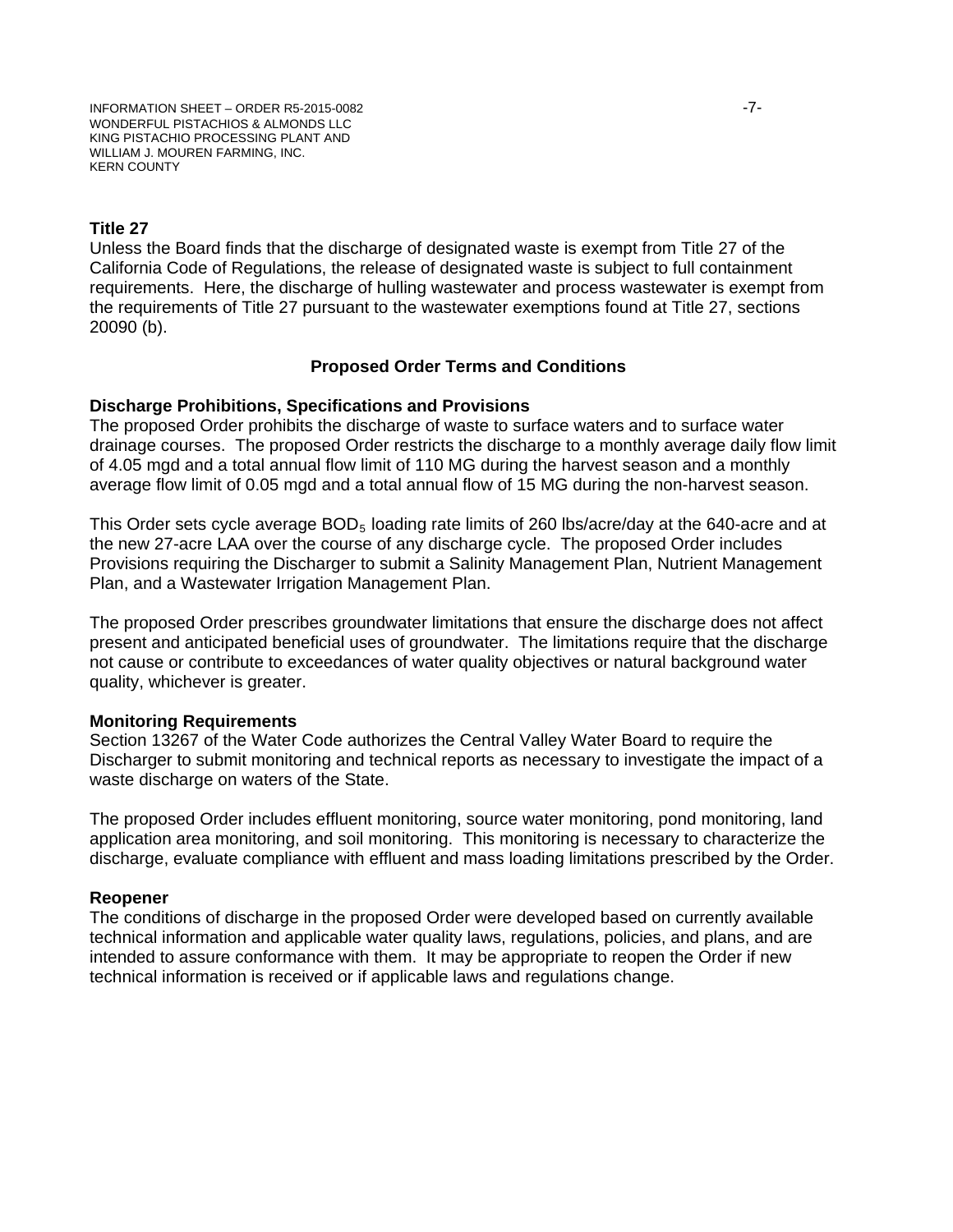### **Title 27**

Unless the Board finds that the discharge of designated waste is exempt from Title 27 of the California Code of Regulations, the release of designated waste is subject to full containment requirements. Here, the discharge of hulling wastewater and process wastewater is exempt from the requirements of Title 27 pursuant to the wastewater exemptions found at Title 27, sections 20090 (b).

#### **Proposed Order Terms and Conditions**

#### **Discharge Prohibitions, Specifications and Provisions**

The proposed Order prohibits the discharge of waste to surface waters and to surface water drainage courses. The proposed Order restricts the discharge to a monthly average daily flow limit of 4.05 mgd and a total annual flow limit of 110 MG during the harvest season and a monthly average flow limit of 0.05 mgd and a total annual flow of 15 MG during the non-harvest season.

This Order sets cycle average  $BOD<sub>5</sub>$  loading rate limits of 260 lbs/acre/day at the 640-acre and at the new 27-acre LAA over the course of any discharge cycle. The proposed Order includes Provisions requiring the Discharger to submit a Salinity Management Plan, Nutrient Management Plan, and a Wastewater Irrigation Management Plan.

The proposed Order prescribes groundwater limitations that ensure the discharge does not affect present and anticipated beneficial uses of groundwater. The limitations require that the discharge not cause or contribute to exceedances of water quality objectives or natural background water quality, whichever is greater.

#### **Monitoring Requirements**

Section 13267 of the Water Code authorizes the Central Valley Water Board to require the Discharger to submit monitoring and technical reports as necessary to investigate the impact of a waste discharge on waters of the State.

The proposed Order includes effluent monitoring, source water monitoring, pond monitoring, land application area monitoring, and soil monitoring. This monitoring is necessary to characterize the discharge, evaluate compliance with effluent and mass loading limitations prescribed by the Order.

#### **Reopener**

The conditions of discharge in the proposed Order were developed based on currently available technical information and applicable water quality laws, regulations, policies, and plans, and are intended to assure conformance with them. It may be appropriate to reopen the Order if new technical information is received or if applicable laws and regulations change.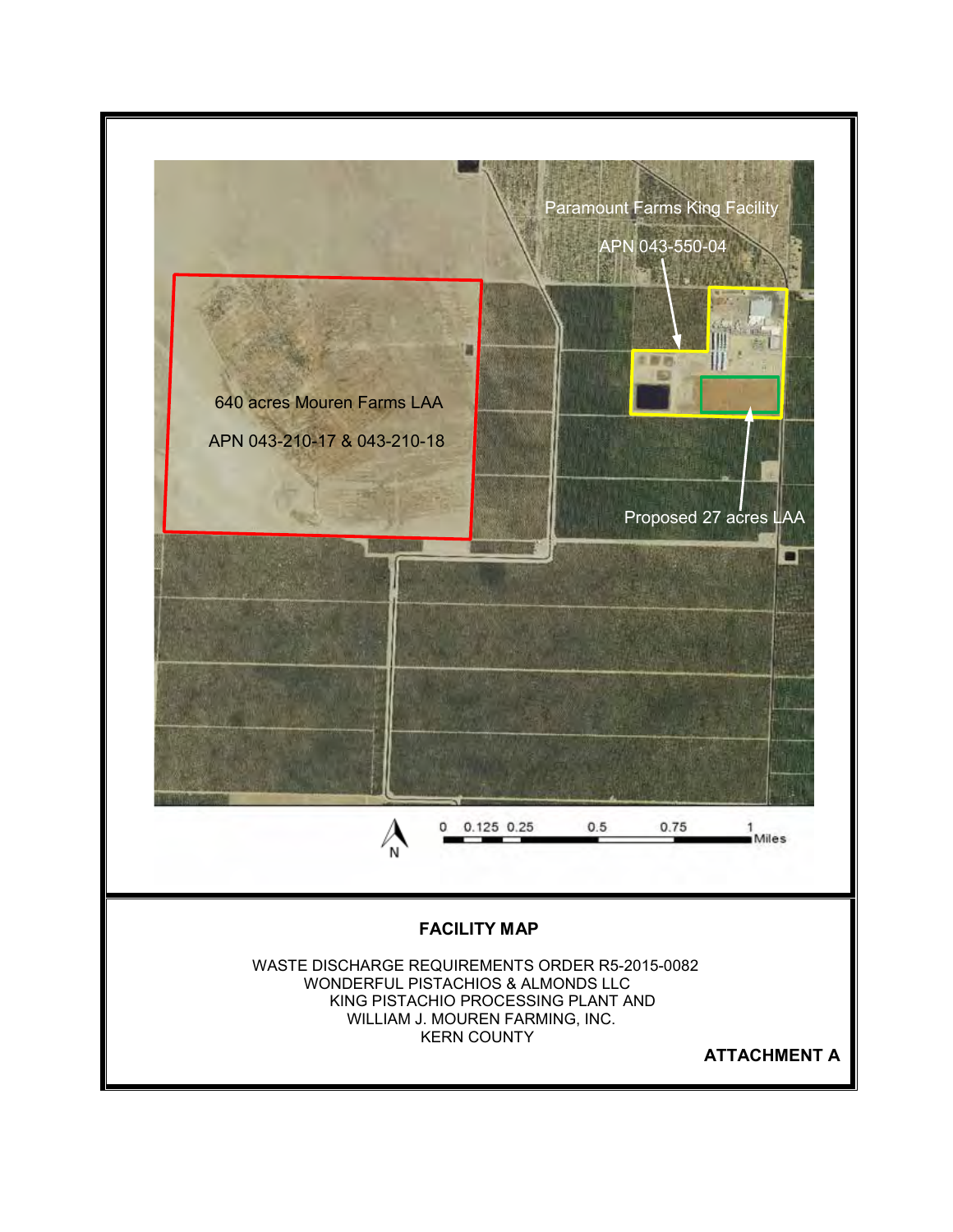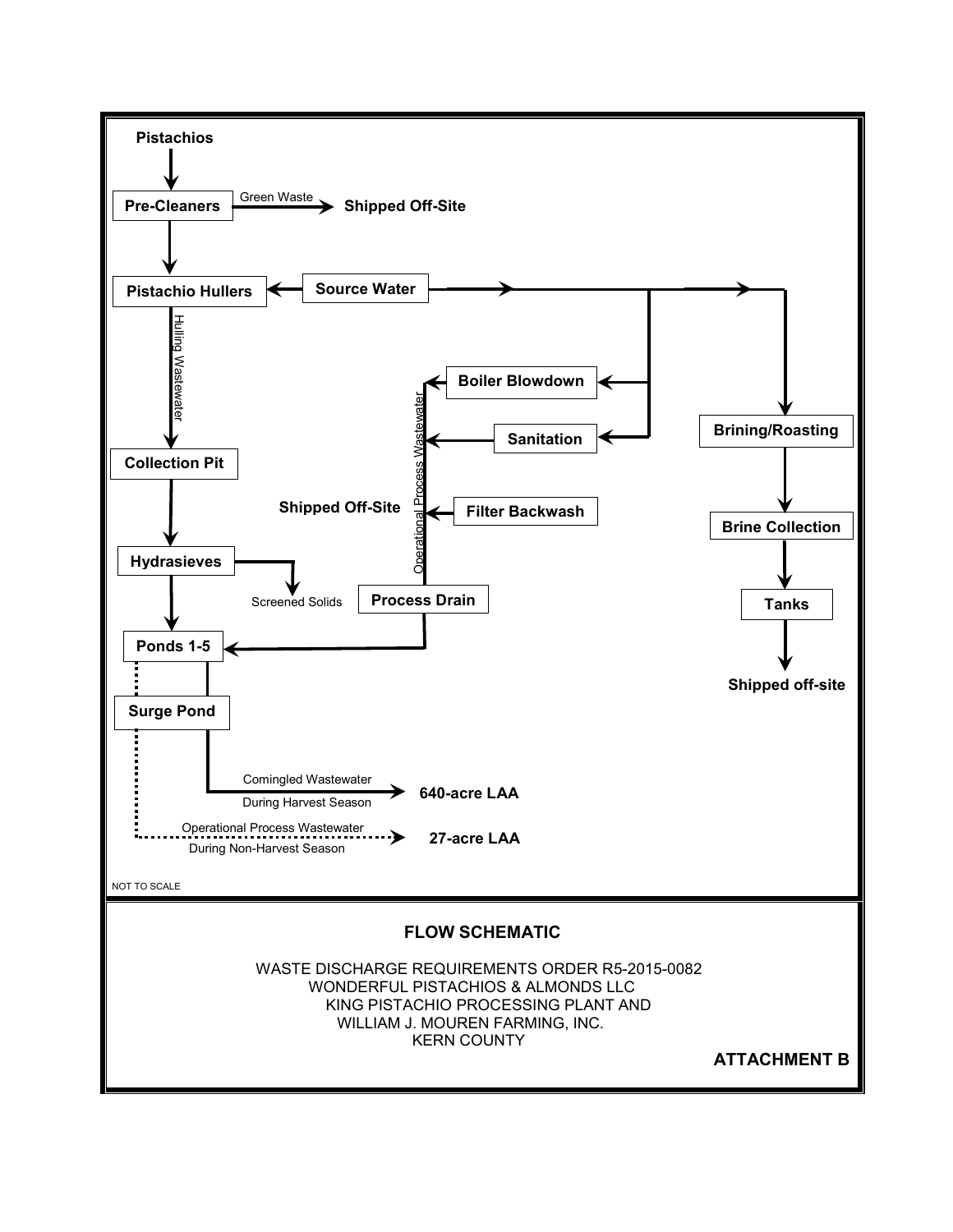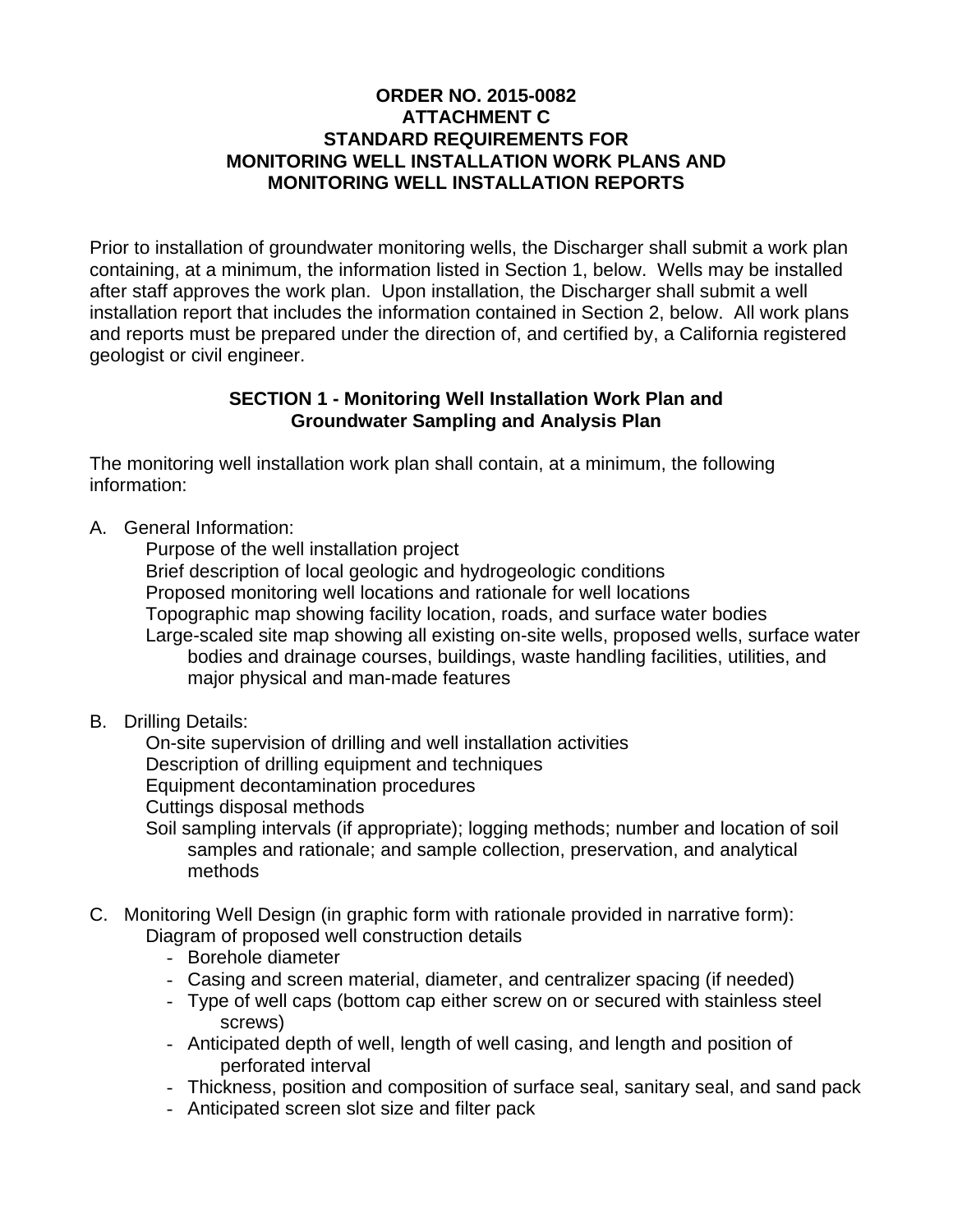# **ORDER NO. 2015-0082 ATTACHMENT C STANDARD REQUIREMENTS FOR MONITORING WELL INSTALLATION WORK PLANS AND MONITORING WELL INSTALLATION REPORTS**

Prior to installation of groundwater monitoring wells, the Discharger shall submit a work plan containing, at a minimum, the information listed in Section 1, below. Wells may be installed after staff approves the work plan. Upon installation, the Discharger shall submit a well installation report that includes the information contained in Section 2, below. All work plans and reports must be prepared under the direction of, and certified by, a California registered geologist or civil engineer.

# **SECTION 1 - Monitoring Well Installation Work Plan and Groundwater Sampling and Analysis Plan**

The monitoring well installation work plan shall contain, at a minimum, the following information:

A. General Information:

Purpose of the well installation project

Brief description of local geologic and hydrogeologic conditions

Proposed monitoring well locations and rationale for well locations

Topographic map showing facility location, roads, and surface water bodies

 Large-scaled site map showing all existing on-site wells, proposed wells, surface water bodies and drainage courses, buildings, waste handling facilities, utilities, and major physical and man-made features

B. Drilling Details:

On-site supervision of drilling and well installation activities

Description of drilling equipment and techniques

Equipment decontamination procedures

Cuttings disposal methods

 Soil sampling intervals (if appropriate); logging methods; number and location of soil samples and rationale; and sample collection, preservation, and analytical methods

# C. Monitoring Well Design (in graphic form with rationale provided in narrative form): Diagram of proposed well construction details

- Borehole diameter
- Casing and screen material, diameter, and centralizer spacing (if needed)
- Type of well caps (bottom cap either screw on or secured with stainless steel screws)
- Anticipated depth of well, length of well casing, and length and position of perforated interval
- Thickness, position and composition of surface seal, sanitary seal, and sand pack
- Anticipated screen slot size and filter pack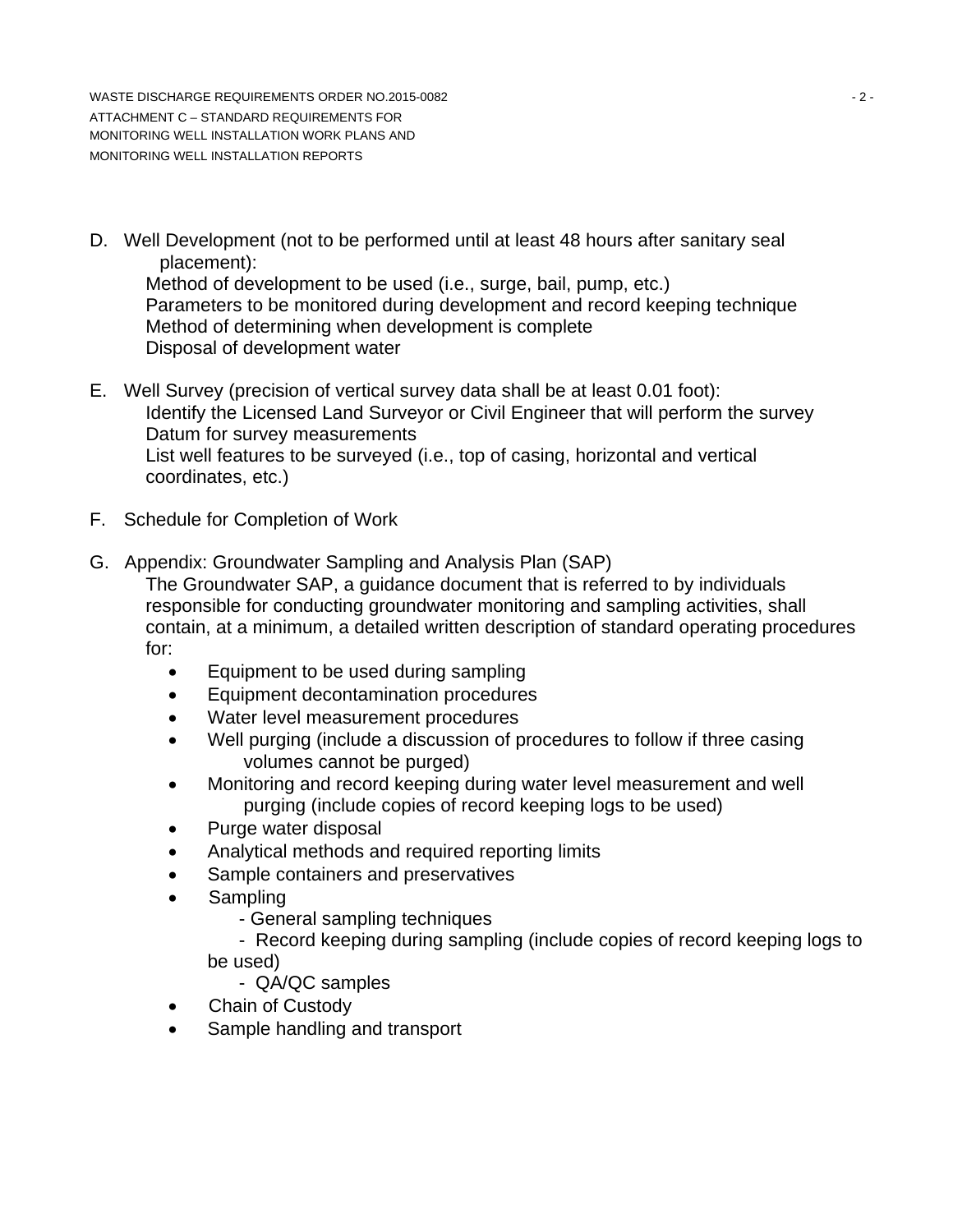WASTE DISCHARGE REQUIREMENTS ORDER NO.2015-0082 - 2 - ATTACHMENT C – STANDARD REQUIREMENTS FOR MONITORING WELL INSTALLATION WORK PLANS AND MONITORING WELL INSTALLATION REPORTS

D. Well Development (not to be performed until at least 48 hours after sanitary seal placement):

 Method of development to be used (i.e., surge, bail, pump, etc.) Parameters to be monitored during development and record keeping technique Method of determining when development is complete Disposal of development water

- E. Well Survey (precision of vertical survey data shall be at least 0.01 foot): Identify the Licensed Land Surveyor or Civil Engineer that will perform the survey Datum for survey measurements List well features to be surveyed (i.e., top of casing, horizontal and vertical coordinates, etc.)
- F. Schedule for Completion of Work
- G. Appendix: Groundwater Sampling and Analysis Plan (SAP)

The Groundwater SAP, a guidance document that is referred to by individuals responsible for conducting groundwater monitoring and sampling activities, shall contain, at a minimum, a detailed written description of standard operating procedures for:

- Equipment to be used during sampling
- Equipment decontamination procedures
- Water level measurement procedures
- Well purging (include a discussion of procedures to follow if three casing volumes cannot be purged)
- Monitoring and record keeping during water level measurement and well purging (include copies of record keeping logs to be used)
- Purge water disposal
- Analytical methods and required reporting limits
- Sample containers and preservatives
- Sampling
	- General sampling techniques

 - Record keeping during sampling (include copies of record keeping logs to be used)

- QA/QC samples

- Chain of Custody
- Sample handling and transport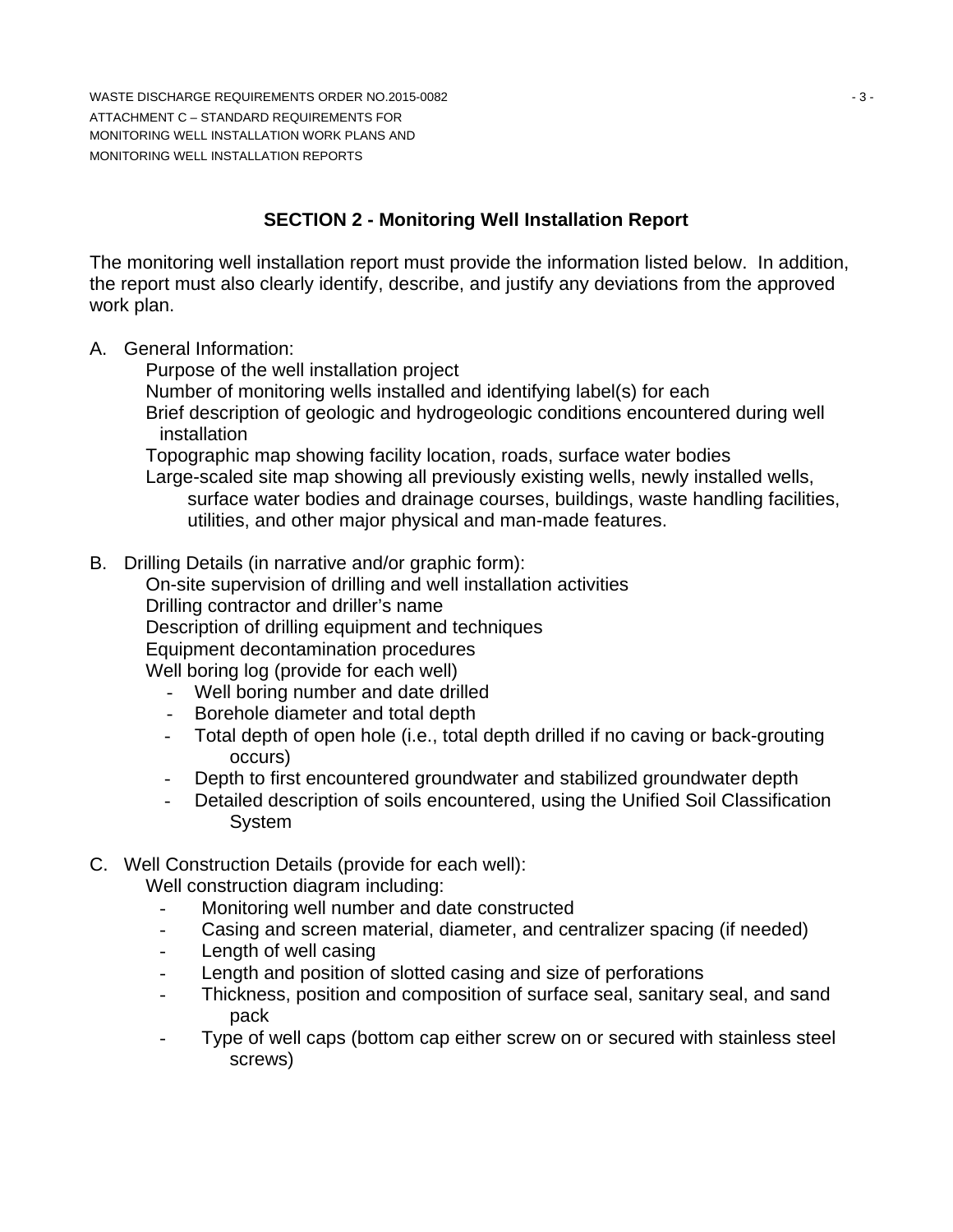WASTE DISCHARGE REQUIREMENTS ORDER NO.2015-0082 **And Contact Service Contact Service Contact Service Contact Service Contact Service Contact Service Contact Service Contact Service Contact Service Contact Service Contact S** ATTACHMENT C – STANDARD REQUIREMENTS FOR MONITORING WELL INSTALLATION WORK PLANS AND MONITORING WELL INSTALLATION REPORTS

# **SECTION 2 - Monitoring Well Installation Report**

The monitoring well installation report must provide the information listed below. In addition, the report must also clearly identify, describe, and justify any deviations from the approved work plan.

A. General Information:

Purpose of the well installation project

Number of monitoring wells installed and identifying label(s) for each

 Brief description of geologic and hydrogeologic conditions encountered during well installation

Topographic map showing facility location, roads, surface water bodies

 Large-scaled site map showing all previously existing wells, newly installed wells, surface water bodies and drainage courses, buildings, waste handling facilities, utilities, and other major physical and man-made features.

B. Drilling Details (in narrative and/or graphic form):

On-site supervision of drilling and well installation activities

Drilling contractor and driller's name

Description of drilling equipment and techniques

Equipment decontamination procedures

Well boring log (provide for each well)

- Well boring number and date drilled
- Borehole diameter and total depth
- Total depth of open hole (i.e., total depth drilled if no caving or back-grouting occurs)
- Depth to first encountered groundwater and stabilized groundwater depth
- Detailed description of soils encountered, using the Unified Soil Classification System
- C. Well Construction Details (provide for each well):

Well construction diagram including:

- Monitoring well number and date constructed
- Casing and screen material, diameter, and centralizer spacing (if needed)
- Length of well casing
- Length and position of slotted casing and size of perforations
- Thickness, position and composition of surface seal, sanitary seal, and sand pack
- Type of well caps (bottom cap either screw on or secured with stainless steel screws)